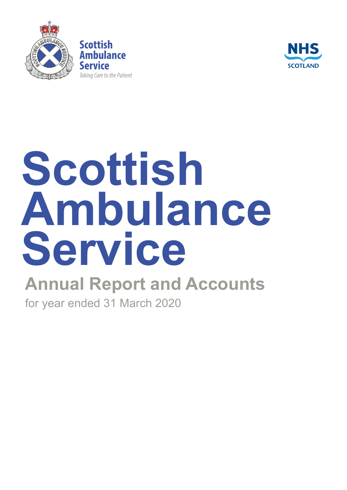

**Scottish** Ambulance Service Takina Care to the Patient



# **Scottish Ambulance Service**

**Annual Report and Accounts** 

for year ended 31 March 2020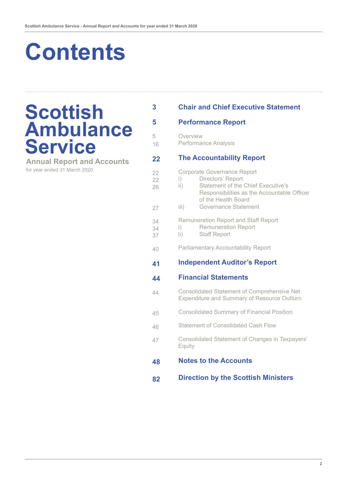# **Contents**

### **Scottish Ambulance Service**

**Annual Report and Accounts** 

for year ended 31 March 2020

#### **Chair and Chief Executive Statement**

#### **Performance Report**

Overview Performance Analysis

**3**

**5**

5 16

**22**

22 26

27

34 34 37

40

44

45

46

47

#### **The Accountability Report**

Corporate Governance Report i) Directors' Report ii) Statement of the Chief Executive's Responsibilities as the Accountable Officer of the Health Board iii) Governance Statement Remuneration Report and Staff Report i) Remuneration Report ii) Staff Report Parliamentary Accountability Report **Independent Auditor's Report Financial Statements**  Consolidated Statement of Comprehensive Net Expenditure and Summary of Resource Outturn Consolidated Summary of Financial Position Statement of Consolidated Cash Flow Consolidated Statement of Changes in Taxpayers' Equity 22 **41 44**

- **Notes to the Accounts 48**
- **Direction by the Scottish Ministers 82**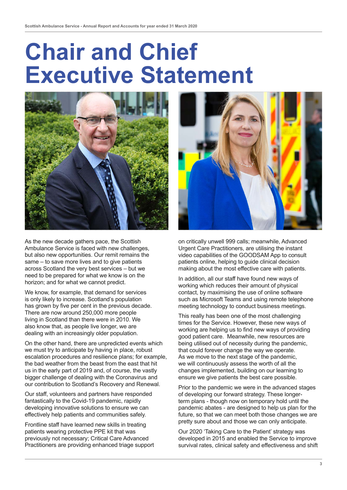## **Chair and Chief Executive Statement**



As the new decade gathers pace, the Scottish Ambulance Service is faced with new challenges, but also new opportunities. Our remit remains the same – to save more lives and to give patients across Scotland the very best services – but we need to be prepared for what we know is on the horizon; and for what we cannot predict.

We know, for example, that demand for services is only likely to increase. Scotland's population has grown by five per cent in the previous decade. There are now around 250,000 more people living in Scotland than there were in 2010. We also know that, as people live longer, we are dealing with an increasingly older population.

On the other hand, there are unpredicted events which we must try to anticipate by having in place, robust escalation procedures and resilience plans; for example, the bad weather from the beast from the east that hit us in the early part of 2019 and, of course, the vastly bigger challenge of dealing with the Coronavirus and our contribution to Scotland's Recovery and Renewal.

Our staff, volunteers and partners have responded fantastically to the Covid-19 pandemic, rapidly developing innovative solutions to ensure we can effectively help patients and communities safely.

Frontline staff have learned new skills in treating patients wearing protective PPE kit that was previously not necessary; Critical Care Advanced Practitioners are providing enhanced triage support



on critically unwell 999 calls; meanwhile, Advanced Urgent Care Practitioners, are utilising the instant video capabilities of the GOODSAM App to consult patients online, helping to guide clinical decision making about the most effective care with patients.

In addition, all our staff have found new ways of working which reduces their amount of physical contact, by maximising the use of online software such as Microsoft Teams and using remote telephone meeting technology to conduct business meetings.

This really has been one of the most challenging times for the Service. However, these new ways of working are helping us to find new ways of providing good patient care. Meanwhile, new resources are being utilised out of necessity during the pandemic, that could forever change the way we operate. As we move to the next stage of the pandemic, we will continuously assess the worth of all the changes implemented, building on our learning to ensure we give patients the best care possible.

Prior to the pandemic we were in the advanced stages of developing our forward strategy. These longerterm plans - though now on temporary hold until the pandemic abates - are designed to help us plan for the future, so that we can meet both those changes we are pretty sure about and those we can only anticipate.

Our 2020 'Taking Care to the Patient' strategy was developed in 2015 and enabled the Service to improve survival rates, clinical safety and effectiveness and shift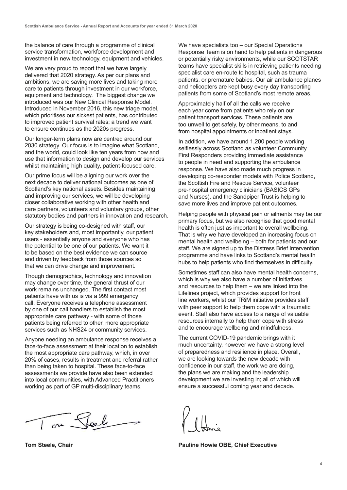the balance of care through a programme of clinical service transformation, workforce development and investment in new technology, equipment and vehicles.

We are very proud to report that we have largely delivered that 2020 strategy. As per our plans and ambitions, we are saving more lives and taking more care to patients through investment in our workforce, equipment and technology. The biggest change we introduced was our New Clinical Response Model. Introduced in November 2016, this new triage model, which prioritises our sickest patients, has contributed to improved patient survival rates; a trend we want to ensure continues as the 2020s progress.

Our longer-term plans now are centred around our 2030 strategy. Our focus is to imagine what Scotland, and the world, could look like ten years from now and use that information to design and develop our services whilst maintaining high quality, patient-focused care.

Our prime focus will be aligning our work over the next decade to deliver national outcomes as one of Scotland's key national assets. Besides maintaining and improving our services, we will be developing closer collaborative working with other health and care partners, volunteers and voluntary groups, other statutory bodies and partners in innovation and research.

Our strategy is being co-designed with staff, our key stakeholders and, most importantly, our patient users - essentially anyone and everyone who has the potential to be one of our patients. We want it to be based on the best evidence we can source and driven by feedback from those sources so that we can drive change and improvement.

Though demographics, technology and innovation may change over time, the general thrust of our work remains unchanged. The first contact most patients have with us is via a 999 emergency call. Everyone receives a telephone assessment by one of our call handlers to establish the most appropriate care pathway - with some of those patients being referred to other, more appropriate services such as NHS24 or community services.

Anyone needing an ambulance response receives a face-to-face assessment at their location to establish the most appropriate care pathway, which, in over 20% of cases, results in treatment and referral rather than being taken to hospital. These face-to-face assessments we provide have also been extended into local communities, with Advanced Practitioners working as part of GP multi-disciplinary teams.

on Steel

We have specialists too – our Special Operations Response Team is on hand to help patients in dangerous or potentially risky environments, while our SCOTSTAR teams have specialist skills in retrieving patients needing specialist care en-route to hospital, such as trauma patients, or premature babies. Our air ambulance planes and helicopters are kept busy every day transporting patients from some of Scotland's most remote areas.

Approximately half of all the calls we receive each year come from patients who rely on our patient transport services. These patients are too unwell to get safely, by other means, to and from hospital appointments or inpatient stays.

In addition, we have around 1,200 people working selflessly across Scotland as volunteer Community First Responders providing immediate assistance to people in need and supporting the ambulance response. We have also made much progress in developing co-responder models with Police Scotland, the Scottish Fire and Rescue Service, volunteer pre-hospital emergency clinicians (BASICS GPs and Nurses), and the Sandpiper Trust is helping to save more lives and improve patient outcomes.

Helping people with physical pain or ailments may be our primary focus, but we also recognise that good mental health is often just as important to overall wellbeing. That is why we have developed an increasing focus on mental health and wellbeing – both for patients and our staff. We are signed up to the Distress Brief Intervention programme and have links to Scotland's mental health hubs to help patients who find themselves in difficulty.

Sometimes staff can also have mental health concerns, which is why we also have a number of initiatives and resources to help them – we are linked into the Lifelines project, which provides support for front line workers, whilst our TRiM initiative provides staff with peer support to help them cope with a traumatic event. Staff also have access to a range of valuable resources internally to help them cope with stress and to encourage wellbeing and mindfulness.

The current COVID-19 pandemic brings with it much uncertainty, however we have a strong level of preparedness and resilience in place. Overall, we are looking towards the new decade with confidence in our staff, the work we are doing, the plans we are making and the leadership development we are investing in; all of which will ensure a successful coming year and decade.

**Tom Steele, Chair Chair Pauline Howie OBE, Chief Executive**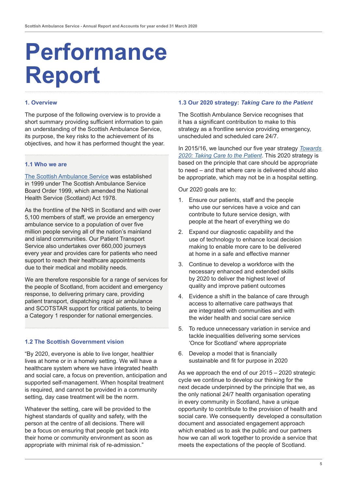# **Performance Report**

#### **1. Overview**

The purpose of the following overview is to provide a short summary providing sufficient information to gain an understanding of the Scottish Ambulance Service, its purpose, the key risks to the achievement of its objectives, and how it has performed thought the year.

#### **1.1 Who we are**

[The Scottish Ambulance Service](http://www.scottishambulance.com/) was established in 1999 under The Scottish Ambulance Service Board Order 1999, which amended the National Health Service (Scotland) Act 1978.

As the frontline of the NHS in Scotland and with over 5,100 members of staff, we provide an emergency ambulance service to a population of over five million people serving all of the nation's mainland and island communities. Our Patient Transport Service also undertakes over 660,000 journeys every year and provides care for patients who need support to reach their healthcare appointments due to their medical and mobility needs.

We are therefore responsible for a range of services for the people of Scotland, from accident and emergency response, to delivering primary care, providing patient transport, dispatching rapid air ambulance and SCOTSTAR support for critical patients, to being a Category 1 responder for national emergencies.

#### **1.2 The Scottish Government vision**

"By 2020, everyone is able to live longer, healthier lives at home or in a homely setting. We will have a healthcare system where we have integrated health and social care, a focus on prevention, anticipation and supported self-management. When hospital treatment is required, and cannot be provided in a community setting, day case treatment will be the norm.

Whatever the setting, care will be provided to the highest standards of quality and safety, with the person at the centre of all decisions. There will be a focus on ensuring that people get back into their home or community environment as soon as appropriate with minimal risk of re-admission."

#### **1.3 Our 2020 strategy:** *Taking Care to the Patient*

The Scottish Ambulance Service recognises that it has a significant contribution to make to this strategy as a frontline service providing emergency, unscheduled and scheduled care 24/7.

In 2015/16, we launched our five year strategy *[Towards](http://www.scottishambulance.com/UserFiles/file/TheService/Publications/Strategic%20Plan_Online%20pdf.pdf)  [2020: Taking Care to the Patient](http://www.scottishambulance.com/UserFiles/file/TheService/Publications/Strategic%20Plan_Online%20pdf.pdf)*. This 2020 strategy is based on the principle that care should be appropriate to need – and that where care is delivered should also be appropriate, which may not be in a hospital setting.

Our 2020 goals are to:

- 1. Ensure our patients, staff and the people who use our services have a voice and can contribute to future service design, with people at the heart of everything we do
- 2. Expand our diagnostic capability and the use of technology to enhance local decision making to enable more care to be delivered at home in a safe and effective manner
- 3. Continue to develop a workforce with the necessary enhanced and extended skills by 2020 to deliver the highest level of quality and improve patient outcomes
- 4. Evidence a shift in the balance of care through access to alternative care pathways that are integrated with communities and with the wider health and social care service
- 5. To reduce unnecessary variation in service and tackle inequalities delivering some services 'Once for Scotland' where appropriate
- 6. Develop a model that is financially sustainable and fit for purpose in 2020

As we approach the end of our 2015 – 2020 strategic cycle we continue to develop our thinking for the next decade underpinned by the principle that we, as the only national 24/7 health organisation operating in every community in Scotland, have a unique opportunity to contribute to the provision of health and social care. We consequently developed a consultation document and associated engagement approach which enabled us to ask the public and our partners how we can all work together to provide a service that meets the expectations of the people of Scotland.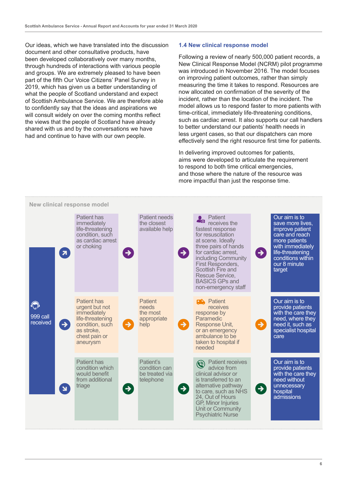Our ideas, which we have translated into the discussion document and other consultative products, have been developed collaboratively over many months, through hundreds of interactions with various people and groups. We are extremely pleased to have been part of the fifth Our Voice Citizens' Panel Survey in 2019, which has given us a better understanding of what the people of Scotland understand and expect of Scottish Ambulance Service. We are therefore able to confidently say that the ideas and aspirations we will consult widely on over the coming months reflect the views that the people of Scotland have already shared with us and by the conversations we have had and continue to have with our own people.

#### **1.4 New clinical response model**

Following a review of nearly 500,000 patient records, a New Clinical Response Model (NCRM) pilot programme was introduced in November 2016. The model focuses on improving patient outcomes, rather than simply measuring the time it takes to respond. Resources are now allocated on confirmation of the severity of the incident, rather than the location of the incident. The model allows us to respond faster to more patients with time-critical, immediately life-threatening conditions, such as cardiac arrest. It also supports our call handlers to better understand our patients' health needs in less urgent cases, so that our dispatchers can more effectively send the right resource first time for patients.

In delivering improved outcomes for patients, aims were developed to articulate the requirement to respond to both time critical emergencies, and those where the nature of the resource was more impactful than just the response time.

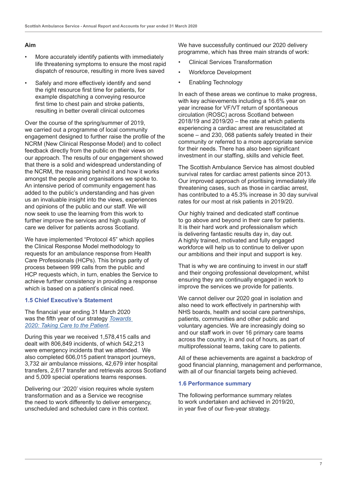#### **Aim**

- More accurately identify patients with immediately life threatening symptoms to ensure the most rapid dispatch of resource, resulting in more lives saved
- Safely and more effectively identify and send the right resource first time for patients, for example dispatching a conveying resource first time to chest pain and stroke patients, resulting in better overall clinical outcomes

Over the course of the spring/summer of 2019, we carried out a programme of local community engagement designed to further raise the profile of the NCRM (New Clinical Response Model) and to collect feedback directly from the public on their views on our approach. The results of our engagement showed that there is a solid and widespread understanding of the NCRM, the reasoning behind it and how it works amongst the people and organisations we spoke to. An intensive period of community engagement has added to the public's understanding and has given us an invaluable insight into the views, experiences and opinions of the public and our staff. We will now seek to use the learning from this work to further improve the services and high quality of care we deliver for patients across Scotland.

We have implemented "Protocol 45" which applies the Clinical Response Model methodology to requests for an ambulance response from Health Care Professionals (HCPs). This brings parity of process between 999 calls from the public and HCP requests which, in turn, enables the Service to achieve further consistency in providing a response which is based on a patient's clinical need.

#### **1.5 Chief Executive's Statement**

The financial year ending 31 March 2020 was the fifth year of our strategy *[Towards](http://www.scottishambulance.com/UserFiles/file/TheService/Publications/Strategic%20Plan_Online%20pdf.pdf)  [2020: Taking Care to the Patient](http://www.scottishambulance.com/UserFiles/file/TheService/Publications/Strategic%20Plan_Online%20pdf.pdf)*.

During this year we received 1,578,415 calls and dealt with 806,849 incidents, of which 542,213 were emergency incidents that we attended. We also completed 606,015 patient transport journeys, 3,732 air ambulance missions, 42,679 inter hospital transfers, 2,617 transfer and retrievals across Scotland and 5,009 special operations teams responses.

Delivering our '2020' vision requires whole system transformation and as a Service we recognise the need to work differently to deliver emergency, unscheduled and scheduled care in this context.

We have successfully continued our 2020 delivery programme, which has three main strands of work:

- Clinical Services Transformation
- Workforce Development
- Enabling Technology

In each of these areas we continue to make progress, with key achievements including a 16.6% year on year increase for VF/VT return of spontaneous circulation (ROSC) across Scotland between 2018/19 and 2019/20 – the rate at which patients experiencing a cardiac arrest are resuscitated at scene – and 230, 068 patients safely treated in their community or referred to a more appropriate service for their needs. There has also been significant investment in our staffing, skills and vehicle fleet.

The Scottish Ambulance Service has almost doubled survival rates for cardiac arrest patients since 2013. Our improved approach of prioritising immediately life threatening cases, such as those in cardiac arrest, has contributed to a 45.3% increase in 30 day survival rates for our most at risk patients in 2019/20.

Our highly trained and dedicated staff continue to go above and beyond in their care for patients. It is their hard work and professionalism which is delivering fantastic results day in, day out. A highly trained, motivated and fully engaged workforce will help us to continue to deliver upon our ambitions and their input and support is key.

That is why we are continuing to invest in our staff and their ongoing professional development, whilst ensuring they are continually engaged in work to improve the services we provide for patients.

We cannot deliver our 2020 goal in isolation and also need to work effectively in partnership with NHS boards, health and social care partnerships, patients, communities and other public and voluntary agencies. We are increasingly doing so and our staff work in over 16 primary care teams across the country, in and out of hours, as part of multiprofessional teams, taking care to patients.

All of these achievements are against a backdrop of good financial planning, management and performance, with all of our financial targets being achieved.

#### **1.6 Performance summary**

The following performance summary relates to work undertaken and achieved in 2019/20, in year five of our five-year strategy.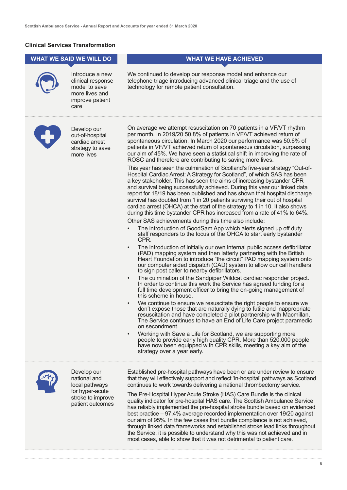#### **Clinical Services Transformation**

#### WHAT WE SAID WE WILL DO **WHAT WE HAVE ACHIEVED**



Introduce a new clinical response model to save more lives and improve patient care



Develop our out-of-hospital cardiac arrest strategy to save more lives

On average we attempt resuscitation on 70 patients in a VF/VT rhythm per month. In 2019/20 50.8% of patients in VF/VT achieved return of spontaneous circulation. In March 2020 our performance was 50.6% of patients in VF/VT achieved return of spontaneous circulation, surpassing our aim of 45%. We have seen a statistical shift in improving the rate of ROSC and therefore are contributing to saving more lives.

We continued to develop our response model and enhance our telephone triage introducing advanced clinical triage and the use of

technology for remote patient consultation.

This year has seen the culmination of Scotland's five-year strategy "Out-of-Hospital Cardiac Arrest: A Strategy for Scotland", of which SAS has been a key stakeholder. This has seen the aims of increasing bystander CPR and survival being successfully achieved. During this year our linked data report for 18/19 has been published and has shown that hospital discharge survival has doubled from 1 in 20 patients surviving their out of hospital cardiac arrest (OHCA) at the start of the strategy to 1 in 10. It also shows during this time bystander CPR has increased from a rate of 41% to 64%.

Other SAS achievements during this time also include:

- The introduction of GoodSam App which alerts signed up off duty staff responders to the locus of the OHCA to start early bystander CPR.
- The introduction of initially our own internal public access defibrillator (PAD) mapping system and then latterly partnering with the British Heart Foundation to introduce "the circuit" PAD mapping system onto our computer aided dispatch (CAD) system to allow our call handlers to sign post caller to nearby defibrillators.
- The culmination of the Sandpiper Wildcat cardiac responder project. In order to continue this work the Service has agreed funding for a full time development officer to bring the on-going management of this scheme in house.
- We continue to ensure we resuscitate the right people to ensure we don't expose those that are naturally dying to futile and inappropriate resuscitation and have completed a pilot partnership with Macmillan, The Service continues to have an End of Life Care project paramedic on secondment.
- Working with Save a Life for Scotland, we are supporting more people to provide early high quality CPR. More than 520,000 people have now been equipped with CPR skills, meeting a key aim of the strategy over a year early.

Established pre-hospital pathways have been or are under review to ensure that they will effectively support and reflect 'in-hospital' pathways as Scotland continues to work towards delivering a national thrombectomy service.

The Pre-Hospital Hyper Acute Stroke (HAS) Care Bundle is the clinical quality indicator for pre-hospital HAS care. The Scottish Ambulance Service has reliably implemented the pre-hospital stroke bundle based on evidenced best practice – 97.4% average recorded implementation over 19/20 against our aim of 95%. In the few cases that bundle compliance is not achieved, through linked data frameworks and established stroke lead links throughout the Service, it is possible to understand why this was not achieved and in most cases, able to show that it was not detrimental to patient care.



Develop our national and local pathways for hyper-acute stroke to improve patient outcomes

**8**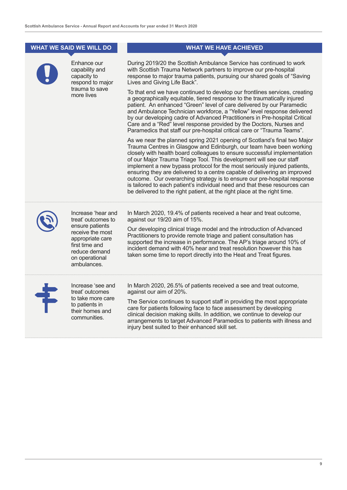| <b>WHAT WE SAID WE WILL DO</b> |                                                                                                                                                                         | <b>WHAT WE HAVE ACHIEVED</b>                                                                                                                                                                                                                                                                                                                                                                                                                                                                                                                                                                                                                                                                       |
|--------------------------------|-------------------------------------------------------------------------------------------------------------------------------------------------------------------------|----------------------------------------------------------------------------------------------------------------------------------------------------------------------------------------------------------------------------------------------------------------------------------------------------------------------------------------------------------------------------------------------------------------------------------------------------------------------------------------------------------------------------------------------------------------------------------------------------------------------------------------------------------------------------------------------------|
|                                | Enhance our<br>capability and<br>capacity to<br>respond to major                                                                                                        | During 2019/20 the Scottish Ambulance Service has continued to work<br>with Scottish Trauma Network partners to improve our pre-hospital<br>response to major trauma patients, pursuing our shared goals of "Saving<br>Lives and Giving Life Back".                                                                                                                                                                                                                                                                                                                                                                                                                                                |
|                                | trauma to save<br>more lives                                                                                                                                            | To that end we have continued to develop our frontlines services, creating<br>a geographically equitable, tiered response to the traumatically injured<br>patient. An enhanced "Green" level of care delivered by our Paramedic<br>and Ambulance Technician workforce, a "Yellow" level response delivered<br>by our developing cadre of Advanced Practitioners in Pre-hospital Critical<br>Care and a "Red" level response provided by the Doctors, Nurses and<br>Paramedics that staff our pre-hospital critical care or "Trauma Teams".                                                                                                                                                         |
|                                |                                                                                                                                                                         | As we near the planned spring 2021 opening of Scotland's final two Major<br>Trauma Centres in Glasgow and Edinburgh, our team have been working<br>closely with health board colleagues to ensure successful implementation<br>of our Major Trauma Triage Tool. This development will see our staff<br>implement a new bypass protocol for the most seriously injured patients,<br>ensuring they are delivered to a centre capable of delivering an improved<br>outcome. Our overarching strategy is to ensure our pre-hospital response<br>is tailored to each patient's individual need and that these resources can<br>be delivered to the right patient, at the right place at the right time. |
|                                | Increase 'hear and<br>treat' outcomes to<br>ensure patients<br>receive the most<br>appropriate care<br>first time and<br>reduce demand<br>on operational<br>ambulances. | In March 2020, 19.4% of patients received a hear and treat outcome,<br>against our 19/20 aim of 15%.<br>Our developing clinical triage model and the introduction of Advanced<br>Practitioners to provide remote triage and patient consultation has<br>supported the increase in performance. The AP's triage around 10% of<br>incident demand with 40% hear and treat resolution however this has<br>taken some time to report directly into the Heat and Treat figures.                                                                                                                                                                                                                         |
|                                | Increase 'see and<br>treat' outcomes<br>to take more care<br>to patients in<br>their homes and<br>communities.                                                          | In March 2020, 26.5% of patients received a see and treat outcome,<br>against our aim of 20%.<br>The Service continues to support staff in providing the most appropriate<br>care for patients following face to face assessment by developing<br>clinical decision making skills. In addition, we continue to develop our<br>arrangements to target Advanced Paramedics to patients with illness and<br>injury best suited to their enhanced skill set.                                                                                                                                                                                                                                           |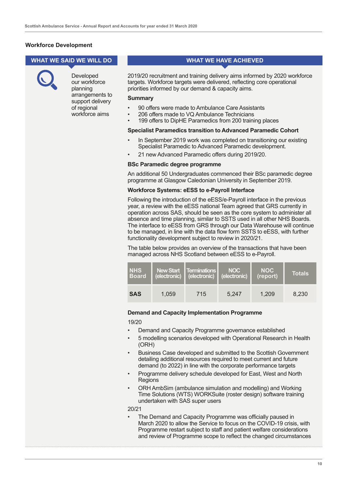#### **Workforce Development**

Developed our workforce planning arrangements to support delivery of regional workforce aims

#### WHAT WE SAID WE WILL DO **WHAT WE HAVE ACHIEVED**

2019/20 recruitment and training delivery aims informed by 2020 workforce targets. Workforce targets were delivered, reflecting core operational priorities informed by our demand & capacity aims.

#### **Summary**

- 90 offers were made to Ambulance Care Assistants
- 206 offers made to VQ Ambulance Technicians
- 199 offers to DipHE Paramedics from 200 training places

#### **Specialist Paramedics transition to Advanced Paramedic Cohort**

- In September 2019 work was completed on transitioning our existing Specialist Paramedic to Advanced Paramedic development.
- 21 new Advanced Paramedic offers during 2019/20.

#### **BSc Paramedic degree programme**

An additional 50 Undergraduates commenced their BSc paramedic degree programme at Glasgow Caledonian University in September 2019.

#### **Workforce Systems: eESS to e-Payroll Interface**

Following the introduction of the eESS/e-Payroll interface in the previous year, a review with the eESS national Team agreed that GRS currently in operation across SAS, should be seen as the core system to administer all absence and time planning, similar to SSTS used in all other NHS Boards. The interface to eESS from GRS through our Data Warehouse will continue to be managed, in line with the data flow form SSTS to eESS, with further functionality development subject to review in 2020/21.

The table below provides an overview of the transactions that have been managed across NHS Scotland between eESS to e-Payroll.

| <b>INHS</b><br><b>Board</b> | (electronic) | New Start   Terminations | <b>NOC</b><br>(electronic) (electronic) | <b>NOC</b><br>(report) | <b>Totals</b> |
|-----------------------------|--------------|--------------------------|-----------------------------------------|------------------------|---------------|
| <b>SAS</b>                  | 1.059        | 715                      | 5.247                                   | 1.209                  | 8,230         |

#### **Demand and Capacity Implementation Programme**

19/20

- Demand and Capacity Programme governance established
- 5 modelling scenarios developed with Operational Research in Health (ORH)
- Business Case developed and submitted to the Scottish Government detailing additional resources required to meet current and future demand (to 2022) in line with the corporate performance targets
- Programme delivery schedule developed for East, West and North Regions
- ORH AmbSim (ambulance simulation and modelling) and Working Time Solutions (WTS) WORKSuite (roster design) software training undertaken with SAS super users

20/21

• The Demand and Capacity Programme was officially paused in March 2020 to allow the Service to focus on the COVID-19 crisis, with Programme restart subject to staff and patient welfare considerations and review of Programme scope to reflect the changed circumstances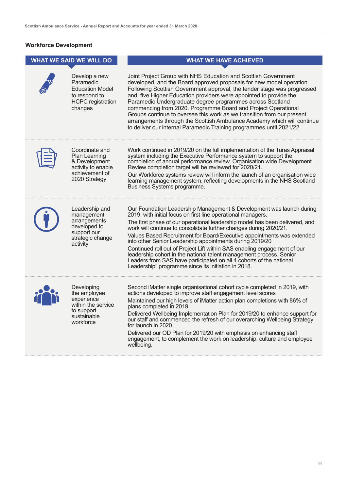#### **Workforce Development**

| <b>WHAT WE SAID WE WILL DO</b>                                                                               | <b>WHAT WE HAVE ACHIEVED</b>                                                                                                                                                                                                                                                                                                                                                                                                                                                                                                                                                                                                                                                                                                |
|--------------------------------------------------------------------------------------------------------------|-----------------------------------------------------------------------------------------------------------------------------------------------------------------------------------------------------------------------------------------------------------------------------------------------------------------------------------------------------------------------------------------------------------------------------------------------------------------------------------------------------------------------------------------------------------------------------------------------------------------------------------------------------------------------------------------------------------------------------|
| Develop a new<br>Paramedic<br><b>Education Model</b><br>to respond to<br><b>HCPC</b> registration<br>changes | Joint Project Group with NHS Education and Scottish Government<br>developed, and the Board approved proposals for new model operation.<br>Following Scottish Government approval, the tender stage was progressed<br>and, five Higher Education providers were appointed to provide the<br>Paramedic Undergraduate degree programmes across Scotland<br>commencing from 2020. Programme Board and Project Operational<br>Groups continue to oversee this work as we transition from our present<br>arrangements through the Scottish Ambulance Academy which will continue<br>to deliver our internal Paramedic Training programmes until 2021/22.                                                                          |
| Coordinate and<br>Plan Learning<br>& Development<br>activity to enable<br>achievement of<br>2020 Strategy    | Work continued in 2019/20 on the full implementation of the Turas Appraisal<br>system including the Executive Performance system to support the<br>completion of annual performance review. Organisation wide Development<br>Review completion target will be reviewed for 2020/21.<br>Our Workforce systems review will inform the launch of an organisation wide<br>learning management system, reflecting developments in the NHS Scotland<br>Business Systems programme.                                                                                                                                                                                                                                                |
| Leadership and<br>management<br>arrangements<br>developed to<br>support our<br>strategic change<br>activity  | Our Foundation Leadership Management & Development was launch during<br>2019, with initial focus on first line operational managers.<br>The first phase of our operational leadership model has been delivered, and<br>work will continue to consolidate further changes during 2020/21.<br>Values Based Recruitment for Board/Executive appointments was extended<br>into other Senior Leadership appointments during 2019/20<br>Continued roll out of Project Lift within SAS enabling engagement of our<br>leadership cohort in the national talent management process. Senior<br>Leaders from SAS have participated on all 4 cohorts of the national<br>Leadership <sup>3</sup> programme since its initiation in 2018. |
| Developing<br>the employee<br>experience<br>within the service<br>to support<br>sustainable<br>workforce     | Second iMatter single organisational cohort cycle completed in 2019, with<br>actions developed to improve staff engagement level scores<br>Maintained our high levels of iMatter action plan completions with 86% of<br>plans completed in 2019<br>Delivered Wellbeing Implementation Plan for 2019/20 to enhance support for<br>our staff and commenced the refresh of our overarching Wellbeing Strategy<br>for launch in 2020.<br>Delivered our OD Plan for 2019/20 with emphasis on enhancing staff<br>engagement, to complement the work on leadership, culture and employee<br>wellbeing.                                                                                                                             |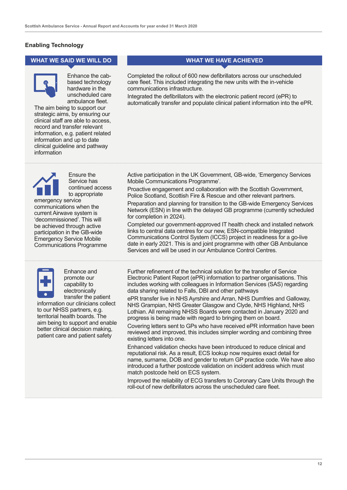#### **Enabling Technology**



Enhance the cabbased technology hardware in the unscheduled care ambulance fleet.

The aim being to support our strategic aims, by ensuring our clinical staff are able to access, record and transfer relevant information, e.g. patient related information and up to date clinical guideline and pathway information

#### WHAT WE SAID WE WILL DO **WHAT WE HAVE ACHIEVED**

Completed the rollout of 600 new defibrillators across our unscheduled care fleet. This included integrating the new units with the in-vehicle communications infrastructure.

Integrated the defibrillators with the electronic patient record (ePR) to automatically transfer and populate clinical patient information into the ePR.



Ensure the Service has continued access to appropriate

emergency service communications when the current Airwave system is 'decommissioned'. This will be achieved through active participation in the GB-wide Emergency Service Mobile Communications Programme



Enhance and promote our capability to electronically transfer the patient

information our clinicians collect to our NHSS partners, e.g. territorial health boards. The aim being to support and enable better clinical decision making, patient care and patient safety

Active participation in the UK Government, GB-wide, 'Emergency Services Mobile Communications Programme'.

Proactive engagement and collaboration with the Scottish Government, Police Scotland, Scottish Fire & Rescue and other relevant partners.

Preparation and planning for transition to the GB-wide Emergency Services Network (ESN) in line with the delayed GB programme (currently scheduled for completion in 2024).

Completed our government-approved IT health check and installed network links to central data centres for our new, ESN-compatible Integrated Communications Control System (ICCS) project in readiness for a go-live date in early 2021. This is and joint programme with other GB Ambulance Services and will be used in our Ambulance Control Centres.

Further refinement of the technical solution for the transfer of Service Electronic Patient Report (ePR) information to partner organisations. This includes working with colleagues in Information Services (SAS) regarding data sharing related to Falls, DBI and other pathways

ePR transfer live in NHS Ayrshire and Arran, NHS Dumfries and Galloway, NHS Grampian, NHS Greater Glasgow and Clyde, NHS Highland, NHS Lothian. All remaining NHSS Boards were contacted in January 2020 and progress is being made with regard to bringing them on board.

Covering letters sent to GPs who have received ePR information have been reviewed and improved, this includes simpler wording and combining three existing letters into one.

Enhanced validation checks have been introduced to reduce clinical and reputational risk. As a result, ECS lookup now requires exact detail for name, surname, DOB and gender to return GP practice code. We have also introduced a further postcode validation on incident address which must match postcode held on ECS system.

Improved the reliability of ECG transfers to Coronary Care Units through the roll-out of new defibrillators across the unscheduled care fleet.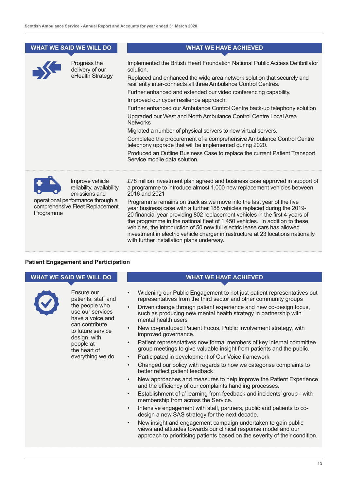| <b>WHAT WE SAID WE WILL DO</b> |                                                                      | <b>WHAT WE HAVE ACHIEVED</b>                                                                                                                                                                                                                                                                                                                           |  |  |
|--------------------------------|----------------------------------------------------------------------|--------------------------------------------------------------------------------------------------------------------------------------------------------------------------------------------------------------------------------------------------------------------------------------------------------------------------------------------------------|--|--|
|                                | Progress the<br>delivery of our<br>eHealth Strategy                  | Implemented the British Heart Foundation National Public Access Defibrillator<br>solution.<br>Replaced and enhanced the wide area network solution that securely and<br>resiliently inter-connects all three Ambulance Control Centres.<br>Further enhanced and extended our video conferencing capability.<br>Improved our cyber resilience approach. |  |  |
|                                |                                                                      | Further enhanced our Ambulance Control Centre back-up telephony solution<br>Upgraded our West and North Ambulance Control Centre Local Area<br><b>Networks</b>                                                                                                                                                                                         |  |  |
|                                |                                                                      | Migrated a number of physical servers to new virtual servers.<br>Completed the procurement of a comprehensive Ambulance Control Centre<br>telephony upgrade that will be implemented during 2020.                                                                                                                                                      |  |  |
|                                |                                                                      | Produced an Outline Business Case to replace the current Patient Transport<br>Service mobile data solution.                                                                                                                                                                                                                                            |  |  |
|                                | Improve vehicle<br>reliability, availability,<br>emissions and       | £78 million investment plan agreed and business case approved in support of<br>a programme to introduce almost 1,000 new replacement vehicles between<br>2016 and 2021                                                                                                                                                                                 |  |  |
| Programme                      | operational performance through a<br>comprehensive Fleet Replacement | Programme remains on track as we move into the last year of the five<br>year business case with a further 188 vehicles replaced during the 2019-<br>20 financial year providing 802 replacement vehicles in the first 4 years of<br>the programme in the national fleet of 1,450 vehicles. In addition to these                                        |  |  |

with further installation plans underway.

#### **Patient Engagement and Participation**



Ensure our patients, staff and the people who use our services have a voice and can contribute to future service design, with people at the heart of everything we do

#### WHAT WE SAID WE WILL DO **WILL DO WHAT WE HAVE ACHIEVED**

vehicles, the introduction of 50 new full electric lease cars has allowed investment in electric vehicle charger infrastructure at 23 locations nationally

- Widening our Public Engagement to not just patient representatives but representatives from the third sector and other community groups
- Driven change through patient experience and new co-design focus, such as producing new mental health strategy in partnership with mental health users
- New co-produced Patient Focus, Public Involvement strategy, with improved governance.
- Patient representatives now formal members of key internal committee group meetings to give valuable insight from patients and the public.
- Participated in development of Our Voice framework
- Changed our policy with regards to how we categorise complaints to better reflect patient feedback
- New approaches and measures to help improve the Patient Experience and the efficiency of our complaints handling processes.
- Establishment of a' learning from feedback and incidents' group with membership from across the Service.
- Intensive engagement with staff, partners, public and patients to codesign a new SAS strategy for the next decade.
- New insight and engagement campaign undertaken to gain public views and attitudes towards our clinical response model and our approach to prioritising patients based on the severity of their condition.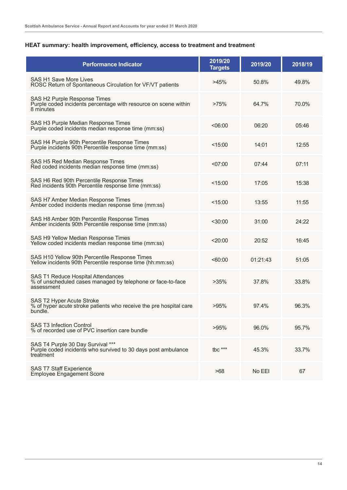#### **HEAT summary: health improvement, efficiency, access to treatment and treatment**

| <b>Performance Indicator</b>                                                                                    | 2019/20<br><b>Targets</b> | 2019/20  | 2018/19 |
|-----------------------------------------------------------------------------------------------------------------|---------------------------|----------|---------|
| SAS H1 Save More Lives<br>ROSC Return of Spontaneous Circulation for VF/VT patients                             | >45%                      | 50.8%    | 49.8%   |
| SAS H2 Purple Response Times<br>Purple coded incidents percentage with resource on scene within<br>8 minutes    | >75%                      | 64.7%    | 70.0%   |
| SAS H3 Purple Median Response Times<br>Purple coded incidents median response time (mm:ss)                      | < 06:00                   | 06:20    | 05:46   |
| SAS H4 Purple 90th Percentile Response Times<br>Purple incidents 90th Percentile response time (mm:ss)          | $<$ 15:00                 | 14:01    | 12:55   |
| SAS H5 Red Median Response Times<br>Red coded incidents median response time (mm:ss)                            | $<$ 07:00                 | 07:44    | 07:11   |
| SAS H6 Red 90th Percentile Response Times<br>Red incidents 90th Percentile response time (mm:ss)                | < 15:00                   | 17:05    | 15:38   |
| SAS H7 Amber Median Response Times<br>Amber coded incidents median response time (mm:ss)                        | < 15:00                   | 13:55    | 11:55   |
| SAS H8 Amber 90th Percentile Response Times<br>Amber incidents 90th Percentile response time (mm:ss)            | $<$ 30:00                 | 31:00    | 24:22   |
| SAS H9 Yellow Median Response Times<br>Yellow coded incidents median response time (mm:ss)                      | $<$ 20:00                 | 20:52    | 16:45   |
| SAS H10 Yellow 90th Percentile Response Times<br>Yellow incidents 90th Percentile response time (hh:mm:ss)      | < 60:00                   | 01:21:43 | 51:05   |
| SAS T1 Reduce Hospital Attendances<br>% of unscheduled cases managed by telephone or face-to-face<br>assessment | $>35\%$                   | 37.8%    | 33.8%   |
| SAS T2 Hyper Acute Stroke<br>% of hyper acute stroke patients who receive the pre hospital care<br>bundle.      | >95%                      | 97.4%    | 96.3%   |
| <b>SAS T3 Infection Control</b><br>% of recorded use of PVC insertion care bundle                               | >95%                      | 96.0%    | 95.7%   |
| SAS T4 Purple 30 Day Survival ***<br>Purple coded incidents who survived to 30 days post ambulance<br>treatment | tbc ***                   | 45.3%    | 33.7%   |
| <b>SAS T7 Staff Experience</b><br><b>Employee Engagement Score</b>                                              | >68                       | No EEI   | 67      |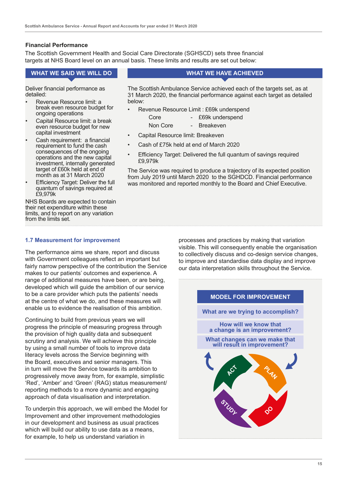#### **Financial Performance**

The Scottish Government Health and Social Care Directorate (SGHSCD) sets three financial targets at NHS Board level on an annual basis. These limits and results are set out below:

Deliver financial performance as detailed:

- Revenue Resource limit: a break even resource budget for ongoing operations
- Capital Resource limit: a break even resource budget for new capital investment
- Cash requirement: a financial requirement to fund the cash consequences of the ongoing operations and the new capital investment, internally generated target of £60k held at end of month as at 31 March 2020
- **Efficiency Target: Deliver the full** quantum of savings required at £9,979k

NHS Boards are expected to contain their net expenditure within these limits, and to report on any variation from the limits set.

WHAT WE SAID WE WILL DO **WHAT WE HAVE ACHIEVED** 

The Scottish Ambulance Service achieved each of the targets set, as at 31 March 2020, the financial performance against each target as detailed below:

- Revenue Resource Limit : £69k underspend
	- Core £69k underspend
	- Non Core Breakeven
- Capital Resource limit: Breakeven
- Cash of £75k held at end of March 2020
- Efficiency Target: Delivered the full quantum of savings required £9,979k

The Service was required to produce a trajectory of its expected position from July 2019 until March 2020 to the SGHDCD. Financial performance was monitored and reported monthly to the Board and Chief Executive.

#### **1.7 Measurement for improvement**

The performance aims we share, report and discuss with Government colleagues reflect an important but fairly narrow perspective of the contribution the Service makes to our patients' outcomes and experience. A range of additional measures have been, or are being, developed which will guide the ambition of our service to be a care provider which puts the patients' needs at the centre of what we do, and these measures will enable us to evidence the realisation of this ambition.

Continuing to build from previous years we will progress the principle of measuring progress through the provision of high quality data and subsequent scrutiny and analysis. We will achieve this principle by using a small number of tools to improve data literacy levels across the Service beginning with the Board, executives and senior managers. This in turn will move the Service towards its ambition to progressively move away from, for example, simplistic 'Red', 'Amber' and 'Green' (RAG) status measurement/ reporting methods to a more dynamic and engaging approach of data visualisation and interpretation.

To underpin this approach, we will embed the Model for Improvement and other improvement methodologies in our development and business as usual practices which will build our ability to use data as a means, for example, to help us understand variation in

processes and practices by making that variation visible. This will consequently enable the organisation to collectively discuss and co-design service changes, to improve and standardise data display and improve our data interpretation skills throughout the Service.

#### **MODEL FOR IMPROVEMENT**

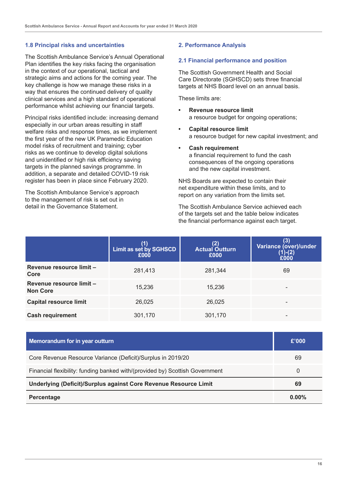#### **1.8 Principal risks and uncertainties**

The Scottish Ambulance Service's Annual Operational Plan identifies the key risks facing the organisation in the context of our operational, tactical and strategic aims and actions for the coming year. The key challenge is how we manage these risks in a way that ensures the continued delivery of quality clinical services and a high standard of operational performance whilst achieving our financial targets.

Principal risks identified include: increasing demand especially in our urban areas resulting in staff welfare risks and response times, as we implement the first year of the new UK Paramedic Education model risks of recruitment and training; cyber risks as we continue to develop digital solutions and unidentified or high risk efficiency saving targets in the planned savings programme. In addition, a separate and detailed COVID-19 risk register has been in place since February 2020.

The Scottish Ambulance Service's approach to the management of risk is set out in detail in the Governance Statement.

#### **2. Performance Analysis**

#### **2.1 Financial performance and position**

The Scottish Government Health and Social Care Directorate (SGHSCD) sets three financial targets at NHS Board level on an annual basis.

These limits are:

- **• Revenue resource limit** a resource budget for ongoing operations;
- **• Capital resource limit** a resource budget for new capital investment; and
- **• Cash requirement** a financial requirement to fund the cash consequences of the ongoing operations and the new capital investment.

NHS Boards are expected to contain their net expenditure within these limits, and to report on any variation from the limits set.

The Scottish Ambulance Service achieved each of the targets set and the table below indicates the financial performance against each target.

|                                             | (1)<br>Limit as set by SGHSCD<br>£000 | (2)<br><b>Actual Outturn</b><br>£000 | (3)<br>Variance (over)/under<br>$(1)-(2)$<br>£000 |
|---------------------------------------------|---------------------------------------|--------------------------------------|---------------------------------------------------|
| Revenue resource limit -<br>Core            | 281,413                               | 281,344                              | 69                                                |
| Revenue resource limit -<br><b>Non Core</b> | 15,236                                | 15,236                               |                                                   |
| <b>Capital resource limit</b>               | 26,025                                | 26,025                               | -                                                 |
| <b>Cash requirement</b>                     | 301,170                               | 301,170                              |                                                   |

| Memorandum for in year outturn                                               | £'000    |
|------------------------------------------------------------------------------|----------|
| Core Revenue Resource Variance (Deficit)/Surplus in 2019/20                  | 69       |
| Financial flexibility: funding banked with/(provided by) Scottish Government | 0        |
| Underlying (Deficit)/Surplus against Core Revenue Resource Limit             | 69       |
| Percentage                                                                   | $0.00\%$ |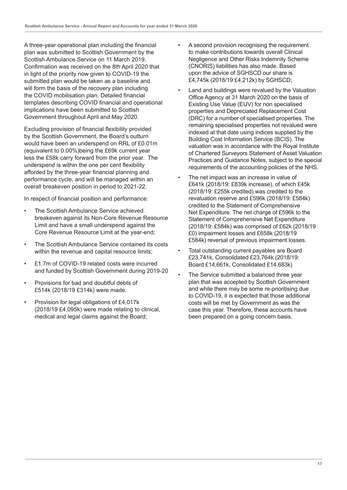A three-year operational plan including the financial plan was submitted to Scottish Government by the Scottish Ambulance Service on 11 March 2019. Confirmation was received on the 8th April 2020 that in light of the priority now given to COVID-19 the submitted plan would be taken as a baseline and will form the basis of the recovery plan including the COVID mobilisation plan. Detailed financial templates describing COVID financial and operational implications have been submitted to Scottish Government throughout April and May 2020.

Excluding provision of financial flexibility provided by the Scottish Government, the Board's outturn would have been an underspend on RRL of £0.01m (equivalent to 0.00%)being the £69k current year less the £58k carry forward from the prior year. The underspend is within the one per cent flexibility afforded by the three-year financial planning and performance cycle, and will be managed within an overall breakeven position in period to 2021-22.

In respect of financial position and performance:

- The Scottish Ambulance Service achieved breakeven against its Non-Core Revenue Resource Limit and have a small underspend against the Core Revenue Resource Limit at the year-end;
- The Scottish Ambulance Service contained its costs within the revenue and capital resource limits:
- £1.7m of COVID-19 related costs were incurred and funded by Scottish Government during 2019-20
- Provisions for bad and doubtful debts of £514k (2018/19 £314k) were made.
- Provision for legal obligations of £4,017k (2018/19 £4,095k) were made relating to clinical, medical and legal claims against the Board;
- A second provision recognising the requirement to make contributions towards overall Clinical Negligence and Other Risks Indemnity Scheme (CNORIS) liabilities has also made. Based upon the advice of SGHSCD our share is £4,745k (2018/19 £4,212k) by SGHSCD;
- Land and buildings were revalued by the Valuation Office Agency at 31 March 2020 on the basis of Existing Use Value (EUV) for non specialised properties and Depreciated Replacement Cost (DRC) for a number of specialised properties. The remaining specialised properties not revalued were indexed at that date using indices supplied by the Building Cost Information Service (BCIS). The valuation was in accordance with the Royal Institute of Chartered Surveyors Statement of Asset Valuation Practices and Guidance Notes, subject to the special requirements of the accounting policies of the NHS.
- The net impact was an increase in value of £641k (2018/19: £839k increase), of which £45k (2018/19: £255k credited) was credited to the revaluation reserve and £596k (2018/19: £584k) credited to the Statement of Comprehensive Net Expenditure. The net charge of £596k to the Statement of Comprehensive Net Expenditure (2018/19: £584k) was comprised of £62k (2018/19 £0) impairment losses and £658k (2018/19 £584k) reversal of previous impairment losses.
- Total outstanding current payables are Board £23,741k, Consolidated £23,764k (2018/19: Board £14,661k, Consolidated £14,683k)
- The Service submitted a balanced three year plan that was accepted by Scottish Government and while there may be some re-prioritising due to COVID-19, it is expected that those additional costs will be met by Government as was the case this year. Therefore, these accounts have been prepared on a going concern basis.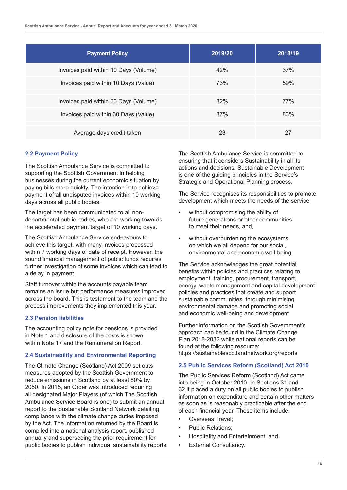| <b>Payment Policy</b>                 | 2019/20 | 2018/19 |
|---------------------------------------|---------|---------|
| Invoices paid within 10 Days (Volume) | 42%     | 37%     |
| Invoices paid within 10 Days (Value)  | 73%     | 59%     |
|                                       |         |         |
| Invoices paid within 30 Days (Volume) | 82%     | 77%     |
| Invoices paid within 30 Days (Value)  | 87%     | 83%     |
|                                       |         |         |
| Average days credit taken             | 23      | 27      |

#### **2.2 Payment Policy**

The Scottish Ambulance Service is committed to supporting the Scottish Government in helping businesses during the current economic situation by paying bills more quickly. The intention is to achieve payment of all undisputed invoices within 10 working days across all public bodies.

The target has been communicated to all nondepartmental public bodies, who are working towards the accelerated payment target of 10 working days.

The Scottish Ambulance Service endeavours to achieve this target, with many invoices processed within 7 working days of date of receipt. However, the sound financial management of public funds requires further investigation of some invoices which can lead to a delay in payment.

Staff turnover within the accounts payable team remains an issue but performance measures improved across the board. This is testament to the team and the process improvements they implemented this year.

#### **2.3 Pension liabilities**

The accounting policy note for pensions is provided in Note 1 and disclosure of the costs is shown within Note 17 and the Remuneration Report.

#### **2.4 Sustainability and Environmental Reporting**

The Climate Change (Scotland) Act 2009 set outs measures adopted by the Scottish Government to reduce emissions in Scotland by at least 80% by 2050. In 2015, an Order was introduced requiring all designated Major Players (of which The Scottish Ambulance Service Board is one) to submit an annual report to the Sustainable Scotland Network detailing compliance with the climate change duties imposed by the Act. The information returned by the Board is compiled into a national analysis report, published annually and superseding the prior requirement for public bodies to publish individual sustainability reports. The Scottish Ambulance Service is committed to ensuring that it considers Sustainability in all its actions and decisions. Sustainable Development is one of the guiding principles in the Service's Strategic and Operational Planning process.

The Service recognises its responsibilities to promote development which meets the needs of the service

- without compromising the ability of future generations or other communities to meet their needs, and,
- without overburdening the ecosystems on which we all depend for our social, environmental and economic well-being.

The Service acknowledges the great potential benefits within policies and practices relating to employment, training, procurement, transport, energy, waste management and capital development policies and practices that create and support sustainable communities, through minimising environmental damage and promoting social and economic well-being and development.

Further information on the Scottish Government's approach can be found in the Climate Change Plan 2018-2032 while national reports can be found at the following resource: <https://sustainablescotlandnetwork.org/reports>

#### **2.5 Public Services Reform (Scotland) Act 2010**

The Public Services Reform (Scotland) Act came into being in October 2010. In Sections 31 and 32 it placed a duty on all public bodies to publish information on expenditure and certain other matters as soon as is reasonably practicable after the end of each financial year. These items include:

- Overseas Travel;
- Public Relations;
- Hospitality and Entertainment; and
- **External Consultancy.**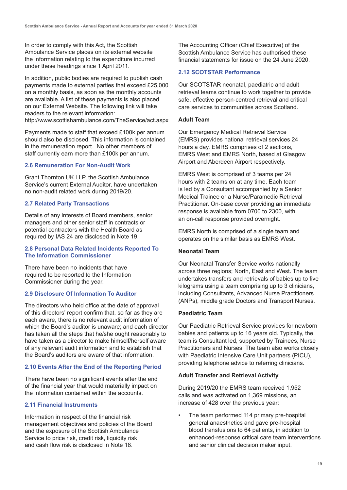In order to comply with this Act, the Scottish Ambulance Service places on its external website the information relating to the expenditure incurred under these headings since 1 April 2011.

In addition, public bodies are required to publish cash payments made to external parties that exceed £25,000 on a monthly basis, as soon as the monthly accounts are available. A list of these payments is also placed on our External Website. The following link will take readers to the relevant information: <http://www.scottishambulance.com/TheService/act.aspx>

Payments made to staff that exceed £100k per annum should also be disclosed. This information is contained in the remuneration report. No other members of staff currently earn more than £100k per annum.

#### **2.6 Remuneration For Non-Audit Work**

Grant Thornton UK LLP, the Scottish Ambulance Service's current External Auditor, have undertaken no non-audit related work during 2019/20.

#### **2.7 Related Party Transactions**

Details of any interests of Board members, senior managers and other senior staff in contracts or potential contractors with the Health Board as required by IAS 24 are disclosed in Note 19.

#### **2.8 Personal Data Related Incidents Reported To The Information Commissioner**

There have been no incidents that have required to be reported to the Information Commissioner during the year.

#### **2.9 Disclosure Of Information To Auditor**

The directors who held office at the date of approval of this directors' report confirm that, so far as they are each aware, there is no relevant audit information of which the Board's auditor is unaware; and each director has taken all the steps that he/she ought reasonably to have taken as a director to make himself/herself aware of any relevant audit information and to establish that the Board's auditors are aware of that information.

#### **2.10 Events After the End of the Reporting Period**

There have been no significant events after the end of the financial year that would materially impact on the information contained within the accounts.

#### **2.11 Financial Instruments**

Information in respect of the financial risk management objectives and policies of the Board and the exposure of the Scottish Ambulance Service to price risk, credit risk, liquidity risk and cash flow risk is disclosed in Note 18.

The Accounting Officer (Chief Executive) of the Scottish Ambulance Service has authorised these financial statements for issue on the 24 June 2020.

#### **2.12 SCOTSTAR Performance**

Our SCOTSTAR neonatal, paediatric and adult retrieval teams continue to work together to provide safe, effective person-centred retrieval and critical care services to communities across Scotland.

#### **Adult Team**

Our Emergency Medical Retrieval Service (EMRS) provides national retrieval services 24 hours a day. EMRS comprises of 2 sections, EMRS West and EMRS North, based at Glasgow Airport and Aberdeen Airport respectively.

EMRS West is comprised of 3 teams per 24 hours with 2 teams on at any time. Each team is led by a Consultant accompanied by a Senior Medical Trainee or a Nurse/Paramedic Retrieval Practitioner. On-base cover providing an immediate response is available from 0700 to 2300, with an on-call response provided overnight.

EMRS North is comprised of a single team and operates on the similar basis as EMRS West.

#### **Neonatal Team**

Our Neonatal Transfer Service works nationally across three regions; North, East and West. The team undertakes transfers and retrievals of babies up to five kilograms using a team comprising up to 3 clinicians, including Consultants, Advanced Nurse Practitioners (ANPs), middle grade Doctors and Transport Nurses.

#### **Paediatric Team**

Our Paediatric Retrieval Service provides for newborn babies and patients up to 16 years old. Typically, the team is Consultant led, supported by Trainees, Nurse Practitioners and Nurses. The team also works closely with Paediatric Intensive Care Unit partners (PICU), providing telephone advice to referring clinicians.

#### **Adult Transfer and Retrieval Activity**

During 2019/20 the EMRS team received 1,952 calls and was activated on 1,369 missions, an increase of 428 over the previous year:

The team performed 114 primary pre-hospital general anaesthetics and gave pre-hospital blood transfusions to 64 patients, in addition to enhanced-response critical care team interventions and senior clinical decision maker input.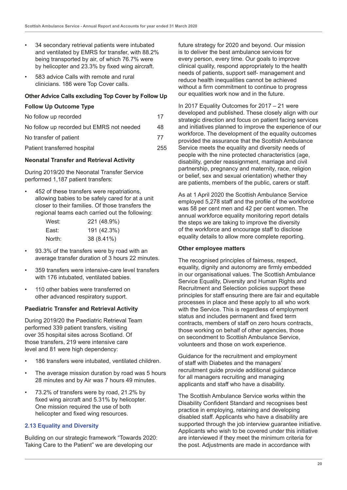- 34 secondary retrieval patients were intubated and ventilated by EMRS for transfer, with 88.2% being transported by air, of which 76.7% were by helicopter and 23.3% by fixed wing aircraft.
- 583 advice Calls with remote and rural clinicians. 186 were Top Cover calls.

#### **Other Advice Calls excluding Top Cover by Follow Up**

#### **Follow Up Outcome Type**

| No follow up recorded                     | 17  |
|-------------------------------------------|-----|
| No follow up recorded but EMRS not needed | 48  |
| No transfer of patient                    | 77  |
| Patient transferred hospital              | 255 |

#### **Neonatal Transfer and Retrieval Activity**

During 2019/20 the Neonatal Transfer Service performed 1,187 patient transfers:

• 452 of these transfers were repatriations, allowing babies to be safely cared for at a unit closer to their families. Of those transfers the regional teams each carried out the following:

| West:  | 221 (48.9%) |
|--------|-------------|
| East:  | 191 (42.3%) |
| North: | 38 (8.41%)  |

- 93.3% of the transfers were by road with an average transfer duration of 3 hours 22 minutes.
- 359 transfers were intensive-care level transfers with 176 intubated, ventilated babies.
- 110 other babies were transferred on other advanced respiratory support.

#### **Paediatric Transfer and Retrieval Activity**

During 2019/20 the Paediatric Retrieval Team performed 339 patient transfers, visiting over 35 hospital sites across Scotland. Of those transfers, 219 were intensive care level and 81 were high dependency:

- 186 transfers were intubated, ventilated children.
- The average mission duration by road was 5 hours 28 minutes and by Air was 7 hours 49 minutes.
- 73.2% of transfers were by road, 21.2% by fixed wing aircraft and 5.31% by helicopter. One mission required the use of both helicopter and fixed wing resources.

#### **2.13 Equality and Diversity**

Building on our strategic framework "Towards 2020: Taking Care to the Patient" we are developing our

future strategy for 2020 and beyond. Our mission is to deliver the best ambulance services for every person, every time. Our goals to improve clinical quality, respond appropriately to the health needs of patients, support self- management and reduce health inequalities cannot be achieved without a firm commitment to continue to progress our equalities work now and in the future.

In 2017 Equality Outcomes for 2017 – 21 were developed and published. These closely align with our strategic direction and focus on patient facing services and initiatives planned to improve the experience of our workforce. The development of the equality outcomes provided the assurance that the Scottish Ambulance Service meets the equality and diversity needs of people with the nine protected characteristics (age, disability, gender reassignment, marriage and civil partnership, pregnancy and maternity, race, religion or belief, sex and sexual orientation) whether they are patients, members of the public, carers or staff.

As at 1 April 2020 the Scottish Ambulance Service employed 5,278 staff and the profile of the workforce was 58 per cent men and 42 per cent women. The annual workforce equality monitoring report details the steps we are taking to improve the diversity of the workforce and encourage staff to disclose equality details to allow more complete reporting.

#### **Other employee matters**

The recognised principles of fairness, respect, equality, dignity and autonomy are firmly embedded in our organisational values. The Scottish Ambulance Service Equality, Diversity and Human Rights and Recruitment and Selection policies support these principles for staff ensuring there are fair and equitable processes in place and these apply to all who work with the Service. This is regardless of employment status and includes permanent and fixed term contracts, members of staff on zero hours contracts, those working on behalf of other agencies, those on secondment to Scottish Ambulance Service, volunteers and those on work experience.

Guidance for the recruitment and employment of staff with Diabetes and the managers' recruitment guide provide additional guidance for all managers recruiting and managing applicants and staff who have a disability.

The Scottish Ambulance Service works within the Disability Confident Standard and recognises best practice in employing, retaining and developing disabled staff. Applicants who have a disability are supported through the job interview guarantee initiative. Applicants who wish to be covered under this initiative are interviewed if they meet the minimum criteria for the post. Adjustments are made in accordance with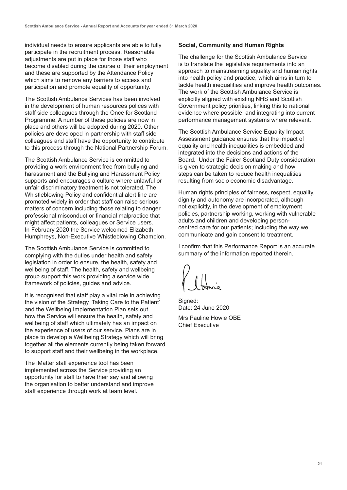individual needs to ensure applicants are able to fully participate in the recruitment process. Reasonable adjustments are put in place for those staff who become disabled during the course of their employment and these are supported by the Attendance Policy which aims to remove any barriers to access and participation and promote equality of opportunity.

The Scottish Ambulance Services has been involved in the development of human resources polices with staff side colleagues through the Once for Scotland Programme. A number of these policies are now in place and others will be adopted during 2020. Other policies are developed in partnership with staff side colleagues and staff have the opportunity to contribute to this process through the National Partnership Forum.

The Scottish Ambulance Service is committed to providing a work environment free from bullying and harassment and the Bullying and Harassment Policy supports and encourages a culture where unlawful or unfair discriminatory treatment is not tolerated. The Whistleblowing Policy and confidential alert line are promoted widely in order that staff can raise serious matters of concern including those relating to danger, professional misconduct or financial malpractice that might affect patients, colleagues or Service users. In February 2020 the Service welcomed Elizabeth Humphreys, Non-Executive Whistleblowing Champion.

The Scottish Ambulance Service is committed to complying with the duties under health and safety legislation in order to ensure, the health, safety and wellbeing of staff. The health, safety and wellbeing group support this work providing a service wide framework of policies, guides and advice.

It is recognised that staff play a vital role in achieving the vision of the Strategy 'Taking Care to the Patient' and the Wellbeing Implementation Plan sets out how the Service will ensure the health, safety and wellbeing of staff which ultimately has an impact on the experience of users of our service. Plans are in place to develop a Wellbeing Strategy which will bring together all the elements currently being taken forward to support staff and their wellbeing in the workplace.

The iMatter staff experience tool has been implemented across the Service providing an opportunity for staff to have their say and allowing the organisation to better understand and improve staff experience through work at team level.

#### **Social, Community and Human Rights**

The challenge for the Scottish Ambulance Service is to translate the legislative requirements into an approach to mainstreaming equality and human rights into health policy and practice, which aims in turn to tackle health inequalities and improve health outcomes. The work of the Scottish Ambulance Service is explicitly aligned with existing NHS and Scottish Government policy priorities, linking this to national evidence where possible, and integrating into current performance management systems where relevant.

The Scottish Ambulance Service Equality Impact Assessment guidance ensures that the impact of equality and health inequalities is embedded and integrated into the decisions and actions of the Board. Under the Fairer Scotland Duty consideration is given to strategic decision making and how steps can be taken to reduce health inequalities resulting from socio economic disadvantage.

Human rights principles of fairness, respect, equality, dignity and autonomy are incorporated, although not explicitly, in the development of employment policies, partnership working, working with vulnerable adults and children and developing personcentred care for our patients; including the way we communicate and gain consent to treatment.

I confirm that this Performance Report is an accurate summary of the information reported therein.

Signed: Date: 24 June 2020

Mrs Pauline Howie OBE Chief Executive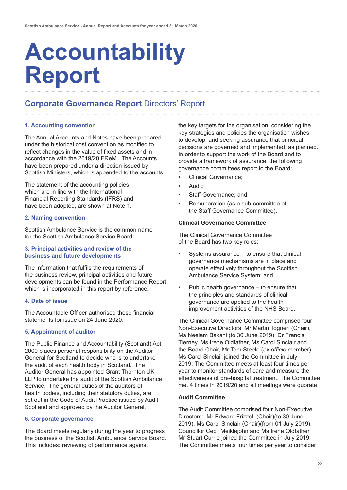# **Accountability Report**

### **Corporate Governance Report** Directors' Report

#### **1. Accounting convention**

The Annual Accounts and Notes have been prepared under the historical cost convention as modified to reflect changes in the value of fixed assets and in accordance with the 2019/20 FReM. The Accounts have been prepared under a direction issued by Scottish Ministers, which is appended to the accounts.

The statement of the accounting policies, which are in line with the International Financial Reporting Standards (IFRS) and have been adopted, are shown at Note 1.

#### **2. Naming convention**

Scottish Ambulance Service is the common name for the Scottish Ambulance Service Board.

#### **3. Principal activities and review of the business and future developments**

The information that fulfils the requirements of the business review, principal activities and future developments can be found in the Performance Report, which is incorporated in this report by reference.

#### **4. Date of issue**

The Accountable Officer authorised these financial statements for issue on 24 June 2020.

#### **5. Appointment of auditor**

The Public Finance and Accountability (Scotland) Act 2000 places personal responsibility on the Auditor General for Scotland to decide who is to undertake the audit of each health body in Scotland. The Auditor General has appointed Grant Thornton UK LLP to undertake the audit of the Scottish Ambulance Service. The general duties of the auditors of health bodies, including their statutory duties, are set out in the Code of Audit Practice issued by Audit Scotland and approved by the Auditor General.

#### **6. Corporate governance**

The Board meets regularly during the year to progress the business of the Scottish Ambulance Service Board. This includes: reviewing of performance against

the key targets for the organisation; considering the key strategies and policies the organisation wishes to develop; and seeking assurance that principal decisions are governed and implemented, as planned. In order to support the work of the Board and to provide a framework of assurance, the following governance committees report to the Board:

- Clinical Governance;
- Audit:
- Staff Governance; and
- Remuneration (as a sub-committee of the Staff Governance Committee).

#### **Clinical Governance Committee**

The Clinical Governance Committee of the Board has two key roles:

- Systems assurance to ensure that clinical governance mechanisms are in place and operate effectively throughout the Scottish Ambulance Service System; and
- Public health governance to ensure that the principles and standards of clinical governance are applied to the health improvement activities of the NHS Board.

The Clinical Governance Committee comprised four Non-Executive Directors: Mr Martin Togneri (Chair), Ms Neelam Bakshi (to 30 June 2019), Dr Francis Tierney, Ms Irene Oldfather, Ms Carol Sinclair and the Board Chair, Mr Tom Steele (*ex officio* member). Ms Carol Sinclair joined the Committee in July 2019. The Committee meets at least four times per year to monitor standards of care and measure the effectiveness of pre-hospital treatment. The Committee met 4 times in 2019/20 and all meetings were quorate.

#### **Audit Committee**

The Audit Committee comprised four Non-Executive Directors: Mr Edward Frizzell (Chair)(to 30 June 2019), Ms Carol Sinclair (Chair)(from 01 July 2019), Councillor Cecil Meiklejohn and Ms Irene Oldfather. Mr Stuart Currie joined the Committee in July 2019. The Committee meets four times per year to consider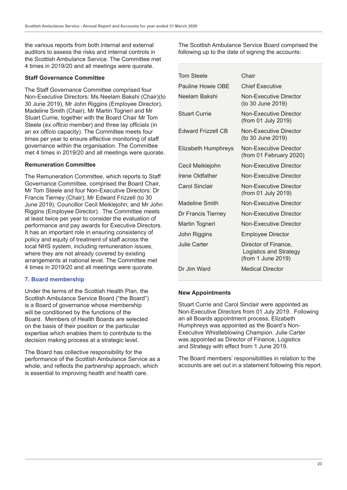the various reports from both internal and external auditors to assess the risks and internal controls in the Scottish Ambulance Service. The Committee met 4 times in 2019/20 and all meetings were quorate.

#### **Staff Governance Committee**

The Staff Governance Committee comprised four Non-Executive Directors: Ms Neelam Bakshi (Chair)(to 30 June 2019), Mr John Riggins (Employee Director), Madeline Smith (Chair), Mr Martin Togneri and Mr Stuart Currie, together with the Board Chair Mr Tom Steele (*ex officio* member) and three lay officials (in an *ex officio* capacity). The Committee meets four times per year to ensure effective monitoring of staff governance within the organisation. The Committee met 4 times in 2019/20 and all meetings were quorate.

#### **Remuneration Committee**

The Remuneration Committee, which reports to Staff Governance Committee, comprised the Board Chair, Mr Tom Steele and four Non-Executive Directors: Dr Francis Tierney (Chair); Mr Edward Frizzell (to 30 June 2019); Councillor Cecil Meiklejohn; and Mr John Riggins (Employee Director). The Committee meets at least twice per year to consider the evaluation of performance and pay awards for Executive Directors. It has an important role in ensuring consistency of policy and equity of treatment of staff across the local NHS system, including remuneration issues, where they are not already covered by existing arrangements at national level. The Committee met 4 times in 2019/20 and all meetings were quorate.

#### **7. Board membership**

Under the terms of the Scottish Health Plan, the Scottish Ambulance Service Board ("the Board") is a Board of governance whose membership will be conditioned by the functions of the Board. Members of Health Boards are selected on the basis of their position or the particular expertise which enables them to contribute to the decision making process at a strategic level.

The Board has collective responsibility for the performance of the Scottish Ambulance Service as a whole, and reflects the partnership approach, which is essential to improving health and health care.

The Scottish Ambulance Service Board comprised the following up to the date of signing the accounts:

| <b>Tom Steele</b>         | Chair                                                                |
|---------------------------|----------------------------------------------------------------------|
| <b>Pauline Howie OBE</b>  | <b>Chief Executive</b>                                               |
| Neelam Bakshi             | Non-Executive Director<br>(to 30 June 2019)                          |
| <b>Stuart Currie</b>      | Non-Executive Director<br>(from 01 July 2019)                        |
| <b>Edward Frizzell CB</b> | Non-Executive Director<br>(to 30 June 2019)                          |
| Elizabeth Humphreys       | Non-Executive Director<br>(from 01 February 2020)                    |
| Cecil Meiklejohn          | Non-Executive Director                                               |
| Irene Oldfather           | Non-Executive Director                                               |
| <b>Carol Sinclair</b>     | Non-Executive Director<br>(from 01 July 2019)                        |
| <b>Madeline Smith</b>     | Non-Executive Director                                               |
| Dr Francis Tierney        | Non-Executive Director                                               |
| Martin Togneri            | Non-Executive Director                                               |
| John Riggins              | <b>Employee Director</b>                                             |
| <b>Julie Carter</b>       | Director of Finance,<br>Logistics and Strategy<br>(from 1 June 2019) |
| Dr Jim Ward               | <b>Medical Director</b>                                              |
|                           |                                                                      |

#### **New Appointments**

Stuart Currie and Carol Sinclair were appointed as Non-Executive Directors from 01 July 2019. Following an all Boards appointment process, Elizabeth Humphreys was appointed as the Board's Non-Executive Whistleblowing Champion. Julie Carter was appointed as Director of Finance, Logistics and Strategy with effect from 1 June 2019.

The Board members' responsibilities in relation to the accounts are set out in a statement following this report.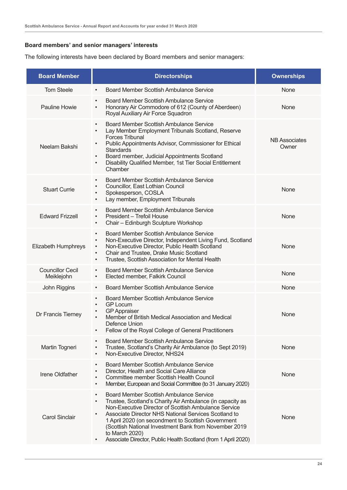#### **Board members' and senior managers' interests**

The following interests have been declared by Board members and senior managers:

| <b>Board Member</b>                   | <b>Directorships</b>                                                                                                                                                                                                                                                                                                                                                                                                                                                         | <b>Ownerships</b>      |
|---------------------------------------|------------------------------------------------------------------------------------------------------------------------------------------------------------------------------------------------------------------------------------------------------------------------------------------------------------------------------------------------------------------------------------------------------------------------------------------------------------------------------|------------------------|
| <b>Tom Steele</b>                     | Board Member Scottish Ambulance Service<br>$\bullet$                                                                                                                                                                                                                                                                                                                                                                                                                         | None                   |
| <b>Pauline Howie</b>                  | Board Member Scottish Ambulance Service<br>$\bullet$<br>Honorary Air Commodore of 612 (County of Aberdeen)<br>$\bullet$<br>Royal Auxiliary Air Force Squadron                                                                                                                                                                                                                                                                                                                | None                   |
| Neelam Bakshi                         | Board Member Scottish Ambulance Service<br>$\bullet$<br>Lay Member Employment Tribunals Scotland, Reserve<br>$\bullet$<br>Forces Tribunal<br>Public Appointments Advisor, Commissioner for Ethical<br>Standards<br>Board member, Judicial Appointments Scotland<br>$\bullet$<br>Disability Qualified Member, 1st Tier Social Entitlement<br>$\bullet$<br>Chamber                                                                                                             | NB Associates<br>Owner |
| <b>Stuart Currie</b>                  | <b>Board Member Scottish Ambulance Service</b><br>$\bullet$<br>Councillor, East Lothian Council<br>$\bullet$<br>Spokesperson, COSLA<br>$\bullet$<br>Lay member, Employment Tribunals<br>$\bullet$                                                                                                                                                                                                                                                                            | None                   |
| <b>Edward Frizzell</b>                | <b>Board Member Scottish Ambulance Service</b><br>President - Trefoil House<br>$\bullet$<br>Chair - Edinburgh Sculpture Workshop<br>$\bullet$                                                                                                                                                                                                                                                                                                                                | None                   |
| Elizabeth Humphreys                   | Board Member Scottish Ambulance Service<br>$\bullet$<br>Non-Executive Director, Independent Living Fund, Scotland<br>$\bullet$<br>Non-Executive Director, Public Health Scotland<br>$\bullet$<br>Chair and Trustee, Drake Music Scotland<br>$\bullet$<br>Trustee, Scottish Association for Mental Health<br>$\bullet$                                                                                                                                                        | None                   |
| <b>Councillor Cecil</b><br>Meiklejohn | <b>Board Member Scottish Ambulance Service</b><br>$\bullet$<br>Elected member, Falkirk Council                                                                                                                                                                                                                                                                                                                                                                               | None                   |
| John Riggins                          | <b>Board Member Scottish Ambulance Service</b><br>$\bullet$                                                                                                                                                                                                                                                                                                                                                                                                                  | <b>None</b>            |
| Dr Francis Tierney                    | Board Member Scottish Ambulance Service<br>$\bullet$<br><b>GP Locum</b><br>$\bullet$<br><b>GP Appraiser</b><br>$\bullet$<br>Member of British Medical Association and Medical<br>Defence Union<br>Fellow of the Royal College of General Practitioners<br>$\bullet$                                                                                                                                                                                                          | None                   |
| Martin Togneri                        | Board Member Scottish Ambulance Service<br>Trustee, Scotland's Charity Air Ambulance (to Sept 2019)<br>$\bullet$<br>Non-Executive Director, NHS24                                                                                                                                                                                                                                                                                                                            | None                   |
| <b>Irene Oldfather</b>                | Board Member Scottish Ambulance Service<br>$\bullet$<br>Director, Health and Social Care Alliance<br>$\bullet$<br>Committee member Scottish Health Council<br>$\bullet$<br>Member, European and Social Committee (to 31 January 2020)<br>$\bullet$                                                                                                                                                                                                                           | None                   |
| <b>Carol Sinclair</b>                 | Board Member Scottish Ambulance Service<br>$\bullet$<br>Trustee, Scotland's Charity Air Ambulance (in capacity as<br>$\bullet$<br>Non-Executive Director of Scottish Ambulance Service<br>Associate Director NHS National Services Scotland to<br>$\bullet$<br>1 April 2020 (on secondment to Scottish Government<br>(Scottish National Investment Bank from November 2019)<br>to March 2020)<br>Associate Director, Public Health Scotland (from 1 April 2020)<br>$\bullet$ | None                   |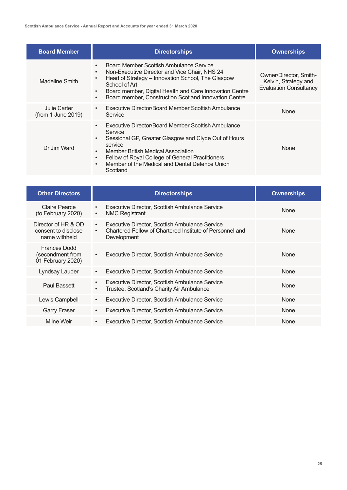| <b>Board Member</b>                | <b>Directorships</b>                                                                                                                                                                                                                                                                                                                                      | <b>Ownerships</b>                                                               |
|------------------------------------|-----------------------------------------------------------------------------------------------------------------------------------------------------------------------------------------------------------------------------------------------------------------------------------------------------------------------------------------------------------|---------------------------------------------------------------------------------|
| Madeline Smith                     | Board Member Scottish Ambulance Service<br>$\bullet$<br>Non-Executive Director and Vice Chair, NHS 24<br>$\bullet$<br>Head of Strategy - Innovation School, The Glasgow<br>$\bullet$<br>School of Art<br>Board member, Digital Health and Care Innovation Centre<br>$\bullet$<br>Board member, Construction Scotland Innovation Centre<br>$\bullet$       | Owner/Director, Smith-<br>Kelvin, Strategy and<br><b>Evaluation Consultancy</b> |
| Julie Carter<br>(from 1 June 2019) | Executive Director/Board Member Scottish Ambulance<br>$\bullet$<br>Service                                                                                                                                                                                                                                                                                | <b>None</b>                                                                     |
| Dr Jim Ward                        | Executive Director/Board Member Scottish Ambulance<br>$\bullet$<br>Service<br>Sessional GP, Greater Glasgow and Clyde Out of Hours<br>$\bullet$<br>service<br>Member British Medical Association<br>$\bullet$<br>Fellow of Royal College of General Practitioners<br>$\bullet$<br>Member of the Medical and Dental Defence Union<br>$\bullet$<br>Scotland | None                                                                            |

| <b>Other Directors</b>                                       | <b>Directorships</b>                                                                                                                                | <b>Ownerships</b> |
|--------------------------------------------------------------|-----------------------------------------------------------------------------------------------------------------------------------------------------|-------------------|
| <b>Claire Pearce</b><br>(to February 2020)                   | Executive Director, Scottish Ambulance Service<br>$\bullet$<br><b>NMC Registrant</b><br>$\bullet$                                                   | None              |
| Director of HR & OD<br>consent to disclose<br>name withheld  | Executive Director, Scottish Ambulance Service<br>$\bullet$<br>Chartered Fellow of Chartered Institute of Personnel and<br>$\bullet$<br>Development | <b>None</b>       |
| <b>Frances Dodd</b><br>(secondment from<br>01 February 2020) | Executive Director, Scottish Ambulance Service<br>$\bullet$                                                                                         | None              |
| Lyndsay Lauder                                               | Executive Director, Scottish Ambulance Service<br>$\bullet$                                                                                         | None              |
| <b>Paul Bassett</b>                                          | Executive Director, Scottish Ambulance Service<br>$\bullet$<br>Trustee, Scotland's Charity Air Ambulance<br>$\bullet$                               | <b>None</b>       |
| Lewis Campbell                                               | Executive Director, Scottish Ambulance Service<br>$\bullet$                                                                                         | <b>None</b>       |
| <b>Garry Fraser</b>                                          | Executive Director, Scottish Ambulance Service<br>٠                                                                                                 | <b>None</b>       |
| Milne Weir                                                   | Executive Director, Scottish Ambulance Service<br>$\bullet$                                                                                         | None              |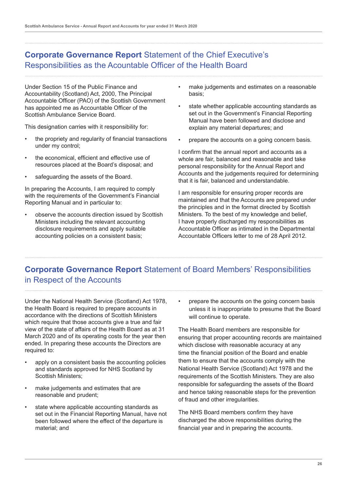### **Corporate Governance Report** Statement of the Chief Executive's Responsibilities as the Acountable Officer of the Health Board

Under Section 15 of the Public Finance and Accountability (Scotland) Act, 2000, The Principal Accountable Officer (PAO) of the Scottish Government has appointed me as Accountable Officer of the Scottish Ambulance Service Board.

This designation carries with it responsibility for:

- the propriety and regularity of financial transactions under my control;
- the economical, efficient and effective use of resources placed at the Board's disposal; and
- safeguarding the assets of the Board.

In preparing the Accounts, I am required to comply with the requirements of the Government's Financial Reporting Manual and in particular to:

observe the accounts direction issued by Scottish Ministers including the relevant accounting disclosure requirements and apply suitable accounting policies on a consistent basis;

- make judgements and estimates on a reasonable basis;
- state whether applicable accounting standards as set out in the Government's Financial Reporting Manual have been followed and disclose and explain any material departures; and
- prepare the accounts on a going concern basis.

I confirm that the annual report and accounts as a whole are fair, balanced and reasonable and take personal responsibility for the Annual Report and Accounts and the judgements required for determining that it is fair, balanced and understandable.

I am responsible for ensuring proper records are maintained and that the Accounts are prepared under the principles and in the format directed by Scottish Ministers. To the best of my knowledge and belief, I have properly discharged my responsibilities as Accountable Officer as intimated in the Departmental Accountable Officers letter to me of 28 April 2012.

### **Corporate Governance Report** Statement of Board Members' Responsibilities in Respect of the Accounts

Under the National Health Service (Scotland) Act 1978, the Health Board is required to prepare accounts in accordance with the directions of Scottish Ministers which require that those accounts give a true and fair view of the state of affairs of the Health Board as at 31 March 2020 and of its operating costs for the year then ended. In preparing these accounts the Directors are required to:

- apply on a consistent basis the accounting policies and standards approved for NHS Scotland by Scottish Ministers:
- make judgements and estimates that are reasonable and prudent;
- state where applicable accounting standards as set out in the Financial Reporting Manual, have not been followed where the effect of the departure is material; and

prepare the accounts on the going concern basis unless it is inappropriate to presume that the Board will continue to operate.

The Health Board members are responsible for ensuring that proper accounting records are maintained which disclose with reasonable accuracy at any time the financial position of the Board and enable them to ensure that the accounts comply with the National Health Service (Scotland) Act 1978 and the requirements of the Scottish Ministers. They are also responsible for safeguarding the assets of the Board and hence taking reasonable steps for the prevention of fraud and other irregularities.

The NHS Board members confirm they have discharged the above responsibilities during the financial year and in preparing the accounts.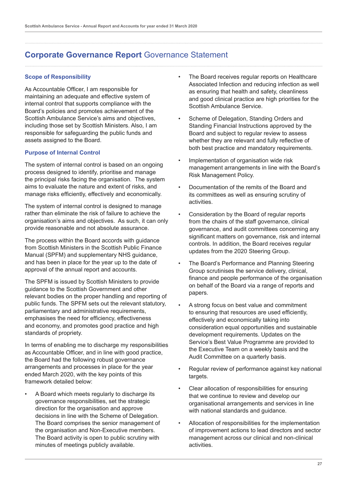#### **Corporate Governance Report** Governance Statement

#### **Scope of Responsibility**

As Accountable Officer, I am responsible for maintaining an adequate and effective system of internal control that supports compliance with the Board's policies and promotes achievement of the Scottish Ambulance Service's aims and objectives, including those set by Scottish Ministers. Also, I am responsible for safeguarding the public funds and assets assigned to the Board.

#### **Purpose of Internal Control**

The system of internal control is based on an ongoing process designed to identify, prioritise and manage the principal risks facing the organisation. The system aims to evaluate the nature and extent of risks, and manage risks efficiently, effectively and economically.

The system of internal control is designed to manage rather than eliminate the risk of failure to achieve the organisation's aims and objectives. As such, it can only provide reasonable and not absolute assurance.

The process within the Board accords with guidance from Scottish Ministers in the Scottish Public Finance Manual (SPFM) and supplementary NHS guidance, and has been in place for the year up to the date of approval of the annual report and accounts.

The SPFM is issued by Scottish Ministers to provide guidance to the Scottish Government and other relevant bodies on the proper handling and reporting of public funds. The SPFM sets out the relevant statutory, parliamentary and administrative requirements, emphasises the need for efficiency, effectiveness and economy, and promotes good practice and high standards of propriety.

In terms of enabling me to discharge my responsibilities as Accountable Officer, and in line with good practice, the Board had the following robust governance arrangements and processes in place for the year ended March 2020, with the key points of this framework detailed below:

• A Board which meets regularly to discharge its governance responsibilities, set the strategic direction for the organisation and approve decisions in line with the Scheme of Delegation. The Board comprises the senior management of the organisation and Non-Executive members. The Board activity is open to public scrutiny with minutes of meetings publicly available.

- The Board receives regular reports on Healthcare Associated Infection and reducing infection as well as ensuring that health and safety, cleanliness and good clinical practice are high priorities for the Scottish Ambulance Service.
- Scheme of Delegation, Standing Orders and Standing Financial Instructions approved by the Board and subject to regular review to assess whether they are relevant and fully reflective of both best practice and mandatory requirements.
- Implementation of organisation wide risk management arrangements in line with the Board's Risk Management Policy.
- Documentation of the remits of the Board and its committees as well as ensuring scrutiny of activities.
- Consideration by the Board of regular reports from the chairs of the staff governance, clinical governance, and audit committees concerning any significant matters on governance, risk and internal controls. In addition, the Board receives regular updates from the 2020 Steering Group.
- The Board's Performance and Planning Steering Group scrutinises the service delivery, clinical, finance and people performance of the organisation on behalf of the Board via a range of reports and papers.
- A strong focus on best value and commitment to ensuring that resources are used efficiently, effectively and economically taking into consideration equal opportunities and sustainable development requirements. Updates on the Service's Best Value Programme are provided to the Executive Team on a weekly basis and the Audit Committee on a quarterly basis.
- Regular review of performance against key national targets.
- Clear allocation of responsibilities for ensuring that we continue to review and develop our organisational arrangements and services in line with national standards and guidance.
- Allocation of responsibilities for the implementation of improvement actions to lead directors and sector management across our clinical and non-clinical activities.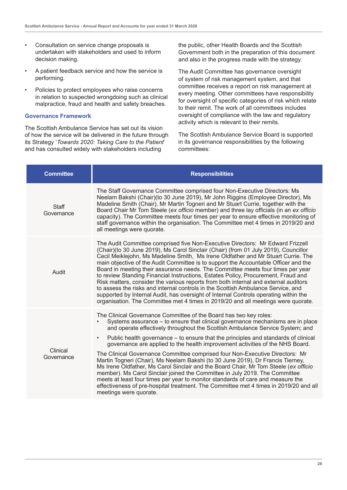- Consultation on service change proposals is undertaken with stakeholders and used to inform decision making.
- A patient feedback service and how the service is performing.
- Policies to protect employees who raise concerns in relation to suspected wrongdoing such as clinical malpractice, fraud and health and safety breaches.

#### **Governance Framework**

The Scottish Ambulance Service has set out its vision of how the service will be delivered in the future through its Strategy '*Towards 2020: Taking Care to the Patient*' and has consulted widely with stakeholders including

the public, other Health Boards and the Scottish Government both in the preparation of this document and also in the progress made with the strategy.

The Audit Committee has governance oversight of system of risk management system, and that committee receives a report on risk management at every meeting. Other committees have responsibility for oversight of specific categories of risk which relate to their remit. The work of all committees includes oversight of compliance with the law and regulatory activity which is relevant to their remits.

The Scottish Ambulance Service Board is supported in its governance responsibilities by the following committees:

| <b>Committee</b>           | <b>Responsibilities</b>                                                                                                                                                                                                                                                                                                                                                                                                                                                                                                                                                                                                                                                                                                                                                                                                                                                                                                                                                               |
|----------------------------|---------------------------------------------------------------------------------------------------------------------------------------------------------------------------------------------------------------------------------------------------------------------------------------------------------------------------------------------------------------------------------------------------------------------------------------------------------------------------------------------------------------------------------------------------------------------------------------------------------------------------------------------------------------------------------------------------------------------------------------------------------------------------------------------------------------------------------------------------------------------------------------------------------------------------------------------------------------------------------------|
| <b>Staff</b><br>Governance | The Staff Governance Committee comprised four Non-Executive Directors: Ms<br>Neelam Bakshi (Chair)(to 30 June 2019), Mr John Riggins (Employee Director), Ms<br>Madeline Smith (Chair), Mr Martin Togneri and Mr Stuart Currie, together with the<br>Board Chair Mr Tom Steele (ex officio member) and three lay officials (in an ex officio<br>capacity). The Committee meets four times per year to ensure effective monitoring of<br>staff governance within the organisation. The Committee met 4 times in 2019/20 and<br>all meetings were quorate.                                                                                                                                                                                                                                                                                                                                                                                                                              |
| Audit                      | The Audit Committee comprised five Non-Executive Directors: Mr Edward Frizzell<br>(Chair)(to 30 June 2019), Ms Carol Sinclair (Chair) (from 01 July 2019), Councillor<br>Cecil Meiklejohn, Ms Madeline Smith, Ms Irene Oldfather and Mr Stuart Currie. The<br>main objective of the Audit Committee is to support the Accountable Officer and the<br>Board in meeting their assurance needs. The Committee meets four times per year<br>to review Standing Financial Instructions, Estates Policy, Procurement, Fraud and<br>Risk matters, consider the various reports from both internal and external auditors<br>to assess the risks and internal controls in the Scottish Ambulance Service, and<br>supported by Internal Audit, has oversight of Internal Controls operating within the<br>organisation. The Committee met 4 times in 2019/20 and all meetings were quorate.                                                                                                     |
| Clinical<br>Governance     | The Clinical Governance Committee of the Board has two key roles:<br>Systems assurance - to ensure that clinical governance mechanisms are in place<br>$\bullet$<br>and operate effectively throughout the Scottish Ambulance Service System; and<br>Public health governance – to ensure that the principles and standards of clinical<br>$\bullet$<br>governance are applied to the health improvement activities of the NHS Board.<br>The Clinical Governance Committee comprised four Non-Executive Directors: Mr<br>Martin Togneri (Chair), Ms Neelam Bakshi (to 30 June 2019), Dr Francis Tierney,<br>Ms Irene Oldfather, Ms Carol Sinclair and the Board Chair, Mr Tom Steele (ex officio<br>member). Ms Carol Sinclair joined the Committee in July 2019. The Committee<br>meets at least four times per year to monitor standards of care and measure the<br>effectiveness of pre-hospital treatment. The Committee met 4 times in 2019/20 and all<br>meetings were quorate. |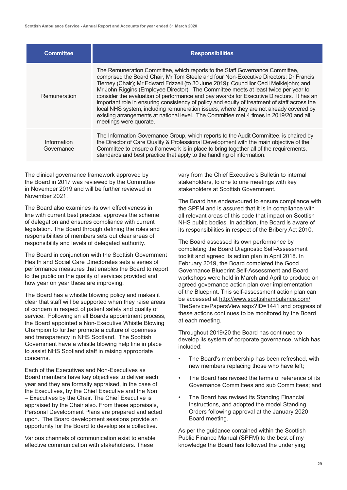| <b>Committee</b>          | <b>Responsibilities</b>                                                                                                                                                                                                                                                                                                                                                                                                                                                                                                                                                                                                                                                                                                                                          |
|---------------------------|------------------------------------------------------------------------------------------------------------------------------------------------------------------------------------------------------------------------------------------------------------------------------------------------------------------------------------------------------------------------------------------------------------------------------------------------------------------------------------------------------------------------------------------------------------------------------------------------------------------------------------------------------------------------------------------------------------------------------------------------------------------|
| Remuneration              | The Remuneration Committee, which reports to the Staff Governance Committee,<br>comprised the Board Chair, Mr Tom Steele and four Non-Executive Directors: Dr Francis<br>Tierney (Chair); Mr Edward Frizzell (to 30 June 2019); Councillor Cecil Meiklejohn; and<br>Mr John Riggins (Employee Director). The Committee meets at least twice per year to<br>consider the evaluation of performance and pay awards for Executive Directors. It has an<br>important role in ensuring consistency of policy and equity of treatment of staff across the<br>local NHS system, including remuneration issues, where they are not already covered by<br>existing arrangements at national level. The Committee met 4 times in 2019/20 and all<br>meetings were quorate. |
| Information<br>Governance | The Information Governance Group, which reports to the Audit Committee, is chaired by<br>the Director of Care Quality & Professional Development with the main objective of the<br>Committee to ensure a framework is in place to bring together all of the requirements,<br>standards and best practice that apply to the handling of information.                                                                                                                                                                                                                                                                                                                                                                                                              |

The clinical governance framework approved by the Board in 2017 was reviewed by the Committee in November 2019 and will be further reviewed in November 2021.

The Board also examines its own effectiveness in line with current best practice, approves the scheme of delegation and ensures compliance with current legislation. The Board through defining the roles and responsibilities of members sets out clear areas of responsibility and levels of delegated authority.

The Board in conjunction with the Scottish Government Health and Social Care Directorates sets a series of performance measures that enables the Board to report to the public on the quality of services provided and how year on year these are improving.

The Board has a whistle blowing policy and makes it clear that staff will be supported when they raise areas of concern in respect of patient safety and quality of service. Following an all Boards appointment process, the Board appointed a Non-Executive Whistle Blowing Champion to further promote a culture of openness and transparency in NHS Scotland. The Scottish Government have a whistle blowing help line in place to assist NHS Scotland staff in raising appropriate concerns.

Each of the Executives and Non-Executives as Board members have key objectives to deliver each year and they are formally appraised, in the case of the Executives, by the Chief Executive and the Non – Executives by the Chair. The Chief Executive is appraised by the Chair also. From these appraisals, Personal Development Plans are prepared and acted upon. The Board development sessions provide an opportunity for the Board to develop as a collective.

Various channels of communication exist to enable effective communication with stakeholders. These

vary from the Chief Executive's Bulletin to internal stakeholders, to one to one meetings with key stakeholders at Scottish Government.

The Board has endeavoured to ensure compliance with the SPFM and is assured that it is in compliance with all relevant areas of this code that impact on Scottish NHS public bodies. In addition, the Board is aware of its responsibilities in respect of the Bribery Act 2010.

The Board assessed its own performance by completing the Board Diagnostic Self-Assessment toolkit and agreed its action plan in April 2018. In February 2019, the Board completed the Good Governance Blueprint Self-Assessment and Board workshops were held in March and April to produce an agreed governance action plan over implementation of the Blueprint. This self-assessment action plan can be accessed at [http://www.scottishambulance.com/](http://www.scottishambulance.com/TheService/PapersView.aspx?ID=1441) [TheService/PapersView.aspx?ID=1441](http://www.scottishambulance.com/TheService/PapersView.aspx?ID=1441) and progress of these actions continues to be monitored by the Board at each meeting.

Throughout 2019/20 the Board has continued to develop its system of corporate governance, which has included:

- The Board's membership has been refreshed, with new members replacing those who have left;
- The Board has revised the terms of reference of its Governance Committees and sub Committees; and
- The Board has revised its Standing Financial Instructions, and adopted the model Standing Orders following approval at the January 2020 Board meeting.

As per the guidance contained within the Scottish Public Finance Manual (SPFM) to the best of my knowledge the Board has followed the underlying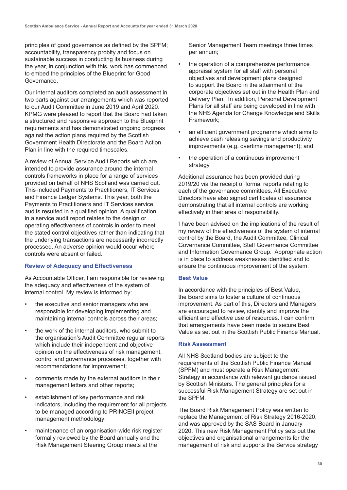principles of good governance as defined by the SPFM; accountability, transparency probity and focus on sustainable success in conducting its business during the year, in conjunction with this, work has commenced to embed the principles of the Blueprint for Good Governance.

Our internal auditors completed an audit assessment in two parts against our arrangements which was reported to our Audit Committee in June 2019 and April 2020. KPMG were pleased to report that the Board had taken a structured and responsive approach to the Blueprint requirements and has demonstrated ongoing progress against the action plans required by the Scottish Government Health Directorate and the Board Action Plan in line with the required timescales.

A review of Annual Service Audit Reports which are intended to provide assurance around the internal controls frameworks in place for a range of services provided on behalf of NHS Scotland was carried out. This included Payments to Practitioners, IT Services and Finance Ledger Systems. This year, both the Payments to Practitioners and IT Services service audits resulted in a qualified opinion. A qualification in a service audit report relates to the design or operating effectiveness of controls in order to meet the stated control objectives rather than indicating that the underlying transactions are necessarily incorrectly processed. An adverse opinion would occur where controls were absent or failed.

#### **Review of Adequacy and Effectiveness**

As Accountable Officer, I am responsible for reviewing the adequacy and effectiveness of the system of internal control. My review is informed by:

- the executive and senior managers who are responsible for developing implementing and maintaining internal controls across their areas;
- the work of the internal auditors, who submit to the organisation's Audit Committee regular reports which include their independent and objective opinion on the effectiveness of risk management, control and governance processes, together with recommendations for improvement;
- comments made by the external auditors in their management letters and other reports;
- establishment of key performance and risk indicators, including the requirement for all projects to be managed according to PRINCEII project management methodology;
- maintenance of an organisation-wide risk register formally reviewed by the Board annually and the Risk Management Steering Group meets at the

Senior Management Team meetings three times per annum;

- the operation of a comprehensive performance appraisal system for all staff with personal objectives and development plans designed to support the Board in the attainment of the corporate objectives set out in the Health Plan and Delivery Plan. In addition, Personal Development Plans for all staff are being developed in line with the NHS Agenda for Change Knowledge and Skills Framework;
- an efficient government programme which aims to achieve cash releasing savings and productivity improvements (e.g. overtime management); and
- the operation of a continuous improvement strategy.

Additional assurance has been provided during 2019/20 via the receipt of formal reports relating to each of the governance committees. All Executive Directors have also signed certificates of assurance demonstrating that all internal controls are working effectively in their area of responsibility.

I have been advised on the implications of the result of my review of the effectiveness of the system of internal control by the Board, the Audit Committee, Clinical Governance Committee, Staff Governance Committee and Information Governance Group. Appropriate action is in place to address weaknesses identified and to ensure the continuous improvement of the system.

#### **Best Value**

In accordance with the principles of Best Value, the Board aims to foster a culture of continuous improvement. As part of this, Directors and Managers are encouraged to review, identify and improve the efficient and effective use of resources. I can confirm that arrangements have been made to secure Best Value as set out in the Scottish Public Finance Manual.

#### **Risk Assessment**

All NHS Scotland bodies are subject to the requirements of the Scottish Public Finance Manual (SPFM) and must operate a Risk Management Strategy in accordance with relevant guidance issued by Scottish Ministers. The general principles for a successful Risk Management Strategy are set out in the SPFM.

The Board Risk Management Policy was written to replace the Management of Risk Strategy 2016-2020, and was approved by the SAS Board in January 2020. This new Risk Management Policy sets out the objectives and organisational arrangements for the management of risk and supports the Service strategy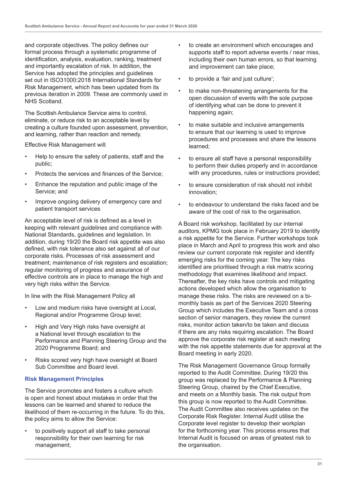and corporate objectives. The policy defines our formal process through a systematic programme of identification, analysis, evaluation, ranking, treatment and importantly escalation of risk. In addition, the Service has adopted the principles and guidelines set out in ISO31000:2018 International Standards for Risk Management, which has been updated from its previous iteration in 2009. These are commonly used in NHS Scotland.

The Scottish Ambulance Service aims to control, eliminate, or reduce risk to an acceptable level by creating a culture founded upon assessment, prevention, and learning, rather than reaction and remedy.

Effective Risk Management will:

- Help to ensure the safety of patients, staff and the public;
- Protects the services and finances of the Service;
- Enhance the reputation and public image of the Service; and
- Improve ongoing delivery of emergency care and patient transport services

An acceptable level of risk is defined as a level in keeping with relevant guidelines and compliance with National Standards, guidelines and legislation. In addition, during 19/20 the Board risk appetite was also defined, with risk tolerance also set against all of our corporate risks. Processes of risk assessment and treatment; maintenance of risk registers and escalation; regular monitoring of progress and assurance of effective controls are in place to manage the high and very high risks within the Service.

In line with the Risk Management Policy all

- Low and medium risks have oversight at Local, Regional and/or Programme Group level;
- High and Very High risks have oversight at a National level through escalation to the Performance and Planning Steering Group and the 2020 Programme Board; and
- Risks scored very high have oversight at Board Sub Committee and Board level.

#### **Risk Management Principles**

The Service promotes and fosters a culture which is open and honest about mistakes in order that the lessons can be learned and shared to reduce the likelihood of them re-occurring in the future. To do this, the policy aims to allow the Service:

to positively support all staff to take personal responsibility for their own learning for risk management;

- to create an environment which encourages and supports staff to report adverse events / near miss, including their own human errors, so that learning and improvement can take place;
- to provide a 'fair and just culture';
- to make non-threatening arrangements for the open discussion of events with the sole purpose of identifying what can be done to prevent it happening again;
- to make suitable and inclusive arrangements to ensure that our learning is used to improve procedures and processes and share the lessons learned;
- to ensure all staff have a personal responsibility to perform their duties properly and in accordance with any procedures, rules or instructions provided;
- to ensure consideration of risk should not inhibit innovation;
- to endeavour to understand the risks faced and be aware of the cost of risk to the organisation.

A Board risk workshop, facilitated by our internal auditors, KPMG took place in February 2019 to identify a risk appetite for the Service. Further workshops took place in March and April to progress this work and also review our current corporate risk register and identify emerging risks for the coming year. The key risks identified are prioritised through a risk matrix scoring methodology that examines likelihood and impact. Thereafter, the key risks have controls and mitigating actions developed which allow the organisation to manage these risks. The risks are reviewed on a bimonthly basis as part of the Services 2020 Steering Group which includes the Executive Team and a cross section of senior managers, they review the current risks, monitor action taken/to be taken and discuss if there are any risks requiring escalation. The Board approve the corporate risk register at each meeting with the risk appetite statements due for approval at the Board meeting in early 2020.

The Risk Management Governance Group formally reported to the Audit Committee. During 19/20 this group was replaced by the Performance & Planning Steering Group, chaired by the Chief Executive, and meets on a Monthly basis. The risk output from this group is now reported to the Audit Committee. The Audit Committee also receives updates on the Corporate Risk Register. Internal Audit utilise the Corporate level register to develop their workplan for the forthcoming year. This process ensures that Internal Audit is focused on areas of greatest risk to the organisation.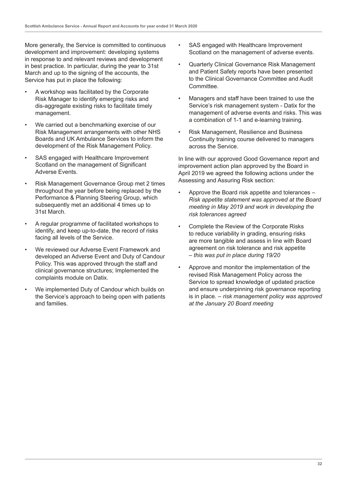More generally, the Service is committed to continuous development and improvement: developing systems in response to and relevant reviews and development in best practice. In particular, during the year to 31st March and up to the signing of the accounts, the Service has put in place the following:

- A workshop was facilitated by the Corporate Risk Manager to identify emerging risks and dis-aggregate existing risks to facilitate timely management.
- We carried out a benchmarking exercise of our Risk Management arrangements with other NHS Boards and UK Ambulance Services to inform the development of the Risk Management Policy.
- SAS engaged with Healthcare Improvement Scotland on the management of Significant Adverse Events.
- Risk Management Governance Group met 2 times throughout the year before being replaced by the Performance & Planning Steering Group, which subsequently met an additional 4 times up to 31st March.
- A regular programme of facilitated workshops to identify, and keep up-to-date, the record of risks facing all levels of the Service.
- We reviewed our Adverse Event Framework and developed an Adverse Event and Duty of Candour Policy. This was approved through the staff and clinical governance structures; Implemented the complaints module on Datix.
- We implemented Duty of Candour which builds on the Service's approach to being open with patients and families.
- SAS engaged with Healthcare Improvement Scotland on the management of adverse events.
- Quarterly Clinical Governance Risk Management and Patient Safety reports have been presented to the Clinical Governance Committee and Audit Committee.
- Managers and staff have been trained to use the Service's risk management system - Datix for the management of adverse events and risks. This was a combination of 1-1 and e-learning training.
- Risk Management, Resilience and Business Continuity training course delivered to managers across the Service.

In line with our approved Good Governance report and improvement action plan approved by the Board in April 2019 we agreed the following actions under the Assessing and Assuring Risk section:

- Approve the Board risk appetite and tolerances *Risk appetite statement was approved at the Board meeting in May 2019 and work in developing the risk tolerances agreed*
- Complete the Review of the Corporate Risks to reduce variability in grading, ensuring risks are more tangible and assess in line with Board agreement on risk tolerance and risk appetite – *this was put in place during 19/20*
- Approve and monitor the implementation of the revised Risk Management Policy across the Service to spread knowledge of updated practice and ensure underpinning risk governance reporting is in place. – *risk management policy was approved at the January 20 Board meeting*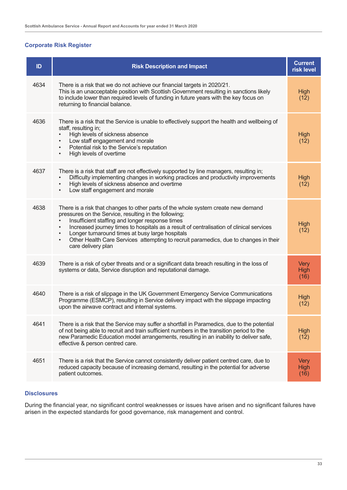#### **Corporate Risk Register**

| ID   | <b>Risk Description and Impact</b>                                                                                                                                                                                                                                                                                                                                                                                                                                                  | <b>Current</b><br>risk level       |
|------|-------------------------------------------------------------------------------------------------------------------------------------------------------------------------------------------------------------------------------------------------------------------------------------------------------------------------------------------------------------------------------------------------------------------------------------------------------------------------------------|------------------------------------|
| 4634 | There is a risk that we do not achieve our financial targets in 2020/21.<br>This is an unacceptable position with Scottish Government resulting in sanctions likely<br>to include lower than required levels of funding in future years with the key focus on<br>returning to financial balance.                                                                                                                                                                                    | High<br>(12)                       |
| 4636 | There is a risk that the Service is unable to effectively support the health and wellbeing of<br>staff, resulting in;<br>High levels of sickness absence<br>Low staff engagement and morale<br>Potential risk to the Service's reputation<br>$\bullet$<br>High levels of overtime<br>$\bullet$                                                                                                                                                                                      | High<br>(12)                       |
| 4637 | There is a risk that staff are not effectively supported by line managers, resulting in;<br>Difficulty implementing changes in working practices and productivity improvements<br>High levels of sickness absence and overtime<br>$\bullet$<br>Low staff engagement and morale<br>$\bullet$                                                                                                                                                                                         | <b>High</b><br>(12)                |
| 4638 | There is a risk that changes to other parts of the whole system create new demand<br>pressures on the Service, resulting in the following;<br>Insufficient staffing and longer response times<br>Increased journey times to hospitals as a result of centralisation of clinical services<br>Longer turnaround times at busy large hospitals<br>$\bullet$<br>Other Health Care Services attempting to recruit paramedics, due to changes in their<br>$\bullet$<br>care delivery plan | High<br>(12)                       |
| 4639 | There is a risk of cyber threats and or a significant data breach resulting in the loss of<br>systems or data, Service disruption and reputational damage.                                                                                                                                                                                                                                                                                                                          | <b>Very</b><br><b>High</b><br>(16) |
| 4640 | There is a risk of slippage in the UK Government Emergency Service Communications<br>Programme (ESMCP), resulting in Service delivery impact with the slippage impacting<br>upon the airwave contract and internal systems.                                                                                                                                                                                                                                                         | High<br>(12)                       |
| 4641 | There is a risk that the Service may suffer a shortfall in Paramedics, due to the potential<br>of not being able to recruit and train sufficient numbers in the transition period to the<br>new Paramedic Education model arrangements, resulting in an inability to deliver safe,<br>effective & person centred care.                                                                                                                                                              | High<br>(12)                       |
| 4651 | There is a risk that the Service cannot consistently deliver patient centred care, due to<br>reduced capacity because of increasing demand, resulting in the potential for adverse<br>patient outcomes.                                                                                                                                                                                                                                                                             | <b>Very</b><br><b>High</b><br>(16) |

#### **Disclosures**

During the financial year, no significant control weaknesses or issues have arisen and no significant failures have arisen in the expected standards for good governance, risk management and control.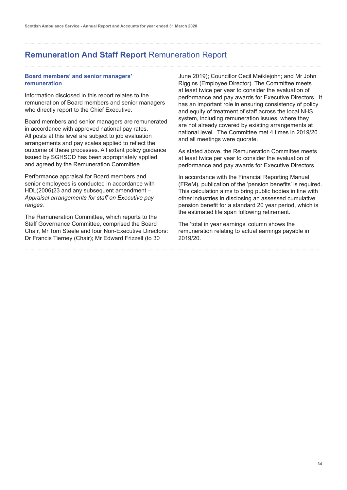### **Remuneration And Staff Report** Remuneration Report

#### **Board members' and senior managers' remuneration**

Information disclosed in this report relates to the remuneration of Board members and senior managers who directly report to the Chief Executive.

Board members and senior managers are remunerated in accordance with approved national pay rates. All posts at this level are subject to job evaluation arrangements and pay scales applied to reflect the outcome of these processes. All extant policy guidance issued by SGHSCD has been appropriately applied and agreed by the Remuneration Committee

Performance appraisal for Board members and senior employees is conducted in accordance with HDL(2006)23 and any subsequent amendment – *Appraisal arrangements for staff on Executive pay ranges.* 

The Remuneration Committee, which reports to the Staff Governance Committee, comprised the Board Chair, Mr Tom Steele and four Non-Executive Directors: Dr Francis Tierney (Chair); Mr Edward Frizzell (to 30

June 2019); Councillor Cecil Meiklejohn; and Mr John Riggins (Employee Director). The Committee meets at least twice per year to consider the evaluation of performance and pay awards for Executive Directors. It has an important role in ensuring consistency of policy and equity of treatment of staff across the local NHS system, including remuneration issues, where they are not already covered by existing arrangements at national level. The Committee met 4 times in 2019/20 and all meetings were quorate.

As stated above, the Remuneration Committee meets at least twice per year to consider the evaluation of performance and pay awards for Executive Directors.

In accordance with the Financial Reporting Manual (FReM), publication of the 'pension benefits' is required. This calculation aims to bring public bodies in line with other industries in disclosing an assessed cumulative pension benefit for a standard 20 year period, which is the estimated life span following retirement.

The 'total in year earnings' column shows the remuneration relating to actual earnings payable in 2019/20.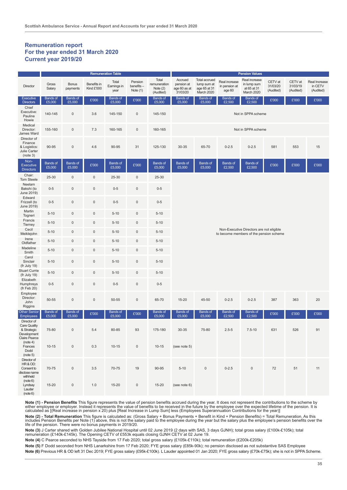#### **Remuneration report For the year ended 31 March 2020 Current year 2019/20**

|                                                                                                   | <b>Remuneration Table</b> |                           |                           |                              |                                    | <b>Pension Values</b>                            |                                                   |                                                            |                                          |                                                           |                                  |                                  |                                       |  |
|---------------------------------------------------------------------------------------------------|---------------------------|---------------------------|---------------------------|------------------------------|------------------------------------|--------------------------------------------------|---------------------------------------------------|------------------------------------------------------------|------------------------------------------|-----------------------------------------------------------|----------------------------------|----------------------------------|---------------------------------------|--|
| Director                                                                                          | Gross<br>Salary           | <b>Bonus</b><br>payments  | Benefits in<br>Kind £'000 | Total<br>Earnings in<br>year | Pension<br>benefits-<br>Note $(1)$ | Total<br>remuneration<br>Note $(2)$<br>(Audited) | Accrued<br>pension at<br>age 60 as at<br>31/03/20 | Total accrued<br>lump sum at<br>age 65 at 31<br>March 2020 | Real increase<br>in pension at<br>age 60 | Real increase<br>in lump sum<br>at 65 at 31<br>March 2020 | CETV at<br>31/03/20<br>(Audited) | CETV at<br>31/03/19<br>(Audited) | Real Increase<br>in CETV<br>(Audited) |  |
| <b>Executive</b><br><b>Directors</b>                                                              | <b>Bands of</b><br>£5,000 | <b>Bands of</b><br>£5,000 | £'000                     | <b>Bands of</b><br>£5,000    | £'000                              | <b>Bands of</b><br>£5,000                        | Bands of<br>£5,000                                | Bands of<br>£5,000                                         | <b>Bands of</b><br>£2,500                | <b>Bands of</b><br>£2,500                                 | £'000                            | £'000                            | £'000                                 |  |
| Chief<br>Executive:<br>Pauline<br>Howie                                                           | 140-145                   | $\mathsf{O}\xspace$       | 3.6                       | 145-150                      | $\mathsf{O}$                       | 145-150                                          | Not in SPPA scheme                                |                                                            |                                          |                                                           |                                  |                                  |                                       |  |
| Medical<br>Director:<br>James Ward                                                                | 155-160                   | $\mathsf{O}\xspace$       | 7.3                       | 160-165                      | $\mathsf{O}\xspace$                | 160-165                                          | Not in SPPA scheme                                |                                                            |                                          |                                                           |                                  |                                  |                                       |  |
| Director of<br>Finance<br>& Logistics:<br>Julie Carter<br>(note 3)                                | 90-95                     | $\mathsf{O}\xspace$       | 4.6                       | 90-95                        | 31                                 | 125-130                                          | 30-35                                             | 65-70                                                      | $0 - 2.5$                                | $0 - 2.5$                                                 | 581                              | 553                              | 15                                    |  |
| Non-<br><b>Executive</b><br><b>Directors</b>                                                      | <b>Bands of</b><br>£5,000 | <b>Bands of</b><br>£5,000 | £'000                     | <b>Bands of</b><br>£5,000    | £'000                              | <b>Bands of</b><br>£5,000                        | <b>Bands of</b><br>£5,000                         | <b>Bands of</b><br>£5,000                                  | <b>Bands of</b><br>£2,500                | <b>Bands of</b><br>£2,500                                 | £'000                            | £'000                            | £'000                                 |  |
| Chair:<br>Tom Steele                                                                              | 25-30                     | $\mathsf{O}\xspace$       | $\mathsf{O}\xspace$       | 25-30                        | $\mathsf{O}\xspace$                | 25-30                                            |                                                   |                                                            |                                          |                                                           |                                  |                                  |                                       |  |
| Neelam<br>Bakshi (to<br>June 2019)                                                                | $0 - 5$                   | $\mathsf{O}\xspace$       | $\mathsf{O}\xspace$       | $0 - 5$                      | $\mathsf{O}\xspace$                | $0 - 5$                                          |                                                   |                                                            |                                          |                                                           |                                  |                                  |                                       |  |
| Edward<br>Frizzell (to<br>June 2019)                                                              | $0 - 5$                   | $\mathsf{O}\xspace$       | $\mathsf 0$               | $0 - 5$                      | $\mathsf{O}\xspace$                | $0-5$                                            |                                                   |                                                            |                                          |                                                           |                                  |                                  |                                       |  |
| Martin<br>Togneri                                                                                 | $5 - 10$                  | $\mathsf{O}\xspace$       | $\mathsf{O}\xspace$       | $5 - 10$                     | $\mathsf{O}\xspace$                | $5 - 10$                                         |                                                   |                                                            |                                          |                                                           |                                  |                                  |                                       |  |
| Francis<br>Tierney                                                                                | $5 - 10$                  | $\mathsf{O}\xspace$       | $\mathsf{O}\xspace$       | $5 - 10$                     | $\mathbf 0$                        | $5 - 10$                                         |                                                   |                                                            |                                          |                                                           |                                  |                                  |                                       |  |
| Cecil<br>Meiklejohn                                                                               | $5 - 10$                  | $\mathsf{O}\xspace$       | $\mathsf{O}\xspace$       | $5 - 10$                     | $\mathsf{O}\xspace$                | $5 - 10$                                         |                                                   |                                                            | to become members of the pension scheme  | Non-Executive Directors are not eligible                  |                                  |                                  |                                       |  |
| Irene<br>Oldfather                                                                                | $5 - 10$                  | $\mathsf{O}\xspace$       | $\mathsf{O}\xspace$       | $5 - 10$                     | $\pmb{0}$                          | $5 - 10$                                         |                                                   |                                                            |                                          |                                                           |                                  |                                  |                                       |  |
| Madeline<br>Smith                                                                                 | $5 - 10$                  | $\mathsf{O}\xspace$       | $\mathsf{O}\xspace$       | $5 - 10$                     | $\mathsf{O}\xspace$                | $5 - 10$                                         |                                                   |                                                            |                                          |                                                           |                                  |                                  |                                       |  |
| Carol<br>Sinclair<br>(fr July 19)                                                                 | $5 - 10$                  | $\mathsf{O}\xspace$       | $\mathsf{O}\xspace$       | $5 - 10$                     | $\mathsf{O}\xspace$                | $5 - 10$                                         |                                                   |                                                            |                                          |                                                           |                                  |                                  |                                       |  |
| <b>Stuart Currie</b><br>(fr July 19)                                                              | $5 - 10$                  | $\mathsf{O}\xspace$       | $\mathsf{O}\xspace$       | $5 - 10$                     | $\mathsf{O}$                       | $5 - 10$                                         |                                                   |                                                            |                                          |                                                           |                                  |                                  |                                       |  |
| Elizabeth<br>Humphreys<br>(fr Feb 20)                                                             | $0 - 5$                   | $\mathsf{O}\xspace$       | $\mathsf 0$               | $0 - 5$                      | $\mathsf{O}\xspace$                | $0 - 5$                                          |                                                   |                                                            |                                          |                                                           |                                  |                                  |                                       |  |
| Employee<br>Director:<br>John<br>Riggins                                                          | 50-55                     | $\mathsf{O}\xspace$       | $\mathsf{O}\xspace$       | 50-55                        | $\mathsf 0$                        | 65-70                                            | $15 - 20$                                         | 45-50                                                      | $0 - 2.5$                                | $0 - 2.5$                                                 | 387                              | 363                              | 20                                    |  |
| <b>Other Senior</b><br><b>Employees</b>                                                           | Bands of<br>£5,000        | <b>Bands of</b><br>£5,000 | £'000                     | <b>Bands of</b><br>£5,000    | £'000                              | <b>Bands of</b><br>£5,000                        | <b>Bands of</b><br>£5,000                         | Bands of<br>£5,000                                         | <b>Bands of</b><br>£2,500                | <b>Bands of</b><br>£2,500                                 | £'000                            | £'000                            | £'000                                 |  |
| Director of<br>Care Quality<br>& Strategic<br>Development<br>Claire Pearce<br>(note 4)<br>Frances | 75-80<br>$10 - 15$        | 0<br>$\mathsf{0}$         | 5.4<br>0.3                | 80-85<br>$10 - 15$           | 93<br>$\mathsf{0}$                 | 175-180<br>$10 - 15$                             | 30-35<br>(see note 5)                             | 75-80                                                      | $2.5 - 5$                                | $7.5 - 10$                                                | 631                              | 526                              | 91                                    |  |
| Dodd<br>(note 5)                                                                                  |                           |                           |                           |                              |                                    |                                                  |                                                   |                                                            |                                          |                                                           |                                  |                                  |                                       |  |
| Director of<br>HR&OD:<br>Consent to<br>disclose name<br>withheld<br>(note 6)                      | 70-75                     | $\mathbf 0$               | 3.5                       | 70-75                        | 19                                 | 90-95                                            | $5 - 10$                                          | $\mathsf{O}\xspace$                                        | $0 - 2.5$                                | $\mathsf{O}\xspace$                                       | 72                               | 51                               | 11                                    |  |
| Lyndsay<br>Lauder<br>(note 6)                                                                     | $15 - 20$                 | $\mathsf{0}$              | 1.0                       | $15 - 20$                    | $\mathbf 0$                        | $15 - 20$                                        | (see note 6)                                      |                                                            |                                          |                                                           |                                  |                                  |                                       |  |

**Note (1) - Pension Benefits** This figure represents the value of pension benefits accrued during the year. It does not represent the contributions to the scheme by<br>either employee or employer. Instead it represents the va

**Note (2) - Total Remuneration** This figure is calculated as: (Gross Salary + Bonus Payments + Benefit in Kind + Pension Benefits) = Total Remuneration. As this<br>includes Pension Benefits per Note (1) above, this is not the

**Note (3)** J Carter shared with Golden Jubilee National Hospital until 02 June 2019 (2 days with SAS, 3 days GJNH); total gross salary (£100k-£105k); total<br>remuneration (£140k-£145k). The Opening CETV of £553k equals closi

**Note (4)** C Pearce seconded to NHS Tayside from 17 Feb 2020; total gross salary (£105k-£110k); total remuneration (£200k-£205k)

**Note (5)** F Dodd seconded from NHS Lanarkshire from 17 Feb 2020; FYE gross salary (£85k-90k); no pension disclosed as not substantive SAS Employee **Note (6)** Previous HR & OD left 31 Dec 2019; FYE gross salary (£95k-£100k). L Lauder appointed 01 Jan 2020; FYE gross salary (£70k-£75k); she is not in SPPA Scheme.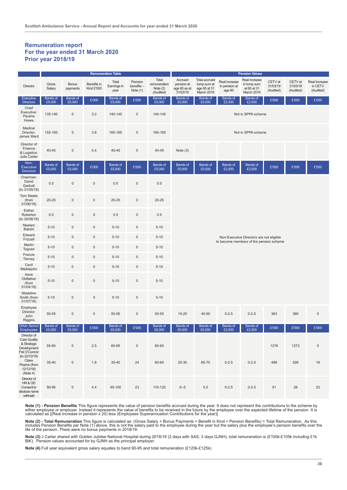#### **Remuneration report For the year ended 31 March 2020 Prior year 2018/19**

|                                                                                                                                               | <b>Remuneration Table</b> |                                            |                           |                              |                                    | <b>Pension Values</b>                            |                                                   |                                                                   |                                          |                                                           |                                  |                                  |                                       |  |  |  |
|-----------------------------------------------------------------------------------------------------------------------------------------------|---------------------------|--------------------------------------------|---------------------------|------------------------------|------------------------------------|--------------------------------------------------|---------------------------------------------------|-------------------------------------------------------------------|------------------------------------------|-----------------------------------------------------------|----------------------------------|----------------------------------|---------------------------------------|--|--|--|
| <b>Director</b>                                                                                                                               | Gross<br>Salary           | <b>Bonus</b><br>payments                   | Benefits in<br>Kind £'000 | Total<br>Earnings in<br>year | Pension<br>benefits-<br>Note $(1)$ | Total<br>remuneration<br>Note $(2)$<br>(Audited) | Accrued<br>pension at<br>age 60 as at<br>31/03/19 | <b>Total accrued</b><br>lump sum at<br>age 65 at 31<br>March 2019 | Real increase<br>in pension at<br>age 60 | Real increase<br>in lump sum<br>at 65 at 31<br>March 2019 | CETV at<br>31/03/19<br>(Audited) | CETV at<br>31/03/18<br>(Audited) | Real Increase<br>in CETV<br>(Audited) |  |  |  |
| <b>Executive</b><br><b>Directors</b>                                                                                                          | <b>Bands of</b><br>£5,000 | <b>Bands of</b><br>£5,000                  | £'000                     | <b>Bands of</b><br>£5,000    | £'000                              | <b>Bands of</b><br>£5,000                        | <b>Bands of</b><br>£5,000                         | <b>Bands of</b><br>£5,000                                         | <b>Bands of</b><br>£2,500                | <b>Bands of</b><br>£2,500                                 | £'000                            | £'000                            | £'000                                 |  |  |  |
| Chief<br>Executive:<br>Pauline<br>Howie                                                                                                       | 135-140                   | $\mathsf{O}\xspace$                        | 3.2                       | 140-145                      | $\mathsf 0$                        | 140-145                                          | Not in SPPA scheme                                |                                                                   |                                          |                                                           |                                  |                                  |                                       |  |  |  |
| Medical<br>Director:<br>James Ward                                                                                                            | 155-160                   | $\mathsf{O}\xspace$                        | 3.8                       | 160-165                      | $\mathsf 0$                        | 160-165                                          | Not in SPPA scheme                                |                                                                   |                                          |                                                           |                                  |                                  |                                       |  |  |  |
| Director of<br>Finance<br>& Logistics:<br>Julie Carter                                                                                        | 40-45                     | $\mathsf{O}\xspace$                        | 0.4                       | 40-45                        | $\mathsf{O}\xspace$                | $40 - 45$                                        | Note $(3)$                                        |                                                                   |                                          |                                                           |                                  |                                  |                                       |  |  |  |
| Non-<br>Executive<br><b>Directors</b>                                                                                                         | <b>Bands of</b><br>£5,000 | <b>Bands</b> of<br>£5,000                  | £'000                     | <b>Bands</b> of<br>£5,000    | £'000                              | <b>Bands of</b><br>£5,000                        | Bands of<br>£5,000                                | <b>Bands</b> of<br>£5,000                                         | <b>Bands</b> of<br>£2,500                | <b>Bands</b> of<br>£2,500                                 | £'000                            | £'000                            | £'000                                 |  |  |  |
| Chairman:<br>David<br>Garbutt<br>(to 31/05/18)                                                                                                | 0.5                       | $\mathsf 0$                                | $\mathsf{O}\xspace$       | 0.5                          | $\mathsf 0$                        | 0.5                                              |                                                   |                                                                   |                                          |                                                           |                                  |                                  |                                       |  |  |  |
| Tom Steele<br>(from<br>01/06/18)                                                                                                              | $20 - 25$                 | $\mathsf{O}\xspace$                        | $\mathsf{O}\xspace$       | $20 - 25$                    | $\mathsf 0$                        | $20 - 25$                                        |                                                   |                                                                   |                                          |                                                           |                                  |                                  |                                       |  |  |  |
| Esther<br>Roberton<br>(to 30/06/18)                                                                                                           | 0.5                       | $\mathsf{O}\xspace$                        | $\mathsf{O}\xspace$       | 0.5                          | $\mathsf 0$                        | 0.5                                              |                                                   |                                                                   |                                          |                                                           |                                  |                                  |                                       |  |  |  |
| Neelam<br>Bakshi                                                                                                                              | $5 - 10$                  | $\mathsf{O}\xspace$                        | $\mathsf 0$               | $5 - 10$                     | $\mathbf 0$                        | $5 - 10$                                         |                                                   |                                                                   |                                          |                                                           |                                  |                                  |                                       |  |  |  |
| Edward<br>Frizzell                                                                                                                            | $5 - 10$                  | $\mathsf{O}\xspace$                        | $\mathsf{O}\xspace$       | $5 - 10$                     | $\mathbf 0$                        | $5 - 10$                                         |                                                   |                                                                   |                                          | Non-Executive Directors are not eligible                  |                                  |                                  |                                       |  |  |  |
| Martin<br>Togneri                                                                                                                             | $5 - 10$                  | $\mathsf{O}\xspace$                        | $\mathsf{O}\xspace$       | $5 - 10$                     | $\mathsf{O}$                       | $5 - 10$                                         |                                                   |                                                                   | to become members of the pension scheme  |                                                           |                                  |                                  |                                       |  |  |  |
| Francis<br>Tierney                                                                                                                            | $5 - 10$                  | $\mathsf{O}\xspace$                        | $\mathsf{O}\xspace$       | $5 - 10$                     | $\mathsf{O}\xspace$                | $5 - 10$                                         |                                                   |                                                                   |                                          |                                                           |                                  |                                  |                                       |  |  |  |
| Cecil<br>Meiklejohn                                                                                                                           | $5 - 10$                  | $\mathsf{O}\xspace$                        | $\mathsf{O}\xspace$       | $5 - 10$                     | $\mathsf 0$                        | $5 - 10$                                         |                                                   |                                                                   |                                          |                                                           |                                  |                                  |                                       |  |  |  |
| Irene<br>Oldfather<br>(from<br>01/04/18)                                                                                                      | $5 - 10$                  | $\mathsf 0$                                | $\mathsf{O}\xspace$       | $5 - 10$                     | $\mathsf 0$                        | $5 - 10$                                         |                                                   |                                                                   |                                          |                                                           |                                  |                                  |                                       |  |  |  |
| Madeline<br>Smith (from<br>01/07/18                                                                                                           | $5 - 10$                  | $\mathsf{O}\xspace$                        | $\mathsf{O}$              | $5 - 10$                     | $\mathsf{O}$                       | $5 - 10$                                         |                                                   |                                                                   |                                          |                                                           |                                  |                                  |                                       |  |  |  |
| Employee<br>Director:<br>John<br>Riggins                                                                                                      | 50-55                     | $\mathsf 0$                                | $\mathsf{O}\xspace$       | 50-55                        | $\mathbf 0$                        | 50-55                                            | $15 - 20$                                         | 45-50                                                             | $0 - 2.5$                                | $0 - 2.5$                                                 | 363                              | 360                              | $\mathsf 0$                           |  |  |  |
| <b>Other Senior</b><br><b>Employees</b>                                                                                                       | <b>Bands of</b><br>£5,000 | <b>Bands of</b><br>£5,000                  | £'000                     | <b>Bands of</b><br>£5,000    | £'000                              | <b>Bands of</b><br>£5,000                        | <b>Bands of</b><br>£5,000                         | <b>Bands of</b><br>£5,000                                         | <b>Bands of</b><br>£2,500                | <b>Bands of</b><br>£2,500                                 | £'000                            | £'000                            | £'000                                 |  |  |  |
| Director of<br>Care Quality<br>& Strategic<br>Development<br>Pat O'Connor<br>(to 22/10/18)<br>Claire<br>Pearce (from<br>12/12/18)<br>(Note 4) | 55-60<br>35-40            | $\mathsf{O}\xspace$<br>$\mathsf{O}\xspace$ | 2.5<br>1.8                | 60-65<br>35-40               | $\mathsf{O}$<br>24                 | 60-65<br>60-65                                   | 25-30                                             | 65-70                                                             | $0 - 2.5$                                | $0 - 2.5$                                                 | 1276<br>488                      | 1273<br>526                      | $\mathbf 0$<br>18                     |  |  |  |
| Director of<br>HR&OD<br>Consent to<br>disclose name<br>withheld                                                                               | 90-95                     | $\mathsf{O}\xspace$                        | 4.4                       | 95-100                       | 23                                 | 115-120                                          | $0 - 5$                                           | 0.5                                                               | $0 - 2.5$                                | $0 - 2.5$                                                 | 51                               | 28                               | 23                                    |  |  |  |

**Note (1) - Pension Benefits** This figure represents the value of pension benefits accrued during the year. It does not represent the contributions to the scheme by<br>either employee or employer. Instead it represents the va

**Note (2) - Total Remuneration** This figure is calculated as: (Gross Salary + Bonus Payments + Benefit in Kind + Pension Benefits) = Total Remuneration. As this<br>includes Pension Benefits per Note (1) above, this is not th

**Note (3)** J Carter shared with Golden Jubilee National Hospital during 2018/19 (2 days with SAS, 3 days GJNH), total remuneration is (£100k-£105k including £1k<br>BiK). Pension values accounted for by GJNH as the principal

**Note (4)** Full year equivalent gross salary equates to band 90-95 and total remuneration (£120k-£125k)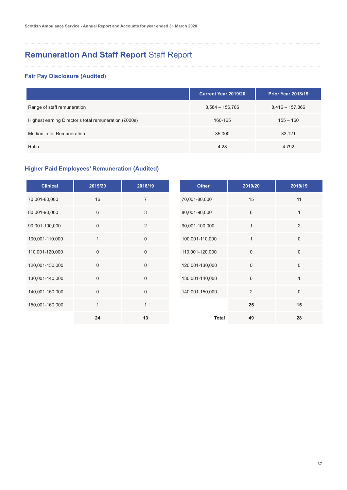# **Remuneration And Staff Report** Staff Report

#### **Fair Pay Disclosure (Audited)**

|                                                       | <b>Current Year 2019/20</b> | <b>Prior Year 2018/19</b> |
|-------------------------------------------------------|-----------------------------|---------------------------|
| Range of staff remuneration                           | 8,584 - 156,786             | $8,416 - 157,866$         |
| Highest earning Director's total remuneration (£000s) | 160-165                     | $155 - 160$               |
| Median Total Remuneration                             | 35,000                      | 33,121                    |
| Ratio                                                 | 4.28                        | 4.792                     |

## **Higher Paid Employees' Remuneration (Audited)**

| <b>Clinical</b> | 2019/20      | 2018/19             | <b>Other</b>    | 2019/20             | 2018/19     |
|-----------------|--------------|---------------------|-----------------|---------------------|-------------|
| 70,001-80,000   | 16           | $\overline{7}$      | 70,001-80,000   | 15                  | 11          |
| 80,001-90,000   | 6            | 3                   | 80,001-90,000   | $\,6$               | 1           |
| 90,001-100,000  | $\mathsf 0$  | 2                   | 90,001-100,000  | 1                   | 2           |
| 100,001-110,000 |              | 0                   | 100,001-110,000 | 1                   | $\pmb{0}$   |
| 110,001-120,000 | $\mathsf 0$  | $\mathsf 0$         | 110,001-120,000 | $\mathsf{O}\xspace$ | $\mathbf 0$ |
| 120,001-130,000 | $\mathsf 0$  | $\mathsf{O}\xspace$ | 120,001-130,000 | $\mathsf 0$         | $\mathbf 0$ |
| 130,001-140,000 | $\mathsf 0$  | $\mathsf 0$         | 130,001-140,000 | $\mathsf{O}\xspace$ | 1           |
| 140,001-150,000 | $\mathsf 0$  | 0                   | 140,001-150,000 | $\sqrt{2}$          |             |
| 150,001-160,000 | $\mathbf{1}$ | 1                   |                 | 25                  | 15          |
|                 | 24           | 13                  | <b>Total</b>    | 49                  | 28          |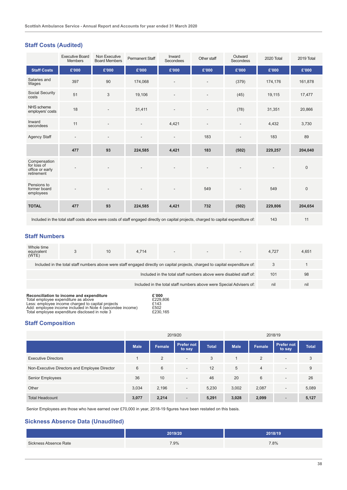## **Staff Costs (Audited)**

|                                                              | <b>Executive Board</b><br>Members | Non Executive<br><b>Board Members</b> | Permanent Staff                                                                                                                      | Inward<br>Secondees | Other staff              | Outward<br>Secondess     | 2020 Total | 2019 Total  |
|--------------------------------------------------------------|-----------------------------------|---------------------------------------|--------------------------------------------------------------------------------------------------------------------------------------|---------------------|--------------------------|--------------------------|------------|-------------|
| <b>Staff Costs</b>                                           | £'000                             | £'000                                 | £'000                                                                                                                                | £'000               | £'000                    | £'000                    | £'000      | £'000       |
| Salaries and<br>Wages                                        | 397                               | 90                                    | 174,068                                                                                                                              | ٠                   | $\overline{\phantom{a}}$ | (379)                    | 174,176    | 161,878     |
| <b>Social Security</b><br>costs                              | 51                                | 3                                     | 19,106                                                                                                                               |                     |                          | (45)                     | 19,115     | 17,477      |
| NHS scheme<br>employers' costs                               | 18                                |                                       | 31,411                                                                                                                               |                     |                          | (78)                     | 31,351     | 20,866      |
| Inward<br>secondees                                          | 11                                | $\overline{\phantom{a}}$              | $\overline{a}$                                                                                                                       | 4,421               | $\overline{\phantom{a}}$ | $\overline{\phantom{0}}$ | 4,432      | 3,730       |
| <b>Agency Staff</b>                                          |                                   | $\overline{\phantom{a}}$              | $\overline{\phantom{a}}$                                                                                                             | ٠                   | 183                      |                          | 183        | 89          |
|                                                              | 477                               | 93                                    | 224,585                                                                                                                              | 4,421               | 183                      | (502)                    | 229,257    | 204,040     |
| Compensation<br>for loss of<br>office or early<br>retirement |                                   |                                       |                                                                                                                                      |                     |                          |                          |            | $\mathbf 0$ |
| Pensions to<br>former board<br>employees                     |                                   |                                       |                                                                                                                                      |                     | 549                      |                          | 549        | $\mathbf 0$ |
| <b>TOTAL</b>                                                 | 477                               | 93                                    | 224,585                                                                                                                              | 4,421               | 732                      | (502)                    | 229,806    | 204,654     |
|                                                              |                                   |                                       | Included in the total staff costs above were costs of staff engaged directly on capital projects, charged to capital expenditure of: |                     |                          |                          | 143        | 11          |

#### **Staff Numbers**

| Whole time<br>equivalent<br>(WTE)                                                                                             |  | 10 | 4.714 | $\overline{\phantom{a}}$ |  | $\overline{\phantom{a}}$ | 4.727 | 4.651 |
|-------------------------------------------------------------------------------------------------------------------------------|--|----|-------|--------------------------|--|--------------------------|-------|-------|
| Included in the total staff numbers above were staff engaged directly on capital projects, charged to capital expenditure of: |  |    |       |                          |  |                          | 3     |       |
| Included in the total staff numbers above were disabled staff of:                                                             |  |    |       |                          |  | 101                      | 98    |       |
| Included in the total staff numbers above were Special Advisers of:                                                           |  |    |       |                          |  | nil                      | nil   |       |
|                                                                                                                               |  |    |       |                          |  |                          |       |       |

| Reconciliation to income and expenditure                  | £000     |
|-----------------------------------------------------------|----------|
| Total employee expenditure as above                       | £229.806 |
| Less: employee income charged to capital projects         | £143     |
| Add: employee income included in Note 4 (secondee income) | £502     |
| Total employee expenditure disclosed in note 3            | £230.165 |

# **Staff Composition**

|                                               | 2019/20     |                |                             |              | 2018/19     |                |                             |              |
|-----------------------------------------------|-------------|----------------|-----------------------------|--------------|-------------|----------------|-----------------------------|--------------|
|                                               | <b>Male</b> | Female         | <b>Prefer not</b><br>to say | <b>Total</b> | <b>Male</b> | Female         | <b>Prefer not</b><br>to say | <b>Total</b> |
| <b>Executive Directors</b>                    |             | $\overline{2}$ | $\overline{\phantom{a}}$    | 3            |             | 2              | $\overline{\phantom{a}}$    | 3            |
| Non-Executive Directors and Employee Director | 6           | 6              | $\overline{\phantom{a}}$    | 12           | 5           | $\overline{4}$ | $\overline{\phantom{a}}$    | 9            |
| Senior Employees                              | 36          | 10             | $\overline{\phantom{a}}$    | 46           | 20          | 6              | $\overline{\phantom{a}}$    | 26           |
| Other                                         | 3,034       | 2,196          | $\overline{\phantom{a}}$    | 5,230        | 3,002       | 2,087          | $\overline{\phantom{a}}$    | 5,089        |
| <b>Total Headcount</b>                        | 3,077       | 2,214          | $\overline{\phantom{a}}$    | 5,291        | 3,028       | 2,099          | $\overline{\phantom{0}}$    | 5,127        |

Senior Employees are those who have earned over £70,000 in year, 2018-19 figures have been restated on this basis.

#### **Sickness Absence Data (Unaudited)**

|                       | 2019/20 | 2018/19 |
|-----------------------|---------|---------|
| Sickness Absence Rate | 7.9%    | 7.8%    |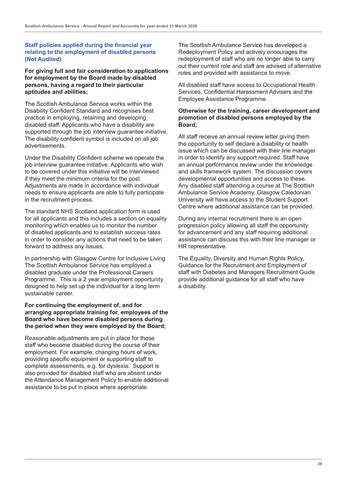#### **Staff policies applied during the financial year relating to the employment of disabled persons (Not Audited)**

#### **For giving full and fair consideration to applications for employment by the Board made by disabled persons, having a regard to their particular aptitudes and abilities;**

The Scottish Ambulance Service works within the Disability Confident Standard and recognises best practice in employing, retaining and developing disabled staff. Applicants who have a disability are supported through the job interview guarantee initiative. The disability confident symbol is included on all job advertisements.

Under the Disability Confident scheme we operate the job interview guarantee initiative. Applicants who wish to be covered under this initiative will be interviewed if they meet the minimum criteria for the post. Adjustments are made in accordance with individual needs to ensure applicants are able to fully participate in the recruitment process.

The standard NHS Scotland application form is used for all applicants and this includes a section on equality monitoring which enables us to monitor the number of disabled applicants and to establish success rates in order to consider any actions that need to be taken forward to address any issues.

In partnership with Glasgow Centre for Inclusive Living The Scottish Ambulance Service has employed a disabled graduate under the Professional Careers Programme. This is a 2 year employment opportunity designed to help set up the individual for a long term sustainable career.

#### **For continuing the employment of, and for arranging appropriate training for, employees of the Board who have become disabled persons during the period when they were employed by the Board;**

Reasonable adjustments are put in place for those staff who become disabled during the course of their employment. For example; changing hours of work, providing specific equipment or supporting staff to complete assessments, e.g. for dyslexia. Support is also provided for disabled staff who are absent under the Attendance Management Policy to enable additional assistance to be put in place where appropriate.

The Scottish Ambulance Service has developed a Redeployment Policy and actively encourages the redeployment of staff who are no longer able to carry out their current role and staff are advised of alternative roles and provided with assistance to move.

All disabled staff have access to Occupational Health Services, Confidential Harassment Advisers and the Employee Assistance Programme.

#### **Otherwise for the training, career development and promotion of disabled persons employed by the Board;**

All staff receive an annual review letter giving them the opportunity to self declare a disability or health issue which can be discussed with their line manager in order to identify any support required. Staff have an annual performance review under the knowledge and skills framework system. The discussion covers developmental opportunities and access to these. Any disabled staff attending a course at The Scottish Ambulance Service Academy, Glasgow Caledonian University will have access to the Student Support Centre where additional assistance can be provided.

During any internal recruitment there is an open progression policy allowing all staff the opportunity for advancement and any staff requiring additional assistance can discuss this with their line manager or HR representative.

The Equality, Diversity and Human Rights Policy, Guidance for the Recruitment and Employment of staff with Diabetes and Managers Recruitment Guide provide additional guidance for all staff who have a disability.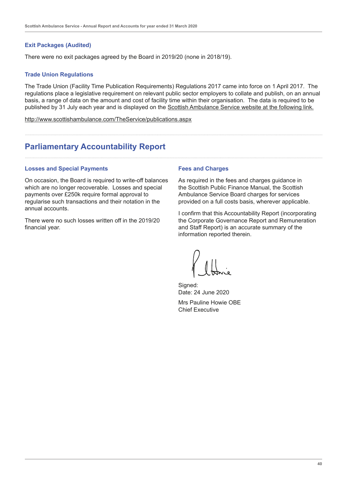#### **Exit Packages (Audited)**

There were no exit packages agreed by the Board in 2019/20 (none in 2018/19).

#### **Trade Union Regulations**

The Trade Union (Facility Time Publication Requirements) Regulations 2017 came into force on 1 April 2017. The regulations place a legislative requirement on relevant public sector employers to collate and publish, on an annual basis, a range of data on the amount and cost of facility time within their organisation. The data is required to be published by 31 July each year and is displayed on the [Scottish Ambulance Service website at the following link.](http://www.scottishambulance.com/TheService/publications.aspx)

<http://www.scottishambulance.com/TheService/publications.aspx>

# **Parliamentary Accountability Report**

#### **Losses and Special Payments**

On occasion, the Board is required to write-off balances which are no longer recoverable. Losses and special payments over £250k require formal approval to regularise such transactions and their notation in the annual accounts.

There were no such losses written off in the 2019/20 financial year.

#### **Fees and Charges**

As required in the fees and charges guidance in the Scottish Public Finance Manual, the Scottish Ambulance Service Board charges for services provided on a full costs basis, wherever applicable.

I confirm that this Accountability Report (incorporating the Corporate Governance Report and Remuneration and Staff Report) is an accurate summary of the information reported therein.

Signed: Date: 24 June 2020 Mrs Pauline Howie OBE Chief Executive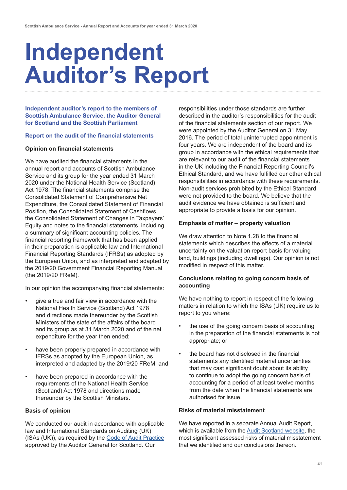# **Independent Auditor's Report**

**Independent auditor's report to the members of Scottish Ambulance Service, the Auditor General for Scotland and the Scottish Parliament** 

#### **Report on the audit of the financial statements**

#### **Opinion on financial statements**

We have audited the financial statements in the annual report and accounts of Scottish Ambulance Service and its group for the year ended 31 March 2020 under the National Health Service (Scotland) Act 1978. The financial statements comprise the Consolidated Statement of Comprehensive Net Expenditure, the Consolidated Statement of Financial Position, the Consolidated Statement of Cashflows, the Consolidated Statement of Changes in Taxpayers' Equity and notes to the financial statements, including a summary of significant accounting policies. The financial reporting framework that has been applied in their preparation is applicable law and International Financial Reporting Standards (IFRSs) as adopted by the European Union, and as interpreted and adapted by the 2019/20 Government Financial Reporting Manual (the 2019/20 FReM).

In our opinion the accompanying financial statements:

- give a true and fair view in accordance with the National Health Service (Scotland) Act 1978 and directions made thereunder by the Scottish Ministers of the state of the affairs of the board and its group as at 31 March 2020 and of the net expenditure for the year then ended;
- have been properly prepared in accordance with IFRSs as adopted by the European Union, as interpreted and adapted by the 2019/20 FReM; and
- have been prepared in accordance with the requirements of the National Health Service (Scotland) Act 1978 and directions made thereunder by the Scottish Ministers.

#### **Basis of opinion**

We conducted our audit in accordance with applicable law and International Standards on Auditing (UK) (ISAs (UK)), as required by the [Code of Audit Practice](https://www.audit-scotland.gov.uk/uploads/docs/report/2016/code_audit_practice_16.pdf) approved by the Auditor General for Scotland. Our

responsibilities under those standards are further described in the auditor's responsibilities for the audit of the financial statements section of our report. We were appointed by the Auditor General on 31 May 2016. The period of total uninterrupted appointment is four years. We are independent of the board and its group in accordance with the ethical requirements that are relevant to our audit of the financial statements in the UK including the Financial Reporting Council's Ethical Standard, and we have fulfilled our other ethical responsibilities in accordance with these requirements. Non-audit services prohibited by the Ethical Standard were not provided to the board. We believe that the audit evidence we have obtained is sufficient and appropriate to provide a basis for our opinion.

#### **Emphasis of matter – property valuation**

We draw attention to Note 1.28 to the financial statements which describes the effects of a material uncertainty on the valuation report basis for valuing land, buildings (including dwellings). Our opinion is not modified in respect of this matter.

#### **Conclusions relating to going concern basis of accounting**

We have nothing to report in respect of the following matters in relation to which the ISAs (UK) require us to report to you where:

- the use of the going concern basis of accounting in the preparation of the financial statements is not appropriate; or
- the board has not disclosed in the financial statements any identified material uncertainties that may cast significant doubt about its ability to continue to adopt the going concern basis of accounting for a period of at least twelve months from the date when the financial statements are authorised for issue.

#### **Risks of material misstatement**

We have reported in a separate Annual Audit Report, which is available from the [Audit Scotland website,](https://www.audit-scotland.gov.uk/our-work/annual-audits) the most significant assessed risks of material misstatement that we identified and our conclusions thereon.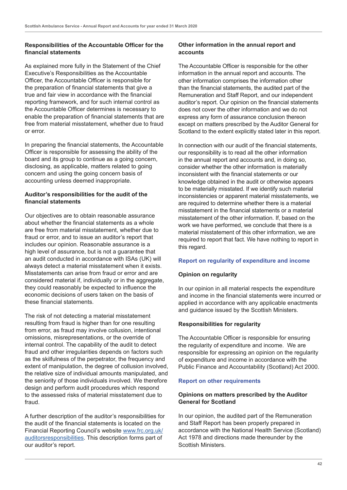#### **Responsibilities of the Accountable Officer for the financial statements**

As explained more fully in the Statement of the Chief Executive's Responsibilities as the Accountable Officer, the Accountable Officer is responsible for the preparation of financial statements that give a true and fair view in accordance with the financial reporting framework, and for such internal control as the Accountable Officer determines is necessary to enable the preparation of financial statements that are free from material misstatement, whether due to fraud or error.

In preparing the financial statements, the Accountable Officer is responsible for assessing the ability of the board and its group to continue as a going concern, disclosing, as applicable, matters related to going concern and using the going concern basis of accounting unless deemed inappropriate.

#### **Auditor's responsibilities for the audit of the financial statements**

Our objectives are to obtain reasonable assurance about whether the financial statements as a whole are free from material misstatement, whether due to fraud or error, and to issue an auditor's report that includes our opinion. Reasonable assurance is a high level of assurance, but is not a guarantee that an audit conducted in accordance with ISAs (UK) will always detect a material misstatement when it exists. Misstatements can arise from fraud or error and are considered material if, individually or in the aggregate, they could reasonably be expected to influence the economic decisions of users taken on the basis of these financial statements.

The risk of not detecting a material misstatement resulting from fraud is higher than for one resulting from error, as fraud may involve collusion, intentional omissions, misrepresentations, or the override of internal control. The capability of the audit to detect fraud and other irregularities depends on factors such as the skilfulness of the perpetrator, the frequency and extent of manipulation, the degree of collusion involved, the relative size of individual amounts manipulated, and the seniority of those individuals involved. We therefore design and perform audit procedures which respond to the assessed risks of material misstatement due to fraud.

A further description of the auditor's responsibilities for the audit of the financial statements is located on the Financial Reporting Council's website [www.frc.org.uk/](https://www.frc.org.uk/auditors/audit-assurance/auditor-s-responsibilities-for-the-audit-of-the-fi/description-of-the-auditor%e2%80%99s-responsibilities-for) [auditorsresponsibilities.](https://www.frc.org.uk/auditors/audit-assurance/auditor-s-responsibilities-for-the-audit-of-the-fi/description-of-the-auditor%e2%80%99s-responsibilities-for) This description forms part of our auditor's report.

## **Other information in the annual report and accounts**

The Accountable Officer is responsible for the other information in the annual report and accounts. The other information comprises the information other than the financial statements, the audited part of the Remuneration and Staff Report, and our independent auditor's report. Our opinion on the financial statements does not cover the other information and we do not express any form of assurance conclusion thereon except on matters prescribed by the Auditor General for Scotland to the extent explicitly stated later in this report.

In connection with our audit of the financial statements, our responsibility is to read all the other information in the annual report and accounts and, in doing so, consider whether the other information is materially inconsistent with the financial statements or our knowledge obtained in the audit or otherwise appears to be materially misstated. If we identify such material inconsistencies or apparent material misstatements, we are required to determine whether there is a material misstatement in the financial statements or a material misstatement of the other information. If, based on the work we have performed, we conclude that there is a material misstatement of this other information, we are required to report that fact. We have nothing to report in this regard.

#### **Report on regularity of expenditure and income**

#### **Opinion on regularity**

In our opinion in all material respects the expenditure and income in the financial statements were incurred or applied in accordance with any applicable enactments and guidance issued by the Scottish Ministers.

#### **Responsibilities for regularity**

The Accountable Officer is responsible for ensuring the regularity of expenditure and income. We are responsible for expressing an opinion on the regularity of expenditure and income in accordance with the Public Finance and Accountability (Scotland) Act 2000.

#### **Report on other requirements**

#### **Opinions on matters prescribed by the Auditor General for Scotland**

In our opinion, the audited part of the Remuneration and Staff Report has been properly prepared in accordance with the National Health Service (Scotland) Act 1978 and directions made thereunder by the Scottish Ministers.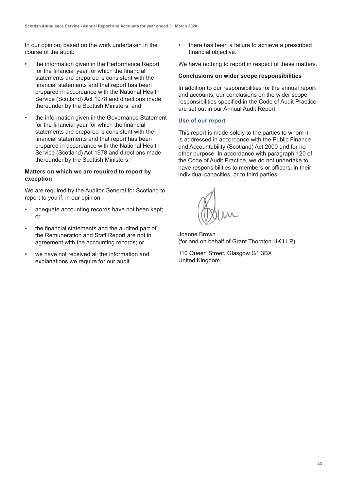In our opinion, based on the work undertaken in the course of the audit:

- the information given in the Performance Report for the financial year for which the financial statements are prepared is consistent with the financial statements and that report has been prepared in accordance with the National Health Service (Scotland) Act 1978 and directions made thereunder by the Scottish Ministers; and
- the information given in the Governance Statement for the financial year for which the financial statements are prepared is consistent with the financial statements and that report has been prepared in accordance with the National Health Service (Scotland) Act 1978 and directions made thereunder by the Scottish Ministers.

#### **Matters on which we are required to report by exception**

We are required by the Auditor General for Scotland to report to you if, in our opinion:

- adequate accounting records have not been kept; or
- the financial statements and the audited part of the Remuneration and Staff Report are not in agreement with the accounting records; or
- we have not received all the information and explanations we require for our audit

• there has been a failure to achieve a prescribed financial objective.

We have nothing to report in respect of these matters.

#### **Conclusions on wider scope responsibilities**

In addition to our responsibilities for the annual report and accounts, our conclusions on the wider scope responsibilities specified in the Code of Audit Practice are set out in our Annual Audit Report.

#### **Use of our report**

This report is made solely to the parties to whom it is addressed in accordance with the Public Finance and Accountability (Scotland) Act 2000 and for no other purpose. In accordance with paragraph 120 of the Code of Audit Practice, we do not undertake to have responsibilities to members or officers, in their individual capacities, or to third parties.

Joanne Brown (for and on behalf of Grant Thornton UK LLP)

110 Queen Street, Glasgow G1 3BX United Kingdom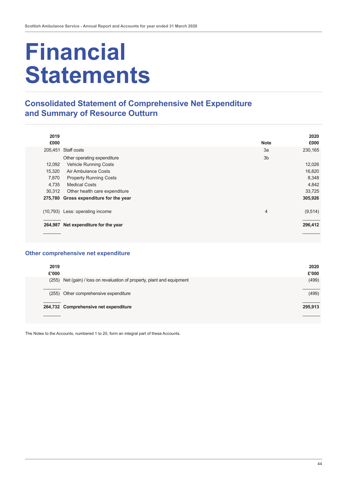# **Financial Statements**

# **Consolidated Statement of Comprehensive Net Expenditure and Summary of Resource Outturn**

| 2019   |                                        |                | 2020    |
|--------|----------------------------------------|----------------|---------|
| £000   |                                        | <b>Note</b>    | £000    |
|        | 205,451 Staff costs                    | 3a             | 230,165 |
|        | Other operating expenditure            | 3 <sub>b</sub> |         |
| 12,092 | <b>Vehicle Running Costs</b>           |                | 12,026  |
| 15,320 | Air Ambulance Costs                    |                | 16,820  |
| 7,870  | <b>Property Running Costs</b>          |                | 8,348   |
| 4,735  | <b>Medical Costs</b>                   |                | 4,842   |
| 30,312 | Other health care expenditure          |                | 33,725  |
|        | 275,780 Gross expenditure for the year |                | 305,926 |
|        | (10,793) Less: operating income        | 4              | (9,514) |
|        | 264,987 Net expenditure for the year   |                | 296,412 |
|        |                                        |                |         |

#### **Other comprehensive net expenditure**

| 2019<br>£'000 |                                                                   | 2020<br>£'000 |
|---------------|-------------------------------------------------------------------|---------------|
| (255)         | Net (gain) / loss on revaluation of property, plant and equipment | (499)         |
|               | (255) Other comprehensive expenditure                             | (499)         |
|               | 264,732 Comprehensive net expenditure                             | 295,913       |
|               |                                                                   |               |

The Notes to the Accounts, numbered 1 to 20, form an integral part of these Accounts.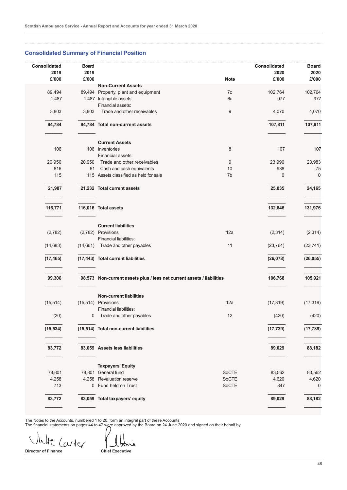#### **Consolidated Summary of Financial Position**

| <b>Consolidated</b><br>2019 | <b>Board</b><br>2019 |                                                                        |             | <b>Consolidated</b><br>2020 | Board<br>2020  |
|-----------------------------|----------------------|------------------------------------------------------------------------|-------------|-----------------------------|----------------|
| £'000                       | £'000                |                                                                        | <b>Note</b> | £'000                       | £'000          |
|                             |                      | <b>Non-Current Assets</b>                                              |             |                             |                |
| 89,494<br>1,487             |                      | 89,494 Property, plant and equipment                                   | 7c<br>6a    | 102,764<br>977              | 102,764<br>977 |
|                             |                      | 1,487 Intangible assets<br>Financial assets:                           |             |                             |                |
| 3,803                       | 3,803                | Trade and other receivables                                            | 9           | 4,070                       | 4,070          |
| 94,784                      |                      | 94,784 Total non-current assets                                        |             | 107,811                     | 107,811        |
|                             |                      | <b>Current Assets</b>                                                  |             |                             |                |
| 106                         |                      | 106 Inventories                                                        | 8           | 107                         | 107            |
|                             |                      | Financial assets:                                                      |             |                             |                |
| 20,950                      | 20,950               | Trade and other receivables                                            | 9           | 23,990                      | 23,983         |
| 816                         | 61                   | Cash and cash equivalents                                              | 10          | 938                         | 75             |
| 115                         |                      | 115 Assets classified as held for sale                                 | 7b          | $\mathbf 0$                 | $\mathbf 0$    |
| 21,987                      |                      | 21,232 Total current assets                                            |             | 25,035                      | 24,165         |
|                             |                      |                                                                        |             |                             |                |
| 116,771                     |                      | 116,016 Total assets                                                   |             | 132,846                     | 131,976        |
|                             |                      | <b>Current liabilities</b>                                             |             |                             |                |
| (2,782)                     |                      | (2,782) Provisions                                                     | 12a         | (2, 314)                    | (2, 314)       |
|                             |                      | <b>Financial liabilities:</b>                                          |             |                             |                |
| (14, 683)                   |                      | (14,661) Trade and other payables                                      | 11          | (23, 764)                   | (23, 741)      |
| (17, 465)                   |                      | (17,443) Total current liabilities                                     |             | (26,078)                    | (26, 055)      |
| 99,306                      |                      | 98,573 Non-current assets plus / less net current assets / liabilities |             | 106,768                     | 105,921        |
|                             |                      |                                                                        |             |                             |                |
|                             |                      | <b>Non-current liabilities</b>                                         |             |                             |                |
| (15, 514)                   |                      | (15,514) Provisions                                                    | 12a         | (17, 319)                   | (17, 319)      |
|                             |                      | <b>Financial liabilities:</b>                                          |             |                             |                |
| (20)                        |                      | 0 Trade and other payables                                             | 12          | (420)                       | (420)          |
| (15, 534)                   |                      | (15,514) Total non-current liabilities                                 |             | (17, 739)                   | (17, 739)      |
|                             |                      |                                                                        |             |                             |                |
| 83,772                      |                      | 83,059 Assets less liabilities                                         |             | 89,029                      | 88,182         |
|                             |                      |                                                                        |             |                             |                |
|                             |                      | <b>Taxpayers' Equity</b>                                               |             |                             |                |
| 78,801                      |                      | 78,801 General fund                                                    | SoCTE       | 83,562                      | 83,562         |
| 4,258                       |                      | 4,258 Revaluation reserve                                              | SoCTE       | 4,620                       | 4,620          |
| 713                         |                      | 0 Fund held on Trust                                                   | SoCTE       | 847                         | 0              |
| 83,772                      |                      | 83,059 Total taxpayers' equity                                         |             | 89,029                      | 88,182         |
|                             |                      |                                                                        |             |                             |                |

The Notes to the Accounts, numbered 1 to 20, form an integral part of these Accounts.

The financial statements on pages 44 to 47 were approved by the Board on 24 June 2020 and signed on their behalf by

Unit Corter Library<br>Pirector of Finance Chief Executive

ےَ ₩∾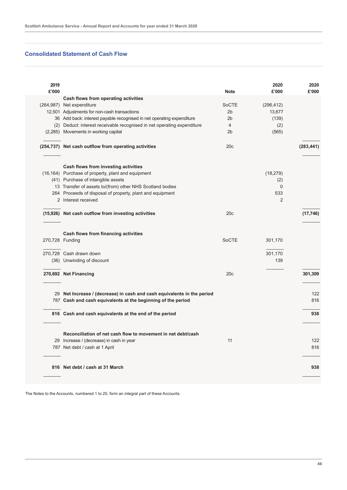#### **Consolidated Statement of Cash Flow**

| 2019<br>£'000 |                                                                         | <b>Note</b>    | 2020<br>£'000 | 2020<br>£'000 |
|---------------|-------------------------------------------------------------------------|----------------|---------------|---------------|
|               | Cash flows from operating activities                                    |                |               |               |
|               | (264,987) Net expenditure                                               | <b>SoCTE</b>   | (296, 412)    |               |
|               | 12,501 Adjustments for non-cash transactions                            | 2 <sub>b</sub> | 13,677        |               |
|               | 36 Add back: interest payable recognised in net operating expenditure   | 2 <sub>b</sub> | (139)         |               |
|               | (2) Deduct: interest receivable recognised in net operating expenditure | 4              | (2)           |               |
|               | (2,285) Movements in working capital                                    | 2b             | (565)         |               |
|               | (254,737) Net cash outflow from operating activities                    | 20c            |               | (283, 441)    |
|               | Cash flows from investing activities                                    |                |               |               |
|               | (16,164) Purchase of property, plant and equipment                      |                | (18, 279)     |               |
|               | (41) Purchase of intangible assets                                      |                | (2)           |               |
|               | 13 Transfer of assets to/(from) other NHS Scotland bodies               |                | $\mathbf 0$   |               |
|               | 264 Proceeds of disposal of property, plant and equipment               |                | 533           |               |
|               | 2 Interest received                                                     |                | 2             |               |
|               | (15,926) Net cash outflow from investing activities                     | 20c            |               | (17, 746)     |
|               | Cash flows from financing activities                                    |                |               |               |
|               | 270,728 Funding                                                         | SoCTE          | 301,170       |               |
|               | 270,728 Cash drawn down                                                 |                | 301,170       |               |
|               | (36) Unwinding of discount                                              |                | 139           |               |
|               | 270,692 Net Financing                                                   | 20c            |               | 301,309       |
|               | 29 Net Increase / (decrease) in cash and cash equivalents in the period |                |               | 122           |
|               | 787 Cash and cash equivalents at the beginning of the period            |                |               | 816           |
|               | 816 Cash and cash equivalents at the end of the period                  |                |               | 938           |
|               | Reconciliation of net cash flow to movement in net debt/cash            |                |               |               |
|               | 29 Increase / (decrease) in cash in year                                | 11             |               | 122           |
|               | 787 Net debt / cash at 1 April                                          |                |               | 816           |
|               | 816 Net debt / cash at 31 March                                         |                |               | 938           |
|               |                                                                         |                |               |               |

The Notes to the Accounts, numbered 1 to 20, form an integral part of these Accounts.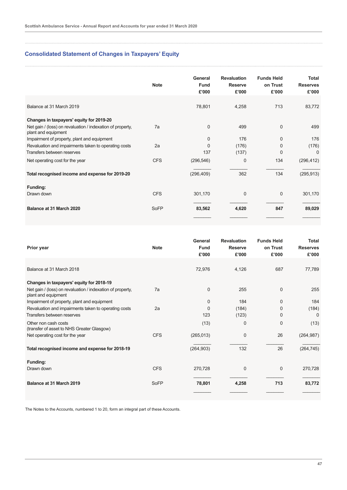#### **Consolidated Statement of Changes in Taxpayers' Equity**

|                                                                                   | <b>Note</b> | General<br><b>Fund</b><br>£'000 | <b>Revaluation</b><br><b>Reserve</b><br>£'000 | <b>Funds Held</b><br>on Trust<br>£'000 | <b>Total</b><br><b>Reserves</b><br>£'000 |
|-----------------------------------------------------------------------------------|-------------|---------------------------------|-----------------------------------------------|----------------------------------------|------------------------------------------|
| Balance at 31 March 2019                                                          |             | 78,801                          | 4,258                                         | 713                                    | 83,772                                   |
| Changes in taxpayers' equity for 2019-20                                          |             |                                 |                                               |                                        |                                          |
| Net gain / (loss) on revaluation / indexation of property,<br>plant and equipment | 7a          | $\mathbf 0$                     | 499                                           | $\Omega$                               | 499                                      |
| Impairment of property, plant and equipment                                       |             | 0                               | 176                                           | $\Omega$                               | 176                                      |
| Revaluation and impairments taken to operating costs                              | 2a          | 0                               | (176)                                         | $\Omega$                               | (176)                                    |
| Transfers between reserves                                                        |             | 137                             | (137)                                         | $\Omega$                               | $\Omega$                                 |
| Net operating cost for the year                                                   | <b>CFS</b>  | (296, 546)                      | $\Omega$                                      | 134                                    | (296, 412)                               |
| Total recognised income and expense for 2019-20                                   |             | (296, 409)                      | 362                                           | 134                                    | (295, 913)                               |
| Funding:                                                                          |             |                                 |                                               |                                        |                                          |
| Drawn down                                                                        | <b>CFS</b>  | 301,170                         | $\mathbf 0$                                   | $\mathbf 0$                            | 301,170                                  |
| Balance at 31 March 2020                                                          | SoFP        | 83,562                          | 4,620                                         | 847                                    | 89,029                                   |
|                                                                                   |             |                                 |                                               |                                        |                                          |

| <b>Prior year</b>                                                                 | <b>Note</b> | General<br><b>Fund</b><br>£'000 | <b>Revaluation</b><br><b>Reserve</b><br>£'000 | <b>Funds Held</b><br>on Trust<br>£'000 | Total<br><b>Reserves</b><br>£'000 |
|-----------------------------------------------------------------------------------|-------------|---------------------------------|-----------------------------------------------|----------------------------------------|-----------------------------------|
| Balance at 31 March 2018                                                          |             | 72,976                          | 4,126                                         | 687                                    | 77,789                            |
| Changes in taxpayers' equity for 2018-19                                          |             |                                 |                                               |                                        |                                   |
| Net gain / (loss) on revaluation / indexation of property,<br>plant and equipment | 7a          | $\mathbf 0$                     | 255                                           | $\Omega$                               | 255                               |
| Impairment of property, plant and equipment                                       |             | $\mathbf 0$                     | 184                                           | $\Omega$                               | 184                               |
| Revaluation and impairments taken to operating costs                              | 2a          | $\mathbf 0$                     | (184)                                         | $\Omega$                               | (184)                             |
| Transfers between reserves                                                        |             | 123                             | (123)                                         | $\Omega$                               | $\Omega$                          |
| Other non cash costs<br>(transfer of asset to NHS Greater Glasgow)                |             | (13)                            | 0                                             | $\Omega$                               | (13)                              |
| Net operating cost for the year                                                   | <b>CFS</b>  | (265, 013)                      | 0                                             | 26                                     | (264, 987)                        |
| Total recognised income and expense for 2018-19                                   |             | (264, 903)                      | 132                                           | 26                                     | (264, 745)                        |
| Funding:                                                                          |             |                                 |                                               |                                        |                                   |
| Drawn down                                                                        | <b>CFS</b>  | 270,728                         | $\Omega$                                      | $\Omega$                               | 270,728                           |
| Balance at 31 March 2019                                                          | SoFP        | 78,801                          | 4,258                                         | 713                                    | 83,772                            |
|                                                                                   |             |                                 |                                               |                                        |                                   |

The Notes to the Accounts, numbered 1 to 20, form an integral part of these Accounts.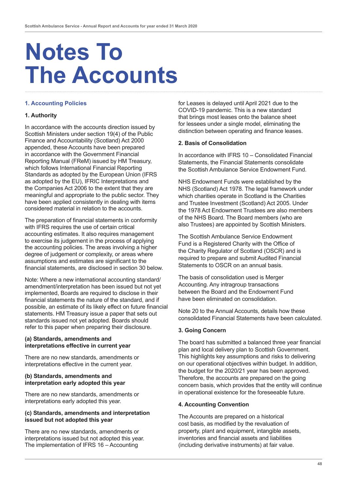# **Notes To The Accounts**

#### **1. Accounting Policies**

#### **1. Authority**

In accordance with the accounts direction issued by Scottish Ministers under section 19(4) of the Public Finance and Accountability (Scotland) Act 2000 appended, these Accounts have been prepared in accordance with the Government Financial Reporting Manual (FReM) issued by HM Treasury, which follows International Financial Reporting Standards as adopted by the European Union (IFRS as adopted by the EU), IFRIC Interpretations and the Companies Act 2006 to the extent that they are meaningful and appropriate to the public sector. They have been applied consistently in dealing with items considered material in relation to the accounts.

The preparation of financial statements in conformity with IFRS requires the use of certain critical accounting estimates. It also requires management to exercise its judgement in the process of applying the accounting policies. The areas involving a higher degree of judgement or complexity, or areas where assumptions and estimates are significant to the financial statements, are disclosed in section 30 below.

Note: Where a new international accounting standard/ amendment/interpretation has been issued but not yet implemented, Boards are required to disclose in their financial statements the nature of the standard, and if possible, an estimate of its likely effect on future financial statements. HM Treasury issue a paper that sets out standards issued not yet adopted. Boards should refer to this paper when preparing their disclosure.

#### **(a) Standards, amendments and interpretations effective in current year**

There are no new standards, amendments or interpretations effective in the current year.

#### **(b) Standards, amendments and interpretation early adopted this year**

There are no new standards, amendments or interpretations early adopted this year.

#### **(c) Standards, amendments and interpretation issued but not adopted this year**

There are no new standards, amendments or interpretations issued but not adopted this year. The implementation of IFRS 16 – Accounting

for Leases is delayed until April 2021 due to the COVID-19 pandemic. This is a new standard that brings most leases onto the balance sheet for lessees under a single model, eliminating the distinction between operating and finance leases.

#### **2. Basis of Consolidation**

In accordance with IFRS 10 – Consolidated Financial Statements, the Financial Statements consolidate the Scottish Ambulance Service Endowment Fund.

NHS Endowment Funds were established by the NHS (Scotland) Act 1978. The legal framework under which charities operate in Scotland is the Charities and Trustee Investment (Scotland) Act 2005. Under the 1978 Act Endowment Trustees are also members of the NHS Board. The Board members (who are also Trustees) are appointed by Scottish Ministers.

The Scottish Ambulance Service Endowment Fund is a Registered Charity with the Office of the Charity Regulator of Scotland (OSCR) and is required to prepare and submit Audited Financial Statements to OSCR on an annual basis.

The basis of consolidation used is Merger Accounting. Any intragroup transactions between the Board and the Endowment Fund have been eliminated on consolidation.

Note 20 to the Annual Accounts, details how these consolidated Financial Statements have been calculated.

#### **3. Going Concern**

The board has submitted a balanced three year financial plan and local delivery plan to Scottish Government. This highlights key assumptions and risks to delivering on our operational objectives within budget. In addition, the budget for the 2020/21 year has been approved. Therefore, the accounts are prepared on the going concern basis, which provides that the entity will continue in operational existence for the foreseeable future.

#### **4. Accounting Convention**

The Accounts are prepared on a historical cost basis, as modified by the revaluation of property, plant and equipment, intangible assets, inventories and financial assets and liabilities (including derivative instruments) at fair value.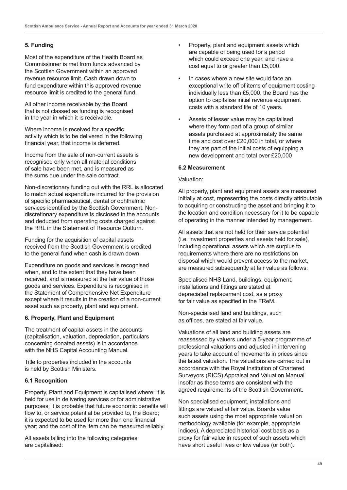#### **5. Funding**

Most of the expenditure of the Health Board as Commissioner is met from funds advanced by the Scottish Government within an approved revenue resource limit. Cash drawn down to fund expenditure within this approved revenue resource limit is credited to the general fund.

All other income receivable by the Board that is not classed as funding is recognised in the year in which it is receivable.

Where income is received for a specific activity which is to be delivered in the following financial year, that income is deferred.

Income from the sale of non-current assets is recognised only when all material conditions of sale have been met, and is measured as the sums due under the sale contract.

Non-discretionary funding out with the RRL is allocated to match actual expenditure incurred for the provision of specific pharmaceutical, dental or ophthalmic services identified by the Scottish Government. Nondiscretionary expenditure is disclosed in the accounts and deducted from operating costs charged against the RRL in the Statement of Resource Outturn.

Funding for the acquisition of capital assets received from the Scottish Government is credited to the general fund when cash is drawn down.

Expenditure on goods and services is recognised when, and to the extent that they have been received, and is measured at the fair value of those goods and services. Expenditure is recognised in the Statement of Comprehensive Net Expenditure except where it results in the creation of a non-current asset such as property, plant and equipment.

#### **6. Property, Plant and Equipment**

The treatment of capital assets in the accounts (capitalisation, valuation, depreciation, particulars concerning donated assets) is in accordance with the NHS Capital Accounting Manual.

Title to properties included in the accounts is held by Scottish Ministers.

#### **6.1 Recognition**

Property, Plant and Equipment is capitalised where: it is held for use in delivering services or for administrative purposes; it is probable that future economic benefits will flow to, or service potential be provided to, the Board; it is expected to be used for more than one financial year; and the cost of the item can be measured reliably.

All assets falling into the following categories are capitalised:

- Property, plant and equipment assets which are capable of being used for a period which could exceed one year, and have a cost equal to or greater than £5,000.
- In cases where a new site would face an exceptional write off of items of equipment costing individually less than £5,000, the Board has the option to capitalise initial revenue equipment costs with a standard life of 10 years.
- Assets of lesser value may be capitalised where they form part of a group of similar assets purchased at approximately the same time and cost over £20,000 in total, or where they are part of the initial costs of equipping a new development and total over £20,000

#### **6.2 Measurement**

#### Valuation:

All property, plant and equipment assets are measured initially at cost, representing the costs directly attributable to acquiring or constructing the asset and bringing it to the location and condition necessary for it to be capable of operating in the manner intended by management.

All assets that are not held for their service potential (i.e. investment properties and assets held for sale), including operational assets which are surplus to requirements where there are no restrictions on disposal which would prevent access to the market, are measured subsequently at fair value as follows:

Specialised NHS Land, buildings, equipment, installations and fittings are stated at depreciated replacement cost, as a proxy for fair value as specified in the FReM.

Non-specialised land and buildings, such as offices, are stated at fair value.

Valuations of all land and building assets are reassessed by valuers under a 5-year programme of professional valuations and adjusted in intervening years to take account of movements in prices since the latest valuation. The valuations are carried out in accordance with the Royal Institution of Chartered Surveyors (RICS) Appraisal and Valuation Manual insofar as these terms are consistent with the agreed requirements of the Scottish Government.

Non specialised equipment, installations and fittings are valued at fair value. Boards value such assets using the most appropriate valuation methodology available (for example, appropriate indices). A depreciated historical cost basis as a proxy for fair value in respect of such assets which have short useful lives or low values (or both).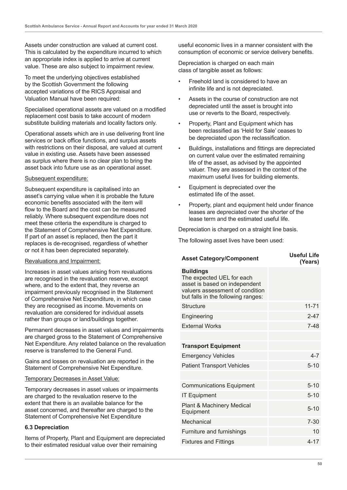Assets under construction are valued at current cost. This is calculated by the expenditure incurred to which an appropriate index is applied to arrive at current value. These are also subject to impairment review.

To meet the underlying objectives established by the Scottish Government the following accepted variations of the RICS Appraisal and Valuation Manual have been required:

Specialised operational assets are valued on a modified replacement cost basis to take account of modern substitute building materials and locality factors only.

Operational assets which are in use delivering front line services or back office functions, and surplus assets with restrictions on their disposal, are valued at current value in existing use. Assets have been assessed as surplus where there is no clear plan to bring the asset back into future use as an operational asset.

#### Subsequent expenditure:

Subsequent expenditure is capitalised into an asset's carrying value when it is probable the future economic benefits associated with the item will flow to the Board and the cost can be measured reliably. Where subsequent expenditure does not meet these criteria the expenditure is charged to the Statement of Comprehensive Net Expenditure. If part of an asset is replaced, then the part it replaces is de-recognised, regardless of whether or not it has been depreciated separately.

#### Revaluations and Impairment:

Increases in asset values arising from revaluations are recognised in the revaluation reserve, except where, and to the extent that, they reverse an impairment previously recognised in the Statement of Comprehensive Net Expenditure, in which case they are recognised as income. Movements on revaluation are considered for individual assets rather than groups or land/buildings together.

Permanent decreases in asset values and impairments are charged gross to the Statement of Comprehensive Net Expenditure. Any related balance on the revaluation reserve is transferred to the General Fund.

Gains and losses on revaluation are reported in the Statement of Comprehensive Net Expenditure.

#### Temporary Decreases in Asset Value:

Temporary decreases in asset values or impairments are charged to the revaluation reserve to the extent that there is an available balance for the asset concerned, and thereafter are charged to the Statement of Comprehensive Net Expenditure

#### **6.3 Depreciation**

Items of Property, Plant and Equipment are depreciated to their estimated residual value over their remaining

useful economic lives in a manner consistent with the consumption of economic or service delivery benefits.

Depreciation is charged on each main class of tangible asset as follows:

- Freehold land is considered to have an infinite life and is not depreciated.
- Assets in the course of construction are not depreciated until the asset is brought into use or reverts to the Board, respectively.
- Property, Plant and Equipment which has been reclassified as 'Held for Sale' ceases to be depreciated upon the reclassification.
- Buildings, installations and fittings are depreciated on current value over the estimated remaining life of the asset, as advised by the appointed valuer. They are assessed in the context of the maximum useful lives for building elements.
- Equipment is depreciated over the estimated life of the asset.
- Property, plant and equipment held under finance leases are depreciated over the shorter of the lease term and the estimated useful life.

Depreciation is charged on a straight line basis.

The following asset lives have been used:

| <b>Asset Category/Component</b>                                                                                                                         | <b>Useful Life</b><br>(Years) |
|---------------------------------------------------------------------------------------------------------------------------------------------------------|-------------------------------|
| <b>Buildings</b><br>The expected UEL for each<br>asset is based on independent<br>valuers assessment of condition<br>but falls in the following ranges: |                               |
| <b>Structure</b>                                                                                                                                        | $11 - 71$                     |
| Engineering                                                                                                                                             | $2 - 47$                      |
| <b>External Works</b>                                                                                                                                   | $7 - 48$                      |
|                                                                                                                                                         |                               |
| <b>Transport Equipment</b>                                                                                                                              |                               |
| <b>Emergency Vehicles</b>                                                                                                                               | $4 - 7$                       |
| <b>Patient Transport Vehicles</b>                                                                                                                       | $5 - 10$                      |
|                                                                                                                                                         |                               |
| <b>Communications Equipment</b>                                                                                                                         | $5 - 10$                      |
| <b>IT Equipment</b>                                                                                                                                     | $5 - 10$                      |
| Plant & Machinery Medical<br>Equipment                                                                                                                  | $5 - 10$                      |
| Mechanical                                                                                                                                              | $7 - 30$                      |
| Furniture and furnishings                                                                                                                               | 10                            |
| <b>Fixtures and Fittings</b>                                                                                                                            | $4 - 17$                      |
|                                                                                                                                                         |                               |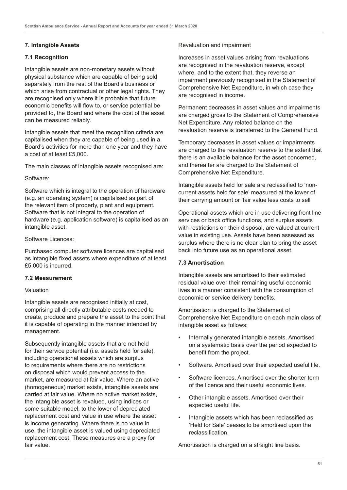### **7. Intangible Assets**

#### **7.1 Recognition**

Intangible assets are non-monetary assets without physical substance which are capable of being sold separately from the rest of the Board's business or which arise from contractual or other legal rights. They are recognised only where it is probable that future economic benefits will flow to, or service potential be provided to, the Board and where the cost of the asset can be measured reliably.

Intangible assets that meet the recognition criteria are capitalised when they are capable of being used in a Board's activities for more than one year and they have a cost of at least £5,000.

The main classes of intangible assets recognised are:

#### Software:

Software which is integral to the operation of hardware (e.g. an operating system) is capitalised as part of the relevant item of property, plant and equipment. Software that is not integral to the operation of hardware (e.g. application software) is capitalised as an intangible asset.

#### Software Licences:

Purchased computer software licences are capitalised as intangible fixed assets where expenditure of at least £5,000 is incurred.

#### **7.2 Measurement**

#### Valuation

Intangible assets are recognised initially at cost, comprising all directly attributable costs needed to create, produce and prepare the asset to the point that it is capable of operating in the manner intended by management.

Subsequently intangible assets that are not held for their service potential (i.e. assets held for sale), including operational assets which are surplus to requirements where there are no restrictions on disposal which would prevent access to the market, are measured at fair value. Where an active (homogeneous) market exists, intangible assets are carried at fair value. Where no active market exists, the intangible asset is revalued, using indices or some suitable model, to the lower of depreciated replacement cost and value in use where the asset is income generating. Where there is no value in use, the intangible asset is valued using depreciated replacement cost. These measures are a proxy for fair value.

#### Revaluation and impairment

Increases in asset values arising from revaluations are recognised in the revaluation reserve, except where, and to the extent that, they reverse an impairment previously recognised in the Statement of Comprehensive Net Expenditure, in which case they are recognised in income.

Permanent decreases in asset values and impairments are charged gross to the Statement of Comprehensive Net Expenditure. Any related balance on the revaluation reserve is transferred to the General Fund.

Temporary decreases in asset values or impairments are charged to the revaluation reserve to the extent that there is an available balance for the asset concerned, and thereafter are charged to the Statement of Comprehensive Net Expenditure.

Intangible assets held for sale are reclassified to 'noncurrent assets held for sale' measured at the lower of their carrying amount or 'fair value less costs to sell'

Operational assets which are in use delivering front line services or back office functions, and surplus assets with restrictions on their disposal, are valued at current value in existing use. Assets have been assessed as surplus where there is no clear plan to bring the asset back into future use as an operational asset.

#### **7.3 Amortisation**

Intangible assets are amortised to their estimated residual value over their remaining useful economic lives in a manner consistent with the consumption of economic or service delivery benefits.

Amortisation is charged to the Statement of Comprehensive Net Expenditure on each main class of intangible asset as follows:

- Internally generated intangible assets. Amortised on a systematic basis over the period expected to benefit from the project.
- Software. Amortised over their expected useful life.
- Software licences. Amortised over the shorter term of the licence and their useful economic lives.
- Other intangible assets. Amortised over their expected useful life.
- Intangible assets which has been reclassified as 'Held for Sale' ceases to be amortised upon the reclassification.

Amortisation is charged on a straight line basis.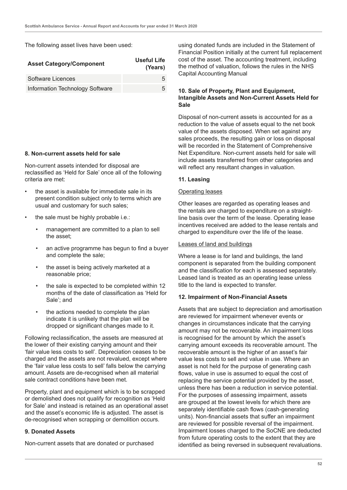The following asset lives have been used:

| <b>Asset Category/Component</b> | Useful Life<br>(Years) |
|---------------------------------|------------------------|
| Software Licences               | 5                      |
| Information Technology Software | 5                      |

#### **8. Non-current assets held for sale**

Non-current assets intended for disposal are reclassified as 'Held for Sale' once all of the following criteria are met:

- the asset is available for immediate sale in its present condition subject only to terms which are usual and customary for such sales;
- the sale must be highly probable i.e.:
	- management are committed to a plan to sell the asset;
	- an active programme has begun to find a buyer and complete the sale;
	- the asset is being actively marketed at a reasonable price;
	- the sale is expected to be completed within 12 months of the date of classification as 'Held for Sale'; and
	- the actions needed to complete the plan indicate it is unlikely that the plan will be dropped or significant changes made to it.

Following reclassification, the assets are measured at the lower of their existing carrying amount and their 'fair value less costs to sell'. Depreciation ceases to be charged and the assets are not revalued, except where the 'fair value less costs to sell' falls below the carrying amount. Assets are de-recognised when all material sale contract conditions have been met

Property, plant and equipment which is to be scrapped or demolished does not qualify for recognition as 'Held for Sale' and instead is retained as an operational asset and the asset's economic life is adjusted. The asset is de-recognised when scrapping or demolition occurs.

#### **9. Donated Assets**

Non-current assets that are donated or purchased

using donated funds are included in the Statement of Financial Position initially at the current full replacement cost of the asset. The accounting treatment, including the method of valuation, follows the rules in the NHS Capital Accounting Manual

#### **10. Sale of Property, Plant and Equipment, Intangible Assets and Non-Current Assets Held for Sale**

Disposal of non-current assets is accounted for as a reduction to the value of assets equal to the net book value of the assets disposed. When set against any sales proceeds, the resulting gain or loss on disposal will be recorded in the Statement of Comprehensive Net Expenditure. Non-current assets held for sale will include assets transferred from other categories and will reflect any resultant changes in valuation.

#### **11. Leasing**

#### Operating leases

Other leases are regarded as operating leases and the rentals are charged to expenditure on a straightline basis over the term of the lease. Operating lease incentives received are added to the lease rentals and charged to expenditure over the life of the lease.

#### Leases of land and buildings

Where a lease is for land and buildings, the land component is separated from the building component and the classification for each is assessed separately. Leased land is treated as an operating lease unless title to the land is expected to transfer.

#### **12. Impairment of Non-Financial Assets**

Assets that are subject to depreciation and amortisation are reviewed for impairment whenever events or changes in circumstances indicate that the carrying amount may not be recoverable. An impairment loss is recognised for the amount by which the asset's carrying amount exceeds its recoverable amount. The recoverable amount is the higher of an asset's fair value less costs to sell and value in use. Where an asset is not held for the purpose of generating cash flows, value in use is assumed to equal the cost of replacing the service potential provided by the asset, unless there has been a reduction in service potential. For the purposes of assessing impairment, assets are grouped at the lowest levels for which there are separately identifiable cash flows (cash-generating units). Non-financial assets that suffer an impairment are reviewed for possible reversal of the impairment. Impairment losses charged to the SoCNE are deducted from future operating costs to the extent that they are identified as being reversed in subsequent revaluations.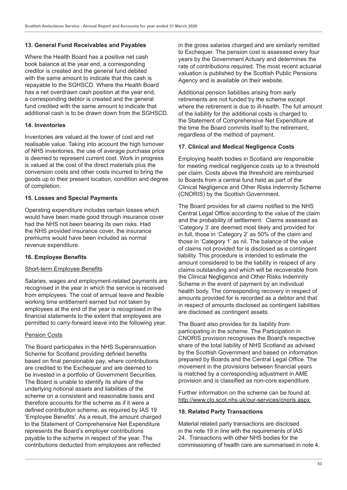### **13. General Fund Receivables and Payables**

Where the Health Board has a positive net cash book balance at the year end, a corresponding creditor is created and the general fund debited with the same amount to indicate that this cash is repayable to the SGHSCD. Where the Health Board has a net overdrawn cash position at the year end, a corresponding debtor is created and the general fund credited with the same amount to indicate that additional cash is to be drawn down from the SGHSCD.

#### **14. Inventories**

Inventories are valued at the lower of cost and net realisable value. Taking into account the high turnover of NHS inventories, the use of average purchase price is deemed to represent current cost. Work in progress is valued at the cost of the direct materials plus the conversion costs and other costs incurred to bring the goods up to their present location, condition and degree of completion.

#### **15. Losses and Special Payments**

Operating expenditure includes certain losses which would have been made good through insurance cover had the NHS not been bearing its own risks. Had the NHS provided insurance cover, the insurance premiums would have been included as normal revenue expenditure.

### **16. Employee Benefits**

### Short-term Employee Benefits

Salaries, wages and employment-related payments are recognised in the year in which the service is received from employees. The cost of annual leave and flexible working time entitlement earned but not taken by employees at the end of the year is recognised in the financial statements to the extent that employees are permitted to carry-forward leave into the following year.

#### Pension Costs

The Board participates in the NHS Superannuation Scheme for Scotland providing defined benefits based on final pensionable pay, where contributions are credited to the Exchequer and are deemed to be invested in a portfolio of Government Securities. The Board is unable to identify its share of the underlying notional assets and liabilities of the scheme on a consistent and reasonable basis and therefore accounts for the scheme as if it were a defined contribution scheme, as required by IAS 19 'Employee Benefits'. As a result, the amount charged to the Statement of Comprehensive Net Expenditure represents the Board's employer contributions payable to the scheme in respect of the year. The contributions deducted from employees are reflected

in the gross salaries charged and are similarly remitted to Exchequer. The pension cost is assessed every four years by the Government Actuary and determines the rate of contributions required. The most recent actuarial valuation is published by the Scottish Public Pensions Agency and is available on their website.

Additional pension liabilities arising from early retirements are not funded by the scheme except where the retirement is due to ill-health. The full amount of the liability for the additional costs is charged to the Statement of Comprehensive Net Expenditure at the time the Board commits itself to the retirement, regardless of the method of payment.

#### **17. Clinical and Medical Negligence Costs**

Employing health bodies in Scotland are responsible for meeting medical negligence costs up to a threshold per claim. Costs above the threshold are reimbursed to Boards from a central fund held as part of the Clinical Negligence and Other Risks Indemnity Scheme (CNORIS) by the Scottish Government.

The Board provides for all claims notified to the NHS Central Legal Office according to the value of the claim and the probability of settlement. Claims assessed as 'Category 3' are deemed most likely and provided for in full, those in 'Category 2' as 50% of the claim and those in 'Category 1' as nil. The balance of the value of claims not provided for is disclosed as a contingent liability. This procedure is intended to estimate the amount considered to be the liability in respect of any claims outstanding and which will be recoverable from the Clinical Negligence and Other Risks Indemnity Scheme in the event of payment by an individual health body. The corresponding recovery in respect of amounts provided for is recorded as a debtor and that in respect of amounts disclosed as contingent liabilities are disclosed as contingent assets.

The Board also provides for its liability from participating in the scheme. The Participation in CNORIS provision recognises the Board's respective share of the total liability of NHS Scotland as advised by the Scottish Government and based on information prepared by Boards and the Central Legal Office. The movement in the provisions between financial years is matched by a corresponding adjustment in AME provision and is classified as non-core expenditure.

Further information on the scheme can be found at: <http://www.clo.scot.nhs.uk/our-services/cnoris.aspx>

#### **18. Related Party Transactions**

Material related party transactions are disclosed in the note 19 in line with the requirements of IAS 24. Transactions with other NHS bodies for the commissioning of health care are summarised in note 4.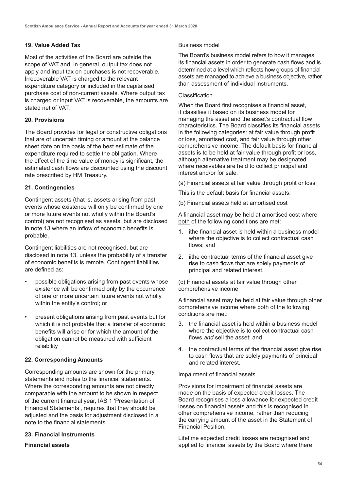#### **19. Value Added Tax**

Most of the activities of the Board are outside the scope of VAT and, in general, output tax does not apply and input tax on purchases is not recoverable. Irrecoverable VAT is charged to the relevant expenditure category or included in the capitalised purchase cost of non-current assets. Where output tax is charged or input VAT is recoverable, the amounts are stated net of VAT.

#### **20. Provisions**

The Board provides for legal or constructive obligations that are of uncertain timing or amount at the balance sheet date on the basis of the best estimate of the expenditure required to settle the obligation. Where the effect of the time value of money is significant, the estimated cash flows are discounted using the discount rate prescribed by HM Treasury.

#### **21. Contingencies**

Contingent assets (that is, assets arising from past events whose existence will only be confirmed by one or more future events not wholly within the Board's control) are not recognised as assets, but are disclosed in note 13 where an inflow of economic benefits is probable.

Contingent liabilities are not recognised, but are disclosed in note 13, unless the probability of a transfer of economic benefits is remote. Contingent liabilities are defined as:

- possible obligations arising from past events whose existence will be confirmed only by the occurrence of one or more uncertain future events not wholly within the entity's control; or
- present obligations arising from past events but for which it is not probable that a transfer of economic benefits will arise or for which the amount of the obligation cannot be measured with sufficient reliability

#### **22. Corresponding Amounts**

Corresponding amounts are shown for the primary statements and notes to the financial statements. Where the corresponding amounts are not directly comparable with the amount to be shown in respect of the current financial year, IAS 1 'Presentation of Financial Statements', requires that they should be adjusted and the basis for adjustment disclosed in a note to the financial statements.

#### **23. Financial Instruments**

#### **Financial assets**

#### Business model

The Board's business model refers to how it manages its financial assets in order to generate cash flows and is determined at a level which reflects how groups of financial assets are managed to achieve a business objective, rather than assessment of individual instruments.

#### Classification

When the Board first recognises a financial asset, it classifies it based on its business model for managing the asset and the asset's contractual flow characteristics. The Board classifies its financial assets in the following categories: at fair value through profit or loss, amortised cost, and fair value through other comprehensive income. The default basis for financial assets is to be held at fair value through profit or loss, although alternative treatment may be designated where receivables are held to collect principal and interest and/or for sale.

(a) Financial assets at fair value through profit or loss

This is the default basis for financial assets.

(b) Financial assets held at amortised cost

A financial asset may be held at amortised cost where both of the following conditions are met:

- 1. ithe financial asset is held within a business model where the objective is to collect contractual cash flows; and
- 2. iithe contractual terms of the financial asset give rise to cash flows that are solely payments of principal and related interest.

(c) Financial assets at fair value through other comprehensive income

A financial asset may be held at fair value through other comprehensive income where both of the following conditions are met:

- 3. the financial asset is held within a business model where the objective is to collect contractual cash flows *and* sell the asset; and
- 4. the contractual terms of the financial asset give rise to cash flows that are solely payments of principal and related interest.

#### Impairment of financial assets

Provisions for impairment of financial assets are made on the basis of expected credit losses. The Board recognises a loss allowance for expected credit losses on financial assets and this is recognised in other comprehensive income, rather than reducing the carrying amount of the asset in the Statement of Financial Position.

Lifetime expected credit losses are recognised and applied to financial assets by the Board where there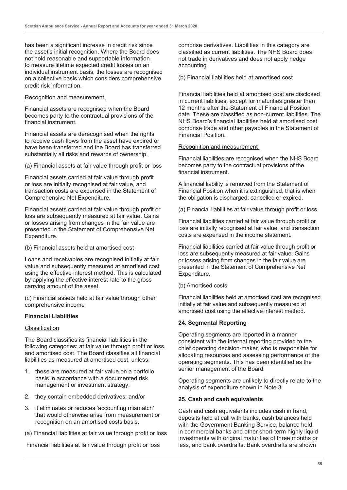has been a significant increase in credit risk since the asset's initial recognition. Where the Board does not hold reasonable and supportable information to measure lifetime expected credit losses on an individual instrument basis, the losses are recognised on a collective basis which considers comprehensive credit risk information.

#### Recognition and measurement

Financial assets are recognised when the Board becomes party to the contractual provisions of the financial instrument.

Financial assets are derecognised when the rights to receive cash flows from the asset have expired or have been transferred and the Board has transferred substantially all risks and rewards of ownership.

(a) Financial assets at fair value through profit or loss

Financial assets carried at fair value through profit or loss are initially recognised at fair value, and transaction costs are expensed in the Statement of Comprehensive Net Expenditure.

Financial assets carried at fair value through profit or loss are subsequently measured at fair value. Gains or losses arising from changes in the fair value are presented in the Statement of Comprehensive Net Expenditure.

(b) Financial assets held at amortised cost

Loans and receivables are recognised initially at fair value and subsequently measured at amortised cost using the effective interest method. This is calculated by applying the effective interest rate to the gross carrying amount of the asset.

(c) Financial assets held at fair value through other comprehensive income

#### **Financial Liabilities**

#### Classification

The Board classifies its financial liabilities in the following categories: at fair value through profit or loss, and amortised cost. The Board classifies all financial liabilities as measured at amortised cost, unless:

- 1. these are measured at fair value on a portfolio basis in accordance with a documented risk management or investment strategy;
- 2. they contain embedded derivatives; and/or
- 3. it eliminates or reduces 'accounting mismatch' that would otherwise arise from measurement or recognition on an amortised costs basis.
- (a) Financial liabilities at fair value through profit or loss

Financial liabilities at fair value through profit or loss

comprise derivatives. Liabilities in this category are classified as current liabilities. The NHS Board does not trade in derivatives and does not apply hedge accounting.

(b) Financial liabilities held at amortised cost

Financial liabilities held at amortised cost are disclosed in current liabilities, except for maturities greater than 12 months after the Statement of Financial Position date. These are classified as non-current liabilities. The NHS Board's financial liabilities held at amortised cost comprise trade and other payables in the Statement of Financial Position.

#### Recognition and measurement

Financial liabilities are recognised when the NHS Board becomes party to the contractual provisions of the financial instrument.

A financial liability is removed from the Statement of Financial Position when it is extinguished, that is when the obligation is discharged, cancelled or expired.

(a) Financial liabilities at fair value through profit or loss

Financial liabilities carried at fair value through profit or loss are initially recognised at fair value, and transaction costs are expensed in the income statement.

Financial liabilities carried at fair value through profit or loss are subsequently measured at fair value. Gains or losses arising from changes in the fair value are presented in the Statement of Comprehensive Net Expenditure.

#### (b) Amortised costs

Financial liabilities held at amortised cost are recognised initially at fair value and subsequently measured at amortised cost using the effective interest method.

#### **24. Segmental Reporting**

Operating segments are reported in a manner consistent with the internal reporting provided to the chief operating decision-maker, who is responsible for allocating resources and assessing performance of the operating segments. This has been identified as the senior management of the Board.

Operating segments are unlikely to directly relate to the analysis of expenditure shown in Note 3.

#### **25. Cash and cash equivalents**

Cash and cash equivalents includes cash in hand, deposits held at call with banks, cash balances held with the Government Banking Service, balance held in commercial banks and other short-term highly liquid investments with original maturities of three months or less, and bank overdrafts. Bank overdrafts are shown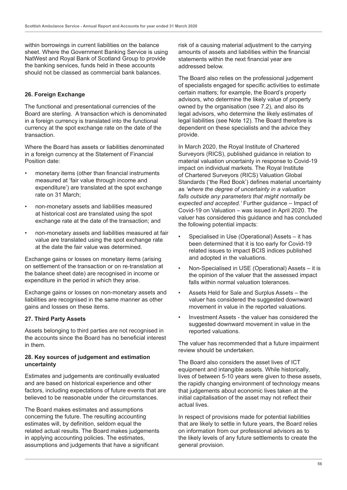within borrowings in current liabilities on the balance sheet. Where the Government Banking Service is using NatWest and Royal Bank of Scotland Group to provide the banking services, funds held in these accounts should not be classed as commercial bank balances.

#### **26. Foreign Exchange**

The functional and presentational currencies of the Board are sterling. A transaction which is denominated in a foreign currency is translated into the functional currency at the spot exchange rate on the date of the transaction.

Where the Board has assets or liabilities denominated in a foreign currency at the Statement of Financial Position date:

- monetary items (other than financial instruments measured at 'fair value through income and expenditure') are translated at the spot exchange rate on 31 March;
- non-monetary assets and liabilities measured at historical cost are translated using the spot exchange rate at the date of the transaction; and
- non-monetary assets and liabilities measured at fair value are translated using the spot exchange rate at the date the fair value was determined.

Exchange gains or losses on monetary items (arising on settlement of the transaction or on re-translation at the balance sheet date) are recognised in income or expenditure in the period in which they arise.

Exchange gains or losses on non-monetary assets and liabilities are recognised in the same manner as other gains and losses on these items.

#### **27. Third Party Assets**

Assets belonging to third parties are not recognised in the accounts since the Board has no beneficial interest in them.

#### **28. Key sources of judgement and estimation uncertainty**

Estimates and judgements are continually evaluated and are based on historical experience and other factors, including expectations of future events that are believed to be reasonable under the circumstances.

The Board makes estimates and assumptions concerning the future. The resulting accounting estimates will, by definition, seldom equal the related actual results. The Board makes judgements in applying accounting policies. The estimates, assumptions and judgements that have a significant

risk of a causing material adjustment to the carrying amounts of assets and liabilities within the financial statements within the next financial year are addressed below.

The Board also relies on the professional judgement of specialists engaged for specific activities to estimate certain matters; for example, the Board's property advisors, who determine the likely value of property owned by the organisation (see 7.2), and also its legal advisors, who determine the likely estimates of legal liabilities (see Note 12). The Board therefore is dependent on these specialists and the advice they provide.

In March 2020, the Royal Institute of Chartered Surveyors (RICS), published guidance in relation to material valuation uncertainty in response to Covid-19 impact on individual markets. The Royal Institute of Chartered Surveyors (RICS) Valuation Global Standards ('the Red Book') defines material uncertainty as *'where the degree of uncertainty in a valuation falls outside any parameters that might normally be expected and accepted.'* Further guidance – Impact of Covid-19 on Valuation – was issued in April 2020. The valuer has considered this guidance and has concluded the following potential impacts:

- Specialised in Use (Operational) Assets it has been determined that it is too early for Covid-19 related issues to impact BCIS indices published and adopted in the valuations.
- Non-Specialised in USE (Operational) Assets it is the opinion of the valuer that the assessed impact falls within normal valuation tolerances.
- Assets Held for Sale and Surplus Assets the valuer has considered the suggested downward movement in value in the reported valuations.
- Investment Assets the valuer has considered the suggested downward movement in value in the reported valuations.

The valuer has recommended that a future impairment review should be undertaken.

The Board also considers the asset lives of ICT equipment and intangible assets. While historically, lives of between 5-10 years were given to these assets, the rapidly changing environment of technology means that judgements about economic lives taken at the initial capitalisation of the asset may not reflect their actual lives.

In respect of provisions made for potential liabilities that are likely to settle in future years, the Board relies on information from our professional advisors as to the likely levels of any future settlements to create the general provision.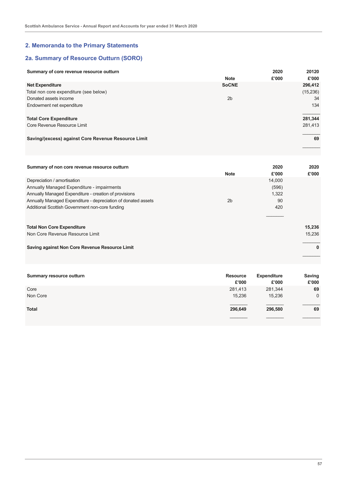# **2. Memoranda to the Primary Statements**

# **2a. Summary of Resource Outturn (SORO)**

| Summary of core revenue resource outturn                      | <b>Note</b>    | 2020<br>£'000 | 20120<br>£'000 |
|---------------------------------------------------------------|----------------|---------------|----------------|
| <b>Net Expenditure</b>                                        | <b>SoCNE</b>   |               | 296,412        |
| Total non core expenditure (see below)                        |                |               | (15, 236)      |
| Donated assets income                                         | 2 <sub>b</sub> |               | 34             |
| Endowment net expenditure                                     |                |               | 134            |
| <b>Total Core Expenditure</b>                                 |                |               | 281,344        |
| Core Revenue Resource Limit                                   |                |               | 281,413        |
| Saving/(excess) against Core Revenue Resource Limit           |                |               | 69             |
| Summary of non core revenue resource outturn                  | <b>Note</b>    | 2020<br>£'000 | 2020<br>£'000  |
| Depreciation / amortisation                                   |                | 14,000        |                |
| Annually Managed Expenditure - impairments                    |                | (596)         |                |
| Annually Managed Expenditure - creation of provisions         |                | 1,322         |                |
| Annually Managed Expenditure - depreciation of donated assets | 2 <sub>b</sub> | 90            |                |
| Additional Scottish Government non-core funding               |                | 420           |                |
|                                                               |                |               |                |
| <b>Total Non Core Expenditure</b>                             |                |               | 15,236         |
| Non Core Revenue Resource Limit                               |                |               | 15,236         |
| Saving against Non Core Revenue Resource Limit                |                |               | $\bf{0}$       |

| Summary resource outturn | <b>Resource</b><br>£'000 | <b>Expenditure</b><br>£'000 | <b>Saving</b><br>£'000 |
|--------------------------|--------------------------|-----------------------------|------------------------|
| Core                     | 281,413                  | 281,344                     | 69                     |
| Non Core                 | 15,236                   | 15,236                      | $\mathbf 0$            |
| <b>Total</b>             | 296,649                  | 296,580                     | 69                     |
|                          |                          |                             |                        |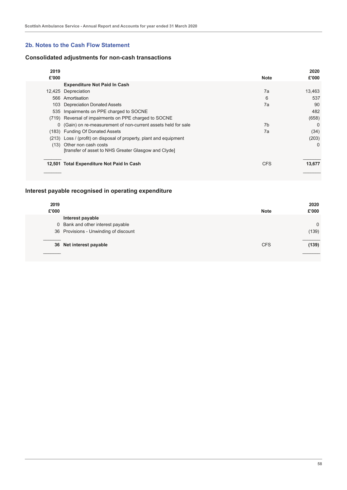## **2b. Notes to the Cash Flow Statement**

# **Consolidated adjustments for non-cash transactions**

| 2019  |                                                                              |                | 2020   |
|-------|------------------------------------------------------------------------------|----------------|--------|
| £'000 |                                                                              | <b>Note</b>    | £'000  |
|       | <b>Expenditure Not Paid In Cash</b>                                          |                |        |
|       | 12,425 Depreciation                                                          | 7a             | 13,463 |
|       | 566 Amortisation                                                             | 6              | 537    |
| 103   | <b>Depreciation Donated Assets</b>                                           | 7a             | 90     |
| 535   | Impairments on PPE charged to SOCNE                                          |                | 482    |
|       | (719) Reversal of impairments on PPE charged to SOCNE                        |                | (658)  |
| 0     | (Gain) on re-measurement of non-current assets held for sale                 | 7 <sub>b</sub> | 0      |
|       | (183) Funding Of Donated Assets                                              | 7a             | (34)   |
|       | (213) Loss / (profit) on disposal of property, plant and equipment           |                | (203)  |
| (13)  | Other non cash costs<br>[transfer of asset to NHS Greater Glasgow and Clyde] |                | 0      |
|       | 12,501 Total Expenditure Not Paid In Cash                                    | <b>CFS</b>     | 13,677 |

# **Interest payable recognised in operating expenditure**

| 2019<br>£'000 |                                       | <b>Note</b> | 2020<br>£'000 |
|---------------|---------------------------------------|-------------|---------------|
|               | Interest payable                      |             |               |
|               | 0 Bank and other interest payable     |             | $\Omega$      |
|               | 36 Provisions - Unwinding of discount |             | (139)         |
|               |                                       |             |               |
|               | 36 Net interest payable               | <b>CFS</b>  | (139)         |
|               |                                       |             |               |
|               |                                       |             |               |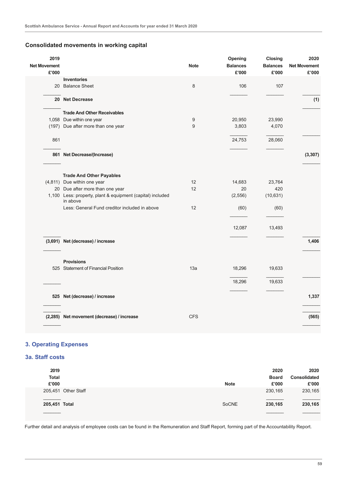| 2019<br><b>Net Movement</b><br>£'000 |                                                                        | <b>Note</b> | Opening<br><b>Balances</b><br>£'000 | Closing<br><b>Balances</b><br>£'000 | 2020<br><b>Net Movement</b><br>£'000 |
|--------------------------------------|------------------------------------------------------------------------|-------------|-------------------------------------|-------------------------------------|--------------------------------------|
|                                      | <b>Inventories</b>                                                     |             |                                     |                                     |                                      |
|                                      | 20 Balance Sheet                                                       | 8           | 106                                 | 107                                 |                                      |
|                                      | 20 Net Decrease                                                        |             |                                     |                                     | (1)                                  |
|                                      | <b>Trade And Other Receivables</b>                                     |             |                                     |                                     |                                      |
|                                      | 1,058 Due within one year                                              | $9\,$       | 20,950                              | 23,990                              |                                      |
|                                      | (197) Due after more than one year                                     | 9           | 3,803                               | 4,070                               |                                      |
| 861                                  |                                                                        |             | 24,753                              | 28,060                              |                                      |
|                                      | 861 Net Decrease/(Increase)                                            |             |                                     |                                     | (3, 307)                             |
|                                      | <b>Trade And Other Payables</b>                                        |             |                                     |                                     |                                      |
|                                      | (4,811) Due within one year                                            | 12          | 14,683                              | 23,764                              |                                      |
|                                      | 20 Due after more than one year                                        | 12          | 20                                  | 420                                 |                                      |
|                                      | 1,100 Less: property, plant & equipment (capital) included<br>in above |             | (2, 556)                            | (10, 631)                           |                                      |
|                                      | Less: General Fund creditor included in above                          | 12          | (60)                                | (60)                                |                                      |
|                                      |                                                                        |             | 12,087                              | 13,493                              |                                      |
|                                      | (3,691) Net (decrease) / increase                                      |             |                                     |                                     | 1,406                                |
|                                      |                                                                        |             |                                     |                                     |                                      |
|                                      | <b>Provisions</b>                                                      |             |                                     |                                     |                                      |
|                                      | 525 Statement of Financial Position                                    | 13a         | 18,296                              | 19,633                              |                                      |
|                                      |                                                                        |             | 18,296                              | 19,633                              |                                      |
|                                      | 525 Net (decrease) / increase                                          |             |                                     |                                     | 1,337                                |
|                                      | (2,285) Net movement (decrease) / increase                             | <b>CFS</b>  |                                     |                                     | (565)                                |
|                                      |                                                                        |             |                                     |                                     |                                      |

# **Consolidated movements in working capital**

# **3. Operating Expenses**

# **3a. Staff costs**

| 2019<br><b>Total</b><br>£'000 |                     | <b>Note</b> | 2020<br><b>Board</b><br>£'000 | 2020<br><b>Consolidated</b><br>£'000 |
|-------------------------------|---------------------|-------------|-------------------------------|--------------------------------------|
|                               | 205,451 Other Staff |             | 230,165                       | 230,165                              |
| 205,451 Total                 |                     | SoCNE       | 230,165                       | 230,165                              |
|                               |                     |             |                               |                                      |

Further detail and analysis of employee costs can be found in the Remuneration and Staff Report, forming part of the Accountability Report.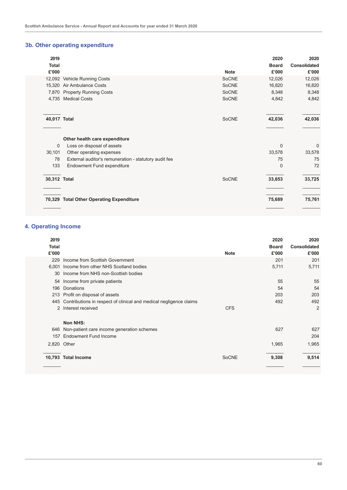# **3b. Other operating expenditure**

| 2019<br><b>Total</b><br>£'000 |                                                       | <b>Note</b>  | 2020<br><b>Board</b><br>£'000 | 2020<br><b>Consolidated</b><br>£'000 |
|-------------------------------|-------------------------------------------------------|--------------|-------------------------------|--------------------------------------|
|                               | 12,092 Vehicle Running Costs                          | <b>SoCNE</b> | 12,026                        | 12,026                               |
|                               | 15,320 Air Ambulance Costs                            | <b>SoCNE</b> | 16,820                        | 16,820                               |
| 7,870                         | <b>Property Running Costs</b>                         | <b>SoCNE</b> | 8,348                         | 8,348                                |
| 4,735                         | <b>Medical Costs</b>                                  | <b>SoCNE</b> | 4,842                         | 4,842                                |
| 40,017 Total                  |                                                       | <b>SoCNE</b> | 42,036                        | 42,036                               |
|                               | Other health care expenditure                         |              |                               |                                      |
| $\Omega$                      | Loss on disposal of assets                            |              | $\mathbf 0$                   | $\mathbf 0$                          |
| 30,101                        | Other operating expenses                              |              | 33,578                        | 33,578                               |
| 78                            | External auditor's remuneration - statutory audit fee |              | 75                            | 75                                   |
| 133                           | Endowment Fund expenditure                            |              | $\mathbf 0$                   | 72                                   |
| 30,312 Total                  |                                                       | <b>SoCNE</b> | 33,653                        | 33,725                               |
|                               | 70,329 Total Other Operating Expenditure              |              | 75,689                        | 75,761                               |
|                               |                                                       |              |                               |                                      |

# **4. Operating Income**

| 2019<br><b>Total</b><br>£'000 |                                                                    | <b>Note</b>  | 2020<br><b>Board</b><br>£'000 | 2020<br><b>Consolidated</b><br>£'000 |
|-------------------------------|--------------------------------------------------------------------|--------------|-------------------------------|--------------------------------------|
| 229                           | Income from Scottish Government                                    |              | 201                           | 201                                  |
| 6,001                         | Income from other NHS Scotland bodies                              |              | 5,711                         | 5,711                                |
| 30                            | Income from NHS non-Scottish bodies                                |              |                               |                                      |
| 54                            | Income from private patients                                       |              | 55                            | 55                                   |
| 196                           | Donations                                                          |              | 54                            | 54                                   |
| 213                           | Profit on disposal of assets                                       |              | 203                           | 203                                  |
| 445                           | Contributions in respect of clinical and medical negligence claims |              | 492                           | 492                                  |
| 2                             | Interest received                                                  | <b>CFS</b>   |                               | $\overline{2}$                       |
|                               | <b>Non NHS:</b>                                                    |              |                               |                                      |
| 646                           | Non-patient care income generation schemes                         |              | 627                           | 627                                  |
| 157                           | <b>Endowment Fund Income</b>                                       |              |                               | 204                                  |
| 2,820                         | Other                                                              |              | 1,965                         | 1,965                                |
|                               | 10,793 Total Income                                                | <b>SoCNE</b> | 9,308                         | 9,514                                |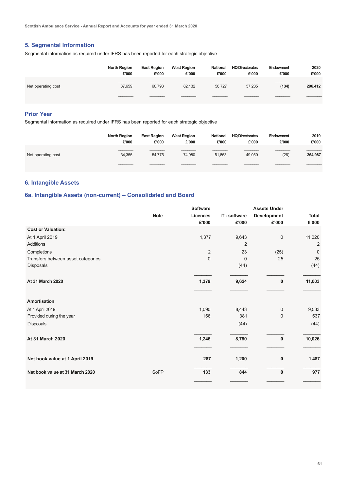#### **5. Segmental Information**

Segmental information as required under IFRS has been reported for each strategic objective

|                    | <b>North Region</b><br>£'000 | <b>East Region</b><br>£'000 | <b>West Region</b><br>£'000 | National<br>£'000 | <b>HQ Directorates</b><br>£'000 | Endowment<br>£'000 | 2020<br>£'000 |
|--------------------|------------------------------|-----------------------------|-----------------------------|-------------------|---------------------------------|--------------------|---------------|
| Net operating cost | 37,659                       | 60,793                      | 82,132                      | 58,727            | 57,235                          | (134)              | 296,412       |
|                    |                              |                             |                             |                   |                                 |                    |               |

#### **Prior Year**

Segmental information as required under IFRS has been reported for each strategic objective

|                    | <b>North Region</b><br>£'000 | <b>East Region</b><br>£'000 | <b>West Region</b><br>£'000 | <b>National</b><br>£'000 | <b>HQ Directorates</b><br>£'000 | Endowment<br>£'000 | 2019<br>£'000 |
|--------------------|------------------------------|-----------------------------|-----------------------------|--------------------------|---------------------------------|--------------------|---------------|
| Net operating cost | 34,355                       | 54,775                      | 74,980                      | 51,853                   | 49,050                          | (26)               | 264,987       |
|                    |                              |                             |                             |                          |                                 |                    |               |

#### **6. Intangible Assets**

#### **6a. Intangible Assets (non-current) – Consolidated and Board**

|                                    |             | <b>Software</b> |                | <b>Assets Under</b> |                |
|------------------------------------|-------------|-----------------|----------------|---------------------|----------------|
|                                    | <b>Note</b> | <b>Licences</b> | IT - software  | <b>Development</b>  | <b>Total</b>   |
|                                    |             | £'000           | £'000          | £'000               | £'000          |
| <b>Cost or Valuation:</b>          |             |                 |                |                     |                |
| At 1 April 2019                    |             | 1,377           | 9,643          | 0                   | 11,020         |
| <b>Additions</b>                   |             |                 | $\overline{2}$ |                     | $\overline{2}$ |
| Completions                        |             | $\overline{2}$  | 23             | (25)                | 0              |
| Transfers between asset categories |             | 0               | $\mathbf 0$    | 25                  | 25             |
| Disposals                          |             |                 | (44)           |                     | (44)           |
| At 31 March 2020                   |             | 1,379           | 9,624          | 0                   | 11,003         |
| <b>Amortisation</b>                |             |                 |                |                     |                |
| At 1 April 2019                    |             | 1,090           | 8,443          | $\mathbf 0$         | 9,533          |
| Provided during the year           |             | 156             | 381            | $\mathbf 0$         | 537            |
| Disposals                          |             |                 | (44)           |                     | (44)           |
| At 31 March 2020                   |             | 1,246           | 8,780          | $\mathbf 0$         | 10,026         |
| Net book value at 1 April 2019     |             | 287             | 1,200          | $\mathbf 0$         | 1,487          |
| Net book value at 31 March 2020    | <b>SoFP</b> | 133             | 844            | $\mathbf{0}$        | 977            |
|                                    |             |                 |                |                     |                |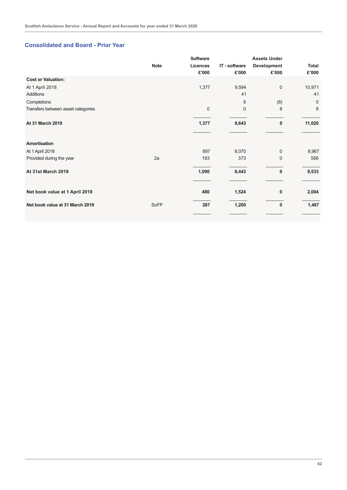#### **Consolidated and Board - Prior Year**

|                                    |             | <b>Software</b> |               | <b>Assets Under</b> |              |
|------------------------------------|-------------|-----------------|---------------|---------------------|--------------|
|                                    | <b>Note</b> | Licences        | IT - software | <b>Development</b>  | <b>Total</b> |
|                                    |             | £'000           | £'000         | £'000               | £'000        |
| <b>Cost or Valuation:</b>          |             |                 |               |                     |              |
| At 1 April 2018                    |             | 1,377           | 9,594         | $\mathbf 0$         | 10,971       |
| <b>Additions</b>                   |             |                 | 41            |                     | 41           |
| Completions                        |             |                 | 8             | (8)                 | $\mathbf 0$  |
| Transfers between asset categories |             | $\mathsf 0$     | $\mathbf 0$   | 8                   | 8            |
| At 31 March 2019                   |             | 1,377           | 9,643         | $\mathbf 0$         | 11,020       |
| Amortisation                       |             |                 |               |                     |              |
| At 1 April 2018                    |             | 897             | 8,070         | $\mathbf 0$         | 8,967        |
| Provided during the year           | 2a          | 193             | 373           | $\mathbf 0$         | 566          |
| At 31st March 2019                 |             | 1,090           | 8,443         | $\mathbf{0}$        | 9,533        |
| Net book value at 1 April 2018     |             | 480             | 1,524         | $\bf{0}$            | 2,004        |
| Net book value at 31 March 2019    | SoFP        | 287             | 1,200         | $\mathbf 0$         | 1,487        |
|                                    |             |                 |               |                     |              |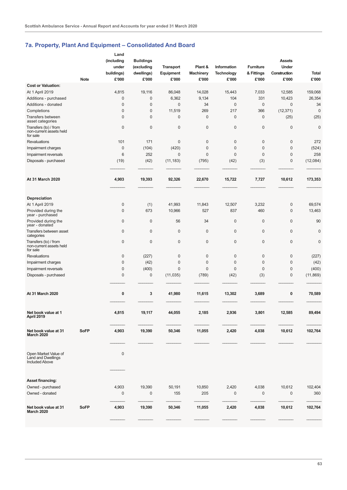# **7a. Property, Plant And Equipment – Consolidated And Board**

|                                                                            |             | Land<br>(including<br>under<br>buildings) | <b>Buildings</b><br>(excluding<br>dwellings) | <b>Transport</b><br><b>Equipment</b> | Plant &<br><b>Machinery</b> | Information<br><b>Technology</b> | Furniture<br>& Fittings | <b>Assets</b><br>Under<br>Construction | <b>Total</b>   |
|----------------------------------------------------------------------------|-------------|-------------------------------------------|----------------------------------------------|--------------------------------------|-----------------------------|----------------------------------|-------------------------|----------------------------------------|----------------|
|                                                                            | <b>Note</b> | £'000                                     | £'000                                        | £'000                                | £'000                       | £'000                            | £'000                   | £'000                                  | £'000          |
| <b>Cost or Valuation:</b>                                                  |             |                                           |                                              |                                      |                             |                                  |                         |                                        |                |
| At 1 April 2019                                                            |             | 4,815                                     | 19,116                                       | 86,048                               | 14,028                      | 15,443                           | 7,033                   | 12,585                                 | 159,068        |
| Additions - purchased                                                      |             | $\pmb{0}$                                 | 0                                            | 6,362                                | 9,134                       | 104                              | 331                     | 10,423                                 | 26,354         |
| Additions - donated                                                        |             | $\mathbf 0$                               | $\mathbf 0$                                  | $\pmb{0}$                            | 34                          | $\mathsf{O}\xspace$              | 0                       | $\mathbf 0$                            | 34             |
| Completions                                                                |             | $\mathbf 0$                               | $\mathbf 0$                                  | 11,519                               | 269                         | 217                              | 366                     | (12, 371)                              | $\mathbf 0$    |
| Transfers between<br>asset categories                                      |             | 0                                         | 0                                            | 0                                    | 0                           | 0                                | 0                       | (25)                                   | (25)           |
| Transfers (to) / from<br>non-current assets held<br>for sale               |             | $\mathbf 0$                               | 0                                            | $\bf 0$                              | $\mathbf 0$                 | 0                                | 0                       | $\boldsymbol{0}$                       | $\mathbf 0$    |
| <b>Revaluations</b>                                                        |             | 101                                       | 171                                          | $\mathbf 0$                          | $\mathbf 0$                 | $\pmb{0}$                        | 0                       | 0                                      | 272            |
| Impairment charges                                                         |             | $\pmb{0}$                                 | (104)                                        | (420)                                | 0                           | 0                                | 0                       | $\pmb{0}$                              | (524)          |
| Impairment reversals                                                       |             | $6\phantom{1}$                            | 252                                          | $\mathbf{0}$                         | 0                           | $\mathbf 0$                      | $\mathbf 0$             | $\pmb{0}$                              | 258            |
| Disposals - purchased                                                      |             | (19)                                      | (42)                                         | (11, 183)                            | (795)                       | (42)                             | (3)                     | $\pmb{0}$                              | (12,084)       |
| At 31 March 2020                                                           |             | 4,903                                     | 19,393                                       | 92,326                               | 22,670                      | 15,722                           | 7,727                   | 10,612                                 | 173,353        |
|                                                                            |             |                                           |                                              |                                      |                             |                                  |                         |                                        |                |
| Depreciation                                                               |             |                                           |                                              |                                      |                             |                                  |                         |                                        |                |
| At 1 April 2019                                                            |             | $\pmb{0}$                                 | (1)                                          | 41,993                               | 11,843                      | 12,507                           | 3,232                   | 0                                      | 69,574         |
| Provided during the<br>year - purchased                                    |             | $\bf 0$                                   | 673                                          | 10,966                               | 527                         | 837                              | 460                     | $\pmb{0}$                              | 13,463         |
| Provided during the<br>year - donated                                      |             | $\bf 0$                                   | 0                                            | 56                                   | 34                          | $\pmb{0}$                        | 0                       | 0                                      | 90             |
| Transfers between asset<br>categories                                      |             | $\bf 0$                                   | 0                                            | $\bf 0$                              | $\mathbf 0$                 | 0                                | 0                       | 0                                      | $\mathbf 0$    |
| Transfers (to) / from<br>non-current assets held<br>for sale               |             | $\pmb{0}$                                 | 0                                            | 0                                    | 0                           | $\pmb{0}$                        | 0                       | 0                                      | $\pmb{0}$      |
| <b>Revaluations</b>                                                        |             | $\pmb{0}$                                 | (227)                                        | $\mathbf 0$                          | $\mathbf 0$                 | $\pmb{0}$                        | 0                       | 0                                      | (227)          |
| Impairment charges                                                         |             | $\mathbf 0$                               | (42)                                         | $\bf 0$                              | 0                           | $\bf 0$                          | 0                       | 0                                      | (42)           |
| Impairment reversals                                                       |             | $\mathbf 0$                               | (400)                                        | $\mathbf 0$                          | 0                           | 0                                | 0                       | $\pmb{0}$                              | (400)          |
| Disposals - purchased                                                      |             | $\mathbf 0$                               | 0                                            | (11, 035)                            | (789)                       | (42)                             | (3)                     | $\pmb{0}$                              | (11, 869)      |
| At 31 March 2020                                                           |             | $\pmb{0}$                                 | 3                                            | 41,980                               | 11,615                      | 13,302                           | 3,689                   | 0                                      | 70,589         |
| Net book value at 1<br>April 2019                                          |             | 4,815                                     | 19,117                                       | 44,055                               | 2,185                       | 2,936                            | 3,801                   | 12,585                                 | 89,494         |
| Net book value at 31<br><b>March 2020</b>                                  | <b>SoFP</b> | 4,903                                     | 19,390                                       | 50,346                               | 11,055                      | 2,420                            | 4,038                   | 10,612                                 | 102,764        |
| Open Market Value of<br><b>Land and Dwellings</b><br><b>Included Above</b> |             | $\pmb{0}$                                 |                                              |                                      |                             |                                  |                         |                                        |                |
| Asset financing:<br>Owned - purchased<br>Owned - donated                   |             | 4,903<br>$\pmb{0}$                        | 19,390<br>0                                  | 50,191<br>155                        | 10,850<br>205               | 2,420<br>$\mathbf 0$             | 4,038<br>0              | 10,612<br>0                            | 102,404<br>360 |
| Net book value at 31<br><b>March 2020</b>                                  | SoFP        | 4,903                                     | 19,390                                       | 50,346                               | 11,055                      | 2,420                            | 4,038                   | 10,612                                 | 102,764        |
|                                                                            |             |                                           |                                              |                                      |                             |                                  |                         |                                        |                |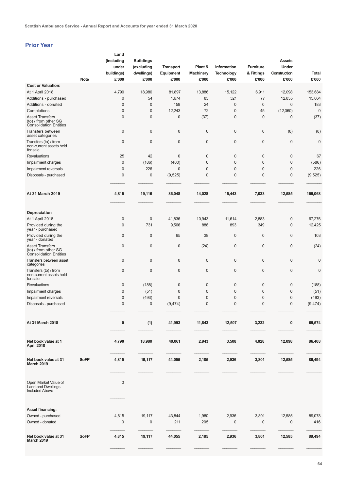#### **Prior Year**

|                                                                                 | Land<br>(including<br>under        | <b>Buildings</b><br>(excluding | <b>Transport</b>   | Plant &                   | Information                | <b>Furniture</b>    | <b>Assets</b><br>Under |                       |
|---------------------------------------------------------------------------------|------------------------------------|--------------------------------|--------------------|---------------------------|----------------------------|---------------------|------------------------|-----------------------|
|                                                                                 | buildings)<br>£'000<br><b>Note</b> | dwellings)<br>£'000            | Equipment<br>£'000 | <b>Machinery</b><br>£'000 | <b>Technology</b><br>£'000 | & Fittings<br>£'000 | Construction<br>£'000  | <b>Total</b><br>£'000 |
| <b>Cost or Valuation:</b>                                                       |                                    |                                |                    |                           |                            |                     |                        |                       |
| At 1 April 2018                                                                 | 4,790                              | 18,980                         | 81,897             | 13,886                    | 15,122                     | 6,911               | 12,098                 | 153,684               |
| Additions - purchased                                                           | $\pmb{0}$                          | 54                             | 1,674              | 83                        | 321                        | 77                  | 12,855                 | 15,064                |
| Additions - donated                                                             | $\mathsf{O}\xspace$                | $\mathbf 0$                    | 159                | 24                        | $\bf 0$                    | $\mathbf 0$         | 0                      | 183                   |
| Completions                                                                     | $\mathbf 0$                        | $\mathbf 0$                    | 12,243             | 72                        | $\mathbf 0$                | 45                  | (12, 360)              | $\mathbf 0$           |
| <b>Asset Transfers</b><br>(to) / from other SG<br><b>Consolidation Entities</b> | $\mathsf{O}\xspace$                | 0                              | $\mathbf 0$        | (37)                      | 0                          | $\mathbf 0$         | 0                      | (37)                  |
| Transfers between<br>asset categories                                           | $\mathbf 0$                        | $\mathbf 0$                    | $\mathbf 0$        | $\mathbf 0$               | 0                          | 0                   | (8)                    | (8)                   |
| Transfers (to) / from<br>non-current assets held<br>for sale                    | $\pmb{0}$                          | $\mathbf 0$                    | $\pmb{0}$          | $\bf 0$                   | 0                          | $\pmb{0}$           | 0                      | $\pmb{0}$             |
| <b>Revaluations</b>                                                             | 25                                 | 42                             | $\mathbf 0$        | $\mathbf 0$               | 0                          | $\mathbf 0$         | 0                      | 67                    |
| Impairment charges                                                              | $\mathsf{O}\xspace$                | (186)                          | (400)              | $\mathbf 0$               | $\mathbf 0$                | $\bf 0$             | 0                      | (586)                 |
| Impairment reversals                                                            | $\mathbf 0$                        | 226                            | $\mathbf{0}$       | $\mathbf{0}$              | $\mathbf{0}$               | $\mathbf 0$         | 0                      | 226                   |
| Disposals - purchased                                                           | $\mathbf 0$                        | 0                              | (9, 525)           | $\mathbf 0$               | $\mathbf{0}$               | $\mathbf 0$         | 0                      | (9, 525)              |
| At 31 March 2019                                                                | 4,815                              | 19,116                         | 86,048             | 14,028                    | 15,443                     | 7,033               | 12,585                 | 159,068               |
| <b>Depreciation</b>                                                             |                                    |                                |                    |                           |                            |                     |                        |                       |
| At 1 April 2018                                                                 | 0                                  | $\pmb{0}$                      | 41,836             | 10,943                    | 11,614                     | 2,883               | 0                      | 67,276                |
| Provided during the<br>year - purchased                                         | $\mathbf 0$                        | 731                            | 9,566              | 886                       | 893                        | 349                 | 0                      | 12,425                |
| Provided during the<br>year - donated                                           | $\mathbf 0$                        | $\mathbf 0$                    | 65                 | 38                        | 0                          | $\mathbf 0$         | 0                      | 103                   |
| <b>Asset Transfers</b><br>(to) / from other SG<br><b>Consolidation Entities</b> | 0                                  | 0                              | $\mathbf 0$        | (24)                      | 0                          | 0                   | 0                      | (24)                  |
| Transfers between asset<br>categories                                           | $\mathbf 0$                        | $\mathbf 0$                    | $\mathbf 0$        | $\mathbf{0}$              | 0                          | $\mathbf 0$         | 0                      | $\mathbf 0$           |
| Transfers (to) / from<br>non-current assets held<br>for sale                    | $\mathbf 0$                        | 0                              | $\mathbf 0$        | $\mathbf{0}$              | 0                          | $\mathbf 0$         | 0                      | $\mathbf 0$           |
| Revaluations                                                                    | 0                                  | (188)                          | $\mathbf 0$        | $\mathbf 0$               | 0                          | 0                   | 0                      | (188)                 |
| Impairment charges                                                              | 0                                  | (51)                           | $\mathbf 0$        | $\mathbf 0$               | 0                          | 0                   | 0                      | (51)                  |
| Impairment reversals                                                            | $\mathbf 0$                        | (493)                          | $\mathbf 0$        | 0                         | $\mathbf 0$                | 0                   | 0                      | (493)                 |
| Disposals - purchased                                                           | $\mathbf 0$                        | 0                              | (9, 474)           | $\mathbf 0$               | $\mathbf{0}$               | $\pmb{0}$           | 0                      | (9, 474)              |
| At 31 March 2018                                                                | $\pmb{0}$                          | (1)                            | 41,993             | 11,843                    | 12,507                     | 3,232               | 0                      | 69,574                |
| Net book value at 1<br>April 2018                                               | 4,790                              | 18,980                         | 40,061             | 2,943                     | 3,508                      | 4,028               | 12,098                 | 86,408                |
| Net book value at 31<br><b>March 2019</b>                                       | <b>SoFP</b><br>4,815               | 19,117                         | 44,055             | 2,185                     | 2,936                      | 3,801               | 12,585                 | 89,494                |
| Open Market Value of<br><b>Land and Dwellings</b><br><b>Included Above</b>      | $\pmb{0}$                          |                                |                    |                           |                            |                     |                        |                       |
|                                                                                 |                                    |                                |                    |                           |                            |                     |                        |                       |
| Asset financing:                                                                |                                    |                                |                    |                           |                            |                     |                        |                       |
| Owned - purchased                                                               | 4,815                              | 19,117                         | 43,844             | 1,980                     | 2,936                      | 3,801               | 12,585                 | 89,078                |
| Owned - donated                                                                 | $\mathbf 0$                        | $\bf 0$                        | 211                | 205                       | 0                          | $\pmb{0}$           | 0                      | 416                   |
| Net book value at 31<br><b>March 2019</b>                                       | <b>SoFP</b><br>4,815               | 19,117                         | 44,055             | 2,185                     | 2,936                      | 3,801               | 12,585                 | 89,494                |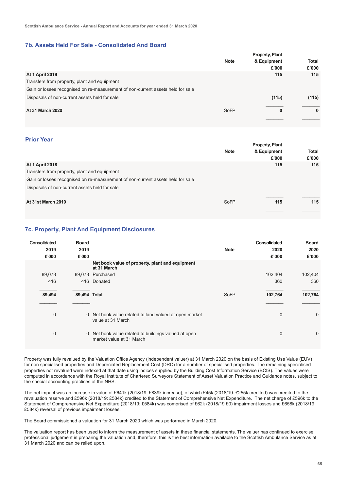#### **7b. Assets Held For Sale - Consolidated And Board**

|                                                                                 |             | <b>Property, Plant</b> |                       |
|---------------------------------------------------------------------------------|-------------|------------------------|-----------------------|
|                                                                                 | <b>Note</b> | & Equipment<br>£'000   | <b>Total</b><br>£'000 |
| <b>At 1 April 2019</b>                                                          |             | 115                    | 115                   |
| Transfers from property, plant and equipment                                    |             |                        |                       |
| Gain or losses recognised on re-measurement of non-current assets held for sale |             |                        |                       |
| Disposals of non-current assets held for sale                                   |             | (115)                  | (115)                 |
| <b>At 31 March 2020</b>                                                         | SoFP        | 0                      | $\bf{0}$              |
|                                                                                 |             |                        |                       |

#### **Prior Year**

|                                                                                 |             | <b>Property, Plant</b> |              |
|---------------------------------------------------------------------------------|-------------|------------------------|--------------|
|                                                                                 | <b>Note</b> | & Equipment            | <b>Total</b> |
|                                                                                 |             | £'000                  | £'000        |
| <b>At 1 April 2018</b>                                                          |             | 115                    | 115          |
| Transfers from property, plant and equipment                                    |             |                        |              |
| Gain or losses recognised on re-measurement of non-current assets held for sale |             |                        |              |
| Disposals of non-current assets held for sale                                   |             |                        |              |
| At 31st March 2019                                                              | SoFP        | 115                    | 115          |
|                                                                                 |             |                        |              |

#### **7c. Property, Plant And Equipment Disclosures**

| Consolidated<br>2019<br>£'000 | <b>Board</b><br>2019<br>£'000 |                                                                                  | <b>Note</b> | <b>Consolidated</b><br>2020<br>£'000 | <b>Board</b><br>2020<br>£'000 |
|-------------------------------|-------------------------------|----------------------------------------------------------------------------------|-------------|--------------------------------------|-------------------------------|
|                               |                               | Net book value of property, plant and equipment<br>at 31 March                   |             |                                      |                               |
| 89,078                        |                               | 89,078 Purchased                                                                 |             | 102,404                              | 102,404                       |
| 416                           | 416                           | Donated                                                                          |             | 360                                  | 360                           |
| 89,494                        | 89,494 Total                  |                                                                                  | <b>SoFP</b> | 102,764                              | 102,764                       |
| 0                             |                               | 0 Net book value related to land valued at open market<br>value at 31 March      |             | $\mathbf 0$                          | $\mathbf 0$                   |
| 0                             |                               | 0 Net book value related to buildings valued at open<br>market value at 31 March |             | $\mathbf 0$                          | 0                             |

Property was fully revalued by the Valuation Office Agency (independent valuer) at 31 March 2020 on the basis of Existing Use Value (EUV) for non specialised properties and Depreciated Replacement Cost (DRC) for a number of specialised properties. The remaining specialised properties not revalued were indexed at that date using indices supplied by the Building Cost Information Service (BCIS). The values were computed in accordance with the Royal Institute of Chartered Surveyors Statement of Asset Valuation Practice and Guidance notes, subject to the special accounting practices of the NHS.

The net impact was an increase in value of £641k (2018/19: £839k increase), of which £45k (2018/19: £255k credited) was credited to the revaluation reserve and £596k (2018/19: £584k) credited to the Statement of Comprehensive Net Expenditure. The net charge of £596k to the Statement of Comprehensive Net Expenditure (2018/19: £584k) was comprised of £62k (2018/19 £0) impairment losses and £658k (2018/19 £584k) reversal of previous impairment losses.

The Board commissioned a valuation for 31 March 2020 which was performed in March 2020.

The valuation report has been used to inform the measurement of assets in these financial statements. The valuer has continued to exercise professional judgement in preparing the valuation and, therefore, this is the best information available to the Scottish Ambulance Service as at 31 March 2020 and can be relied upon.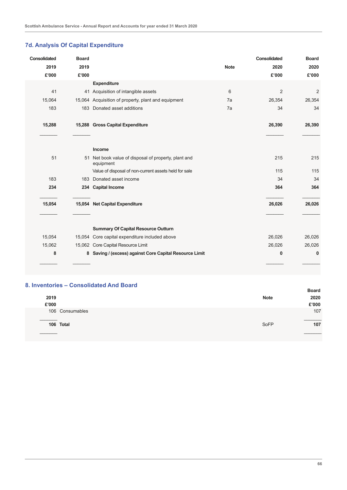# **7d. Analysis Of Capital Expenditure**

| Consolidated | <b>Board</b> |                                                                   |             | Consolidated   | <b>Board</b>   |
|--------------|--------------|-------------------------------------------------------------------|-------------|----------------|----------------|
| 2019         | 2019         |                                                                   | <b>Note</b> | 2020           | 2020           |
| £'000        | £'000        |                                                                   |             | £'000          | £'000          |
|              |              | <b>Expenditure</b>                                                |             |                |                |
| 41           |              | 41 Acquisition of intangible assets                               | 6           | $\overline{2}$ | $\overline{2}$ |
| 15,064       |              | 15,064 Acquisition of property, plant and equipment               | 7a          | 26,354         | 26,354         |
| 183          |              | 183 Donated asset additions                                       | 7a          | 34             | 34             |
| 15,288       |              | 15,288 Gross Capital Expenditure                                  |             | 26,390         | 26,390         |
|              |              | Income                                                            |             |                |                |
| 51           |              | 51 Net book value of disposal of property, plant and<br>equipment |             | 215            | 215            |
|              |              | Value of disposal of non-current assets held for sale             |             | 115            | 115            |
| 183          |              | 183 Donated asset income                                          |             | 34             | 34             |
| 234          |              | 234 Capital Income                                                |             | 364            | 364            |
| 15,054       |              | 15,054 Net Capital Expenditure                                    |             | 26,026         | 26,026         |
|              |              | <b>Summary Of Capital Resource Outturn</b>                        |             |                |                |
| 15,054       |              | 15,054 Core capital expenditure included above                    |             | 26,026         | 26,026         |
| 15,062       |              | 15,062 Core Capital Resource Limit                                |             | 26,026         | 26,026         |
| 8            |              | 8 Saving / (excess) against Core Capital Resource Limit           |             | 0              | $\bf{0}$       |
|              |              |                                                                   |             |                |                |

## **8. Inventories – Consolidated And Board**

|       |                 |             | Board |
|-------|-----------------|-------------|-------|
| 2019  |                 | <b>Note</b> | 2020  |
| £'000 |                 |             | £'000 |
|       | 106 Consumables |             | 107   |
|       |                 |             |       |
|       | 106 Total       | SoFP        | 107   |
|       |                 |             |       |
|       |                 |             |       |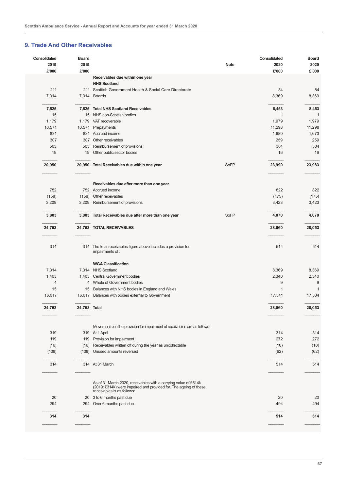#### **9. Trade And Other Receivables**

| Consolidated   | <b>Board</b> |                                                                          |             | Consolidated | <b>Board</b> |
|----------------|--------------|--------------------------------------------------------------------------|-------------|--------------|--------------|
| 2019           | 2019         |                                                                          | <b>Note</b> | 2020         | 2020         |
| £'000          | £'000        |                                                                          |             | £'000        | £'000        |
|                |              | Receivables due within one year                                          |             |              |              |
|                |              | <b>NHS Scotland</b>                                                      |             |              |              |
| 211            |              | 211 Scottish Government Health & Social Care Directorate                 |             | 84           | 84           |
| 7,314          |              | 7,314 Boards                                                             |             | 8,369        | 8,369        |
|                |              |                                                                          |             |              |              |
| 7,525          |              | 7,525 Total NHS Scotland Receivables                                     |             | 8,453        | 8,453        |
| 15<br>1,179    |              | 15 NHS non-Scottish bodies<br>1,179 VAT recoverable                      |             | 1<br>1,979   | 1,979        |
| 10,571         |              | 10,571 Prepayments                                                       |             | 11,298       | 11,298       |
| 831            |              | 831 Accrued income                                                       |             | 1,680        | 1,673        |
| 307            |              | 307 Other receivables                                                    |             | 259          | 259          |
| 503            |              | 503 Reimbursement of provisions                                          |             | 304          | 304          |
| 19             |              | 19 Other public sector bodies                                            |             | 16           | 16           |
|                |              |                                                                          |             |              |              |
| 20,950         |              | 20,950 Total Receivables due within one year                             | <b>SoFP</b> | 23,990       | 23,983       |
|                |              |                                                                          |             |              |              |
|                |              |                                                                          |             |              |              |
|                |              | Receivables due after more than one year                                 |             |              |              |
| 752            |              | 752 Accrued income                                                       |             | 822          | 822          |
| (158)<br>3,209 |              | (158) Other receivables<br>3,209 Reimbursement of provisions             |             | (175)        | (175)        |
|                |              |                                                                          |             | 3,423        | 3,423        |
| 3,803          |              | 3,803 Total Receivables due after more than one year                     | <b>SoFP</b> | 4,070        | 4,070        |
|                |              |                                                                          |             |              |              |
| 24,753         |              | 24,753 TOTAL RECEIVABLES                                                 |             | 28,060       | 28,053       |
|                |              |                                                                          |             |              |              |
|                |              |                                                                          |             |              |              |
| 314            |              | 314 The total receivables figure above includes a provision for          |             | 514          | 514          |
|                |              | impairments of:                                                          |             |              |              |
|                |              | <b>WGA Classification</b>                                                |             |              |              |
| 7,314          |              | 7,314 NHS Scotland                                                       |             | 8,369        | 8,369        |
| 1,403          |              | 1,403 Central Government bodies                                          |             | 2,340        | 2,340        |
| 4              |              | 4 Whole of Government bodies                                             |             | 9            | 9            |
| 15             |              | 15 Balances with NHS bodies in England and Wales                         |             | $\mathbf{1}$ | $\mathbf 1$  |
| 16,017         |              | 16,017 Balances with bodies external to Government                       |             | 17,341       | 17,334       |
|                |              |                                                                          |             |              |              |
| 24,753         | 24,753 Total |                                                                          |             | 28,060       | 28,053       |
|                |              |                                                                          |             |              |              |
|                |              |                                                                          |             |              |              |
|                |              | Movements on the provision for impairment of receivables are as follows: |             |              |              |
| 319            |              | 319 At 1 April                                                           |             | 314          | 314          |
| 119            |              | 119 Provision for impairment                                             |             | 272          | 272          |
| (16)           | (16)         | Receivables written off during the year as uncollectable                 |             | (10)         | (10)         |
| (108)          | (108)        | Unused amounts reversed                                                  |             | (62)         | (62)         |
|                |              |                                                                          |             |              |              |
| 314            |              | 314 At 31 March                                                          |             | 514          | 514          |
|                |              |                                                                          |             |              |              |
|                |              | As of 31 March 2020, receivables with a carrying value of £514k          |             |              |              |
|                |              | (2019: £314k) were impaired and provided for. The ageing of these        |             |              |              |
|                |              | receivables is as follows:                                               |             |              |              |
| 20             |              | 20 3 to 6 months past due                                                |             | 20           | 20           |
| 294            |              | 294 Over 6 months past due                                               |             | 494          | 494          |
| 314            | 314          |                                                                          |             | 514          | 514          |
|                |              |                                                                          |             |              |              |
|                |              |                                                                          |             |              |              |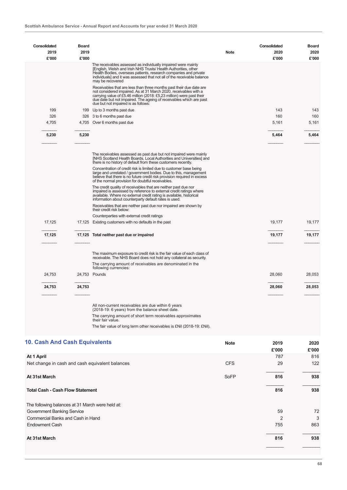| Consolidated<br>2019<br>£'000 | <b>Board</b><br>2019<br>£'000 |                                                                                                                                                                                                                                                                                                                                                                                                                                                                                                                                                                                                                                                                                                                                                                                                                                                               | <b>Note</b> | Consolidated<br>2020<br>£'000 | <b>Board</b><br>2020<br>£'000 |
|-------------------------------|-------------------------------|---------------------------------------------------------------------------------------------------------------------------------------------------------------------------------------------------------------------------------------------------------------------------------------------------------------------------------------------------------------------------------------------------------------------------------------------------------------------------------------------------------------------------------------------------------------------------------------------------------------------------------------------------------------------------------------------------------------------------------------------------------------------------------------------------------------------------------------------------------------|-------------|-------------------------------|-------------------------------|
|                               |                               | The receivables assessed as individually impaired were mainly<br>[English, Welsh and Irish NHS Trusts/ Health Authorities, other<br>Health Bodies, overseas patients, research companies and private<br>individuals] and it was assessed that not all of the receivable balance<br>may be recovered<br>Receivables that are less than three months past their due date are<br>not considered impaired. As at 31 March 2020, receivables with a<br>carrying value of £5.46 million (2018: £5,23 million) were past their<br>due date but not impaired. The ageing of receivables which are past<br>due but not impaired is as follows:                                                                                                                                                                                                                         |             |                               |                               |
| 199                           |                               | 199 Up to 3 months past due                                                                                                                                                                                                                                                                                                                                                                                                                                                                                                                                                                                                                                                                                                                                                                                                                                   |             | 143                           | 143                           |
| 326                           |                               | 326 3 to 6 months past due                                                                                                                                                                                                                                                                                                                                                                                                                                                                                                                                                                                                                                                                                                                                                                                                                                    |             | 160                           | 160                           |
| 4,705                         |                               | 4,705 Over 6 months past due                                                                                                                                                                                                                                                                                                                                                                                                                                                                                                                                                                                                                                                                                                                                                                                                                                  |             | 5,161                         | 5,161                         |
| 5,230                         | 5,230                         |                                                                                                                                                                                                                                                                                                                                                                                                                                                                                                                                                                                                                                                                                                                                                                                                                                                               |             | 5,464                         | 5,464                         |
|                               |                               | The receivables assessed as past due but not impaired were mainly<br>[NHS Scotland Health Boards, Local Authorities and Universities] and<br>there is no history of default from these customers recently.<br>Concentration of credit risk is limited due to customer base being<br>large and unrelated / government bodies. Due to this, management<br>believe that there is no future credit risk provision required in excess<br>of the normal provision for doubtful receivables.<br>The credit quality of receivables that are neither past due nor<br>impaired is assessed by reference to external credit ratings where<br>available. Where no external credit rating is available, historical<br>information about counterparty default rates is used.<br>Receivables that are neither past due nor impaired are shown by<br>their credit risk below: |             |                               |                               |
| 17,125                        |                               | Counterparties with external credit ratings<br>17,125 Existing customers with no defaults in the past                                                                                                                                                                                                                                                                                                                                                                                                                                                                                                                                                                                                                                                                                                                                                         |             | 19,177                        | 19,177                        |
|                               |                               |                                                                                                                                                                                                                                                                                                                                                                                                                                                                                                                                                                                                                                                                                                                                                                                                                                                               |             |                               |                               |
| 17,125                        |                               | 17,125 Total neither past due or impaired                                                                                                                                                                                                                                                                                                                                                                                                                                                                                                                                                                                                                                                                                                                                                                                                                     |             | 19,177                        | 19,177                        |
| 24,753                        |                               | The maximum exposure to credit risk is the fair value of each class of<br>receivable. The NHS Board does not hold any collateral as security.<br>The carrying amount of receivables are denominated in the<br>following currencies:<br>24,753 Pounds                                                                                                                                                                                                                                                                                                                                                                                                                                                                                                                                                                                                          |             | 28,060                        | 28,053                        |
| 24,753                        | 24,753                        |                                                                                                                                                                                                                                                                                                                                                                                                                                                                                                                                                                                                                                                                                                                                                                                                                                                               |             | 28,060                        | 28,053                        |
|                               |                               | All non-current receivables are due within 6 years<br>(2018-19: 6 years) from the balance sheet date.<br>The carrying amount of short term receivables approximates<br>their fair value.<br>The fair value of long term other receivables is £Nil (2018-19: £Nil).                                                                                                                                                                                                                                                                                                                                                                                                                                                                                                                                                                                            |             |                               |                               |

| 10. Cash And Cash Equivalents                    | <b>Note</b> | 2019<br>£'000  | 2020<br>£'000 |
|--------------------------------------------------|-------------|----------------|---------------|
| At 1 April                                       |             | 787            | 816           |
|                                                  |             |                |               |
| Net change in cash and cash equivalent balances  | <b>CFS</b>  | 29             | 122           |
| At 31st March                                    | SoFP        | 816            | 938           |
| <b>Total Cash - Cash Flow Statement</b>          |             | 816            | 938           |
| The following balances at 31 March were held at: |             |                |               |
| Government Banking Service                       |             | 59             | 72            |
| Commercial Banks and Cash in Hand                |             | $\overline{2}$ | 3             |
| <b>Endowment Cash</b>                            |             | 755            | 863           |
| At 31st March                                    |             | 816            | 938           |
|                                                  |             |                |               |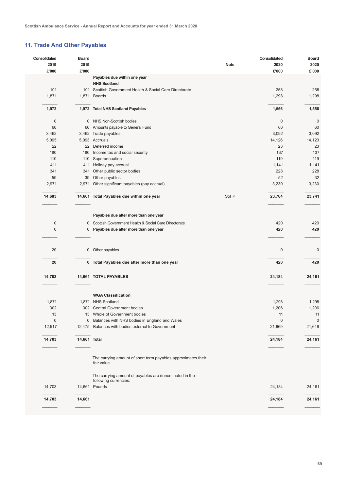# **11. Trade And Other Payables**

| Consolidated             | <b>Board</b> |                                                                              |             | Consolidated | <b>Board</b> |
|--------------------------|--------------|------------------------------------------------------------------------------|-------------|--------------|--------------|
| 2019                     | 2019         |                                                                              | <b>Note</b> | 2020         | 2020         |
| £'000                    | £'000        |                                                                              |             | £'000        | £'000        |
|                          |              | Payables due within one year                                                 |             |              |              |
|                          |              | <b>NHS Scotland</b>                                                          |             |              |              |
| 101                      |              | 101 Scottish Government Health & Social Care Directorate                     |             | 258          | 258          |
| 1,871                    | 1,871        | <b>Boards</b>                                                                |             | 1,298        | 1,298        |
|                          |              |                                                                              |             |              |              |
| 1,972                    |              | 1,972 Total NHS Scotland Payables                                            |             | 1,556        | 1,556        |
|                          |              |                                                                              |             |              |              |
| $\mathbf 0$              |              | 0 NHS Non-Scottish bodies                                                    |             | 0            | $\bf 0$      |
| 60                       |              | 60 Amounts payable to General Fund                                           |             | 60           | 60           |
| 3,462                    |              | 3,462 Trade payables                                                         |             | 3,092        | 3,092        |
| 5,095                    |              | 5,093 Accruals                                                               |             | 14,126       | 14,123       |
| 22                       |              | 22 Deferred income                                                           |             | 23           | 23           |
| 180                      |              | 180 Income tax and social security                                           |             | 137          | 137          |
| 110                      |              | 110 Superannuation                                                           |             | 119          | 119          |
| 411                      | 411          | Holiday pay accrual                                                          |             | 1,141        | 1,141        |
| 341                      | 341          | Other public sector bodies                                                   |             | 228          | 228          |
| 59                       | 39           | Other payables                                                               |             | 52           | 32           |
| 2,971                    | 2,971        | Other significant payables (pay accrual)                                     |             | 3,230        | 3,230        |
|                          |              |                                                                              | SoFP        |              |              |
| 14,683                   |              | 14,661 Total Payables due within one year                                    |             | 23,764       | 23,741       |
|                          |              |                                                                              |             |              |              |
|                          |              | Payables due after more than one year                                        |             |              |              |
|                          |              |                                                                              |             |              |              |
| $\pmb{0}$<br>$\mathbf 0$ |              | 0 Scottish Government Health & Social Care Directorate                       |             | 420<br>420   | 420<br>420   |
|                          |              | 0 Payables due after more than one year                                      |             |              |              |
|                          |              |                                                                              |             |              |              |
|                          |              |                                                                              |             |              |              |
| 20                       | $\mathbf{0}$ | Other payables                                                               |             | 0            | $\pmb{0}$    |
|                          |              |                                                                              |             |              |              |
| 20                       |              | 0 Total Payables due after more than one year                                |             | 420          | 420          |
| 14,703                   |              |                                                                              |             | 24,184       |              |
|                          |              | 14,661 TOTAL PAYABLES                                                        |             |              | 24,161       |
|                          |              |                                                                              |             |              |              |
|                          |              | <b>WGA Classification</b>                                                    |             |              |              |
| 1,871                    |              | 1,871 NHS Scotland                                                           |             | 1,298        | 1,298        |
| 302                      |              | 302 Central Government bodies                                                |             | 1,206        | 1,206        |
| 13                       |              | 13 Whole of Government bodies                                                |             | 11           | 11           |
| $\pmb{0}$                |              | 0 Balances with NHS bodies in England and Wales                              |             | 0            | $\pmb{0}$    |
| 12,517                   |              | 12,475 Balances with bodies external to Government                           |             | 21,669       | 21,646       |
|                          |              |                                                                              |             |              |              |
| 14,703                   | 14,661 Total |                                                                              |             | 24,184       | 24,161       |
|                          |              |                                                                              |             |              |              |
|                          |              |                                                                              |             |              |              |
|                          |              | The carrying amount of short term payables approximates their<br>fair value. |             |              |              |
|                          |              |                                                                              |             |              |              |
|                          |              | The carrying amount of payables are denominated in the                       |             |              |              |
| 14,703                   |              | following currencies:                                                        |             |              |              |
|                          |              | 14,661 Pounds                                                                |             | 24,184       | 24,161       |
| 14,703                   | 14,661       |                                                                              |             | 24,184       | 24,161       |
|                          |              |                                                                              |             |              |              |
|                          |              |                                                                              |             |              |              |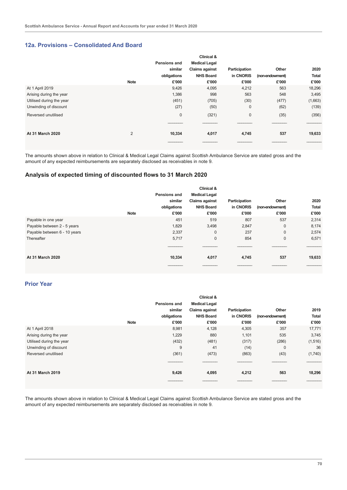## **12a. Provisions – Consolidated And Board**

|                          |             | Pensions and<br>similar<br>obligations | Clinical &<br><b>Medical Legal</b><br><b>Claims against</b><br><b>NHS Board</b> | Participation<br>in CNORIS | Other<br>(non-endowment) | 2020<br><b>Total</b> |
|--------------------------|-------------|----------------------------------------|---------------------------------------------------------------------------------|----------------------------|--------------------------|----------------------|
|                          | <b>Note</b> | £'000                                  | £'000                                                                           | £'000                      | £'000                    | £'000                |
| At 1 April 2019          |             | 9,426                                  | 4,095                                                                           | 4,212                      | 563                      | 18,296               |
| Arising during the year  |             | 1,386                                  | 998                                                                             | 563                        | 548                      | 3,495                |
| Utilised during the year |             | (451)                                  | (705)                                                                           | (30)                       | (477)                    | (1,663)              |
| Unwinding of discount    |             | (27)                                   | (50)                                                                            | $\mathsf{O}\xspace$        | (62)                     | (139)                |
| Reversed unutilised      |             | 0                                      | (321)                                                                           | $\mathbf 0$                | (35)                     | (356)                |
|                          |             |                                        |                                                                                 |                            |                          |                      |
| At 31 March 2020         | 2           | 10,334                                 | 4,017                                                                           | 4,745                      | 537                      | 19,633               |
|                          |             |                                        |                                                                                 |                            |                          |                      |

The amounts shown above in relation to Clinical & Medical Legal Claims against Scottish Ambulance Service are stated gross and the amount of any expected reimbursements are separately disclosed as receivables in note 9.

#### **Analysis of expected timing of discounted flows to 31 March 2020**

|                              |             |                     | <b>Clinical &amp;</b>                         |               |                  |           |                 |
|------------------------------|-------------|---------------------|-----------------------------------------------|---------------|------------------|-----------|-----------------|
|                              |             | <b>Pensions and</b> | <b>Medical Legal</b><br><b>Claims against</b> | Participation | Other            |           |                 |
|                              |             | similar             |                                               |               |                  | 2020      |                 |
|                              |             |                     |                                               | obligations   | <b>NHS Board</b> | in CNORIS | (non-endowment) |
|                              | <b>Note</b> | £'000               | £'000                                         | £'000         | £'000            | £'000     |                 |
| Payable in one year          |             | 451                 | 519                                           | 807           | 537              | 2,314     |                 |
| Payable between 2 - 5 years  |             | 1,829               | 3,498                                         | 2,847         | $\mathbf 0$      | 8,174     |                 |
| Payable between 6 - 10 years |             | 2,337               | $\mathbf 0$                                   | 237           | $\mathbf{0}$     | 2,574     |                 |
| Thereafter                   |             | 5,717               | 0                                             | 854           | $\mathbf 0$      | 6,571     |                 |
|                              |             |                     |                                               |               |                  |           |                 |
| At 31 March 2020             |             | 10,334              | 4,017                                         | 4,745         | 537              | 19,633    |                 |
|                              |             |                     |                                               |               |                  |           |                 |

#### **Prior Year**

|                          |             | <b>Pensions and</b><br>similar | Clinical &<br><b>Medical Legal</b><br><b>Claims against</b> | Participation | Other           | 2019         |
|--------------------------|-------------|--------------------------------|-------------------------------------------------------------|---------------|-----------------|--------------|
|                          |             | obligations                    | <b>NHS Board</b>                                            | in CNORIS     | (non-endowment) | <b>Total</b> |
|                          | <b>Note</b> | £'000                          | £'000                                                       | £'000         | £'000           | £'000        |
| At 1 April 2018          |             | 8,981                          | 4,128                                                       | 4,305         | 357             | 17,771       |
| Arising during the year  |             | 1,229                          | 880                                                         | 1,101         | 535             | 3,745        |
| Utilised during the year |             | (432)                          | (481)                                                       | (317)         | (286)           | (1,516)      |
| Unwinding of discount    |             | 9                              | 41                                                          | (14)          | $\mathbf 0$     | 36           |
| Reversed unutilised      |             | (361)                          | (473)                                                       | (863)         | (43)            | (1,740)      |
|                          |             |                                |                                                             |               |                 |              |
| At 31 March 2019         |             | 9,426                          | 4,095                                                       | 4,212         | 563             | 18,296       |
|                          |             |                                |                                                             |               |                 |              |

The amounts shown above in relation to Clinical & Medical Legal Claims against Scottish Ambulance Service are stated gross and the amount of any expected reimbursements are separately disclosed as receivables in note 9.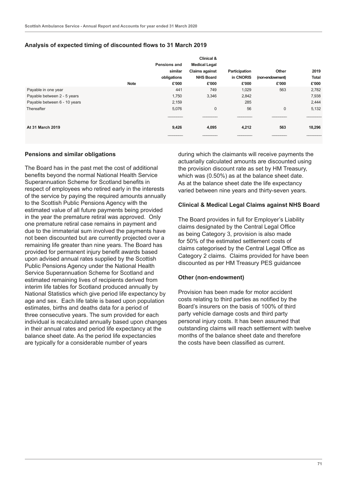|                              |             |                     | Clinical &                                    |                            |                          |              |
|------------------------------|-------------|---------------------|-----------------------------------------------|----------------------------|--------------------------|--------------|
|                              |             | <b>Pensions and</b> | <b>Medical Legal</b><br><b>Claims against</b> | Participation<br>in CNORIS |                          |              |
|                              |             | similar             |                                               |                            | Other<br>(non-endowment) | 2019         |
|                              |             | obligations         | <b>NHS Board</b>                              |                            |                          | <b>Total</b> |
|                              | <b>Note</b> | £'000               | £'000                                         | £'000                      | £'000                    | £'000        |
| Payable in one year          |             | 441                 | 749                                           | 1,029                      | 563                      | 2,782        |
| Payable between 2 - 5 years  |             | 1,750               | 3,346                                         | 2,842                      |                          | 7,938        |
| Payable between 6 - 10 years |             | 2,159               |                                               | 285                        |                          | 2,444        |
| Thereafter                   |             | 5,076               | $\mathbf{0}$                                  | 56                         | 0                        | 5,132        |
|                              |             |                     |                                               |                            |                          |              |
| At 31 March 2019             |             | 9,426               | 4,095                                         | 4,212                      | 563                      | 18,296       |
|                              |             |                     |                                               |                            |                          |              |

#### **Analysis of expected timing of discounted flows to 31 March 2019**

#### **Pensions and similar obligations**

The Board has in the past met the cost of additional benefits beyond the normal National Health Service Superannuation Scheme for Scotland benefits in respect of employees who retired early in the interests of the service by paying the required amounts annually to the Scottish Public Pensions Agency with the estimated value of all future payments being provided in the year the premature retiral was approved. Only one premature retiral case remains in payment and due to the immaterial sum involved the payments have not been discounted but are currently projected over a remaining life greater than nine years. The Board has provided for permanent injury benefit awards based upon advised annual rates supplied by the Scottish Public Pensions Agency under the National Health Service Superannuation Scheme for Scotland and estimated remaining lives of recipients derived from interim life tables for Scotland produced annually by National Statistics which give period life expectancy by age and sex. Each life table is based upon population estimates, births and deaths data for a period of three consecutive years. The sum provided for each individual is recalculated annually based upon changes in their annual rates and period life expectancy at the balance sheet date. As the period life expectancies are typically for a considerable number of years

during which the claimants will receive payments the actuarially calculated amounts are discounted using the provision discount rate as set by HM Treasury, which was (0.50%) as at the balance sheet date. As at the balance sheet date the life expectancy varied between nine years and thirty-seven years.

#### **Clinical & Medical Legal Claims against NHS Board**

The Board provides in full for Employer's Liability claims designated by the Central Legal Office as being Category 3, provision is also made for 50% of the estimated settlement costs of claims categorised by the Central Legal Office as Category 2 claims. Claims provided for have been discounted as per HM Treasury PES guidancee

#### **Other (non-endowment)**

Provision has been made for motor accident costs relating to third parties as notified by the Board's insurers on the basis of 100% of third party vehicle damage costs and third party personal injury costs. It has been assumed that outstanding claims will reach settlement with twelve months of the balance sheet date and therefore the costs have been classified as current.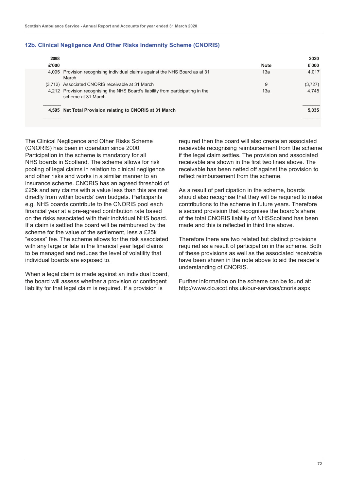| 2098  |                                                                                                       |             | 2020    |
|-------|-------------------------------------------------------------------------------------------------------|-------------|---------|
| £'000 |                                                                                                       | <b>Note</b> | £'000   |
|       | 4,095 Provision recognising individual claims against the NHS Board as at 31<br>March                 | 13а         | 4.017   |
|       | (3.712) Associated CNORIS receivable at 31 March                                                      | 9           | (3,727) |
|       | 4,212 Provision recognising the NHS Board's liability from participating in the<br>scheme at 31 March | 13а         | 4.745   |
|       | 4,595 Net Total Provision relating to CNORIS at 31 March                                              |             | 5.035   |
|       |                                                                                                       |             |         |

#### **12b. Clinical Negligence And Other Risks Indemnity Scheme (CNORIS)**

The Clinical Negligence and Other Risks Scheme (CNORIS) has been in operation since 2000. Participation in the scheme is mandatory for all NHS boards in Scotland. The scheme allows for risk pooling of legal claims in relation to clinical negligence and other risks and works in a similar manner to an insurance scheme. CNORIS has an agreed threshold of £25k and any claims with a value less than this are met directly from within boards' own budgets. Participants e.g. NHS boards contribute to the CNORIS pool each financial year at a pre-agreed contribution rate based on the risks associated with their individual NHS board. If a claim is settled the board will be reimbursed by the scheme for the value of the settlement, less a £25k "excess" fee. The scheme allows for the risk associated with any large or late in the financial year legal claims to be managed and reduces the level of volatility that individual boards are exposed to.

When a legal claim is made against an individual board, the board will assess whether a provision or contingent liability for that legal claim is required. If a provision is

required then the board will also create an associated receivable recognising reimbursement from the scheme if the legal claim settles. The provision and associated receivable are shown in the first two lines above. The receivable has been netted off against the provision to reflect reimbursement from the scheme.

As a result of participation in the scheme, boards should also recognise that they will be required to make contributions to the scheme in future years. Therefore a second provision that recognises the board's share of the total CNORIS liability of NHSScotland has been made and this is reflected in third line above.

Therefore there are two related but distinct provisions required as a result of participation in the scheme. Both of these provisions as well as the associated receivable have been shown in the note above to aid the reader's understanding of CNORIS.

Further information on the scheme can be found at: <http://www.clo.scot.nhs.uk/our-services/cnoris.aspx>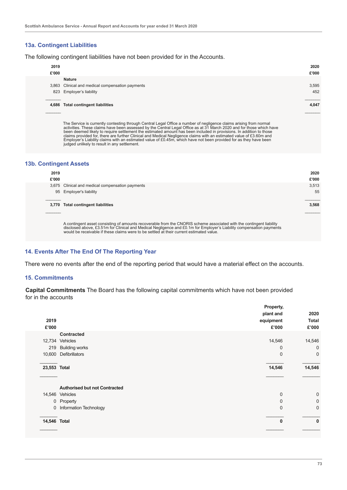## **13a. Contingent Liabilities**

The following contingent liabilities have not been provided for in the Accounts.

| 2019<br>£'000 |                                                                                                                                                                                                                                            | 2020<br>£'000 |
|---------------|--------------------------------------------------------------------------------------------------------------------------------------------------------------------------------------------------------------------------------------------|---------------|
|               | <b>Nature</b>                                                                                                                                                                                                                              |               |
|               | 3,863 Clinical and medical compensation payments                                                                                                                                                                                           | 3.595         |
|               | 823 Employer's liability                                                                                                                                                                                                                   | 452           |
|               | 4,686 Total contingent liabilities                                                                                                                                                                                                         | 4.047         |
|               | The Service is currently contesting through Central Legal Office a number of negligence claims arising from normal<br>activities. These claims have been assessed by the Central Legal Office as at 31 March 2020 and for those which have |               |

The Service is currently contesting through Central Legal Office a number of negligence claims arising from normal activities. These claims have been assessed by the Central Legal Office as at 31 March 2020 and for those w

#### **13b. Contingent Assets**

| 2019<br>£'000 |                                                                                                                                                                                                                                                                                                                                          | 2020<br>£'000 |
|---------------|------------------------------------------------------------------------------------------------------------------------------------------------------------------------------------------------------------------------------------------------------------------------------------------------------------------------------------------|---------------|
|               | 3,675 Clinical and medical compensation payments                                                                                                                                                                                                                                                                                         | 3.513         |
| 95            | Employer's liability                                                                                                                                                                                                                                                                                                                     | 55            |
|               | 3,770 Total contingent liabilities                                                                                                                                                                                                                                                                                                       | 3.568         |
|               | A contingent asset consisting of amounts recoverable from the CNORIS scheme associated with the contingent liability<br>disclosed above, £3.51m for Clinical and Medical Negligence and £0.1m for Employer's Liability compensation payments<br>would be receivable if these claims were to be settled at their current estimated value. |               |

#### **14. Events After The End Of The Reporting Year**

There were no events after the end of the reporting period that would have a material effect on the accounts.

### **15. Commitments**

**Capital Commitments** The Board has the following capital commitments which have not been provided for in the accounts

|              |                                      | Property,    |              |
|--------------|--------------------------------------|--------------|--------------|
|              |                                      | plant and    | 2020         |
| 2019         |                                      | equipment    | <b>Total</b> |
| £'000        |                                      | £'000        | £'000        |
|              | <b>Contracted</b>                    |              |              |
|              | 12,734 Vehicles                      | 14,546       | 14,546       |
|              | 219 Building works                   | 0            | $\mathbf 0$  |
|              | 10,600 Defibrillators                | $\mathbf 0$  | $\mathbf 0$  |
| 23,553 Total |                                      | 14,546       | 14,546       |
|              | <b>Authorised but not Contracted</b> |              |              |
|              | 14,546 Vehicles                      | $\mathbf 0$  | $\mathbf 0$  |
|              | 0 Property                           | $\Omega$     | $\mathbf 0$  |
| 0            | Information Technology               | $\Omega$     | $\mathbf 0$  |
| 14,546 Total |                                      | $\mathbf{0}$ | $\mathbf 0$  |
|              |                                      |              |              |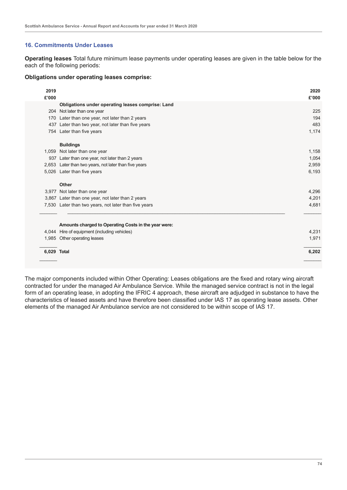## **16. Commitments Under Leases**

**Operating leases** Total future minimum lease payments under operating leases are given in the table below for the each of the following periods:

#### **Obligations under operating leases comprise:**

| 2019<br>£'000 |                                                       | 2020<br>£'000 |
|---------------|-------------------------------------------------------|---------------|
|               | Obligations under operating leases comprise: Land     |               |
|               | 204 Not later than one year                           | 225           |
| 170           | Later than one year, not later than 2 years           | 194           |
|               | 437 Later than two year, not later than five years    | 483           |
|               | 754 Later than five years                             | 1,174         |
|               | <b>Buildings</b>                                      |               |
|               | 1,059 Not later than one year                         | 1,158         |
|               | 937 Later than one year, not later than 2 years       | 1,054         |
|               | 2,653 Later than two years, not later than five years | 2,959         |
|               | 5,026 Later than five years                           | 6,193         |
|               | Other                                                 |               |
|               | 3,977 Not later than one year                         | 4,296         |
|               | 3,867 Later than one year, not later than 2 years     | 4,201         |
|               | 7,530 Later than two years, not later than five years | 4,681         |
|               | Amounts charged to Operating Costs in the year were:  |               |
|               | 4,044 Hire of equipment (including vehicles)          | 4,231         |
|               | 1,985 Other operating leases                          | 1,971         |
|               |                                                       |               |
| 6,029 Total   |                                                       | 6,202         |
|               |                                                       |               |

The major components included within Other Operating: Leases obligations are the fixed and rotary wing aircraft contracted for under the managed Air Ambulance Service. While the managed service contract is not in the legal form of an operating lease, in adopting the IFRIC 4 approach, these aircraft are adjudged in substance to have the characteristics of leased assets and have therefore been classified under IAS 17 as operating lease assets. Other elements of the managed Air Ambulance service are not considered to be within scope of IAS 17.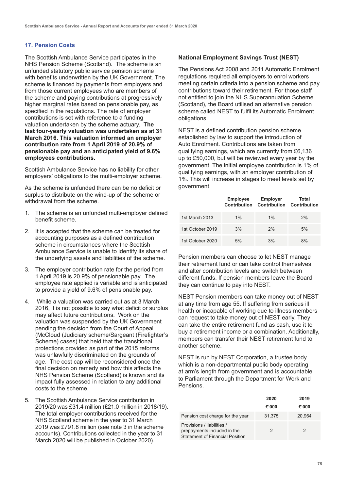## **17. Pension Costs**

The Scottish Ambulance Service participates in the NHS Pension Scheme (Scotland). The scheme is an unfunded statutory public service pension scheme with benefits underwritten by the UK Government. The scheme is financed by payments from employers and from those current employees who are members of the scheme and paying contributions at progressively higher marginal rates based on pensionable pay, as specified in the regulations. The rate of employer contributions is set with reference to a funding valuation undertaken by the scheme actuary. **The last four-yearly valuation was undertaken as at 31 March 2016. This valuation informed an employer contribution rate from 1 April 2019 of 20.9% of pensionable pay and an anticipated yield of 9.6% employees contributions.**

Scottish Ambulance Service has no liability for other employers' obligations to the multi-employer scheme.

As the scheme is unfunded there can be no deficit or surplus to distribute on the wind-up of the scheme or withdrawal from the scheme.

- 1. The scheme is an unfunded multi-employer defined benefit scheme.
- 2. It is accepted that the scheme can be treated for accounting purposes as a defined contribution scheme in circumstances where the Scottish Ambulance Service is unable to identify its share of the underlying assets and liabilities of the scheme.
- 3. The employer contribution rate for the period from 1 April 2019 is 20.9% of pensionable pay. The employee rate applied is variable and is anticipated to provide a yield of 9.6% of pensionable pay.
- 4. While a valuation was carried out as at 3 March 2016, it is not possible to say what deficit or surplus may affect future contributions. Work on the valuation was suspended by the UK Government pending the decision from the Court of Appeal (McCloud (Judiciary scheme/Sargeant (Firefighter's Scheme) cases) that held that the transitional protections provided as part of the 2015 reforms was unlawfully discriminated on the grounds of age. The cost cap will be reconsidered once the final decision on remedy and how this affects the NHS Pension Scheme (Scotland) is known and its impact fully assessed in relation to any additional costs to the scheme.
- 5. The Scottish Ambulance Service contribution in 2019/20 was £31.4 million (£21.0 million in 2018/19). The total employer contributions received for the NHS Scotland scheme in the year to 31 March 2019 was £791.8 million (see note 3 in the scheme accounts). Contributions collected in the year to 31 March 2020 will be published in October 2020).

## **National Employment Savings Trust (NEST)**

The Pensions Act 2008 and 2011 Automatic Enrolment regulations required all employers to enrol workers meeting certain criteria into a pension scheme and pay contributions toward their retirement. For those staff not entitled to join the NHS Superannuation Scheme (Scotland), the Board utilised an alternative pension scheme called NEST to fulfil its Automatic Enrolment obligations.

NEST is a defined contribution pension scheme established by law to support the introduction of Auto Enrolment. Contributions are taken from qualifying earnings, which are currently from £6,136 up to £50,000, but will be reviewed every year by the government. The initial employee contribution is 1% of qualifying earnings, with an employer contribution of 1%. This will increase in stages to meet levels set by government.

|                  | <b>Employee</b><br>Contribution | <b>Employer</b><br>Contribution | Total<br>Contribution |
|------------------|---------------------------------|---------------------------------|-----------------------|
| 1st March 2013   | 1%                              | $1\%$                           | 2%                    |
| 1st October 2019 | 3%                              | 2%                              | 5%                    |
| 1st October 2020 | 5%                              | 3%                              | 8%                    |

Pension members can choose to let NEST manage their retirement fund or can take control themselves and alter contribution levels and switch between different funds. If pension members leave the Board they can continue to pay into NEST.

NEST Pension members can take money out of NEST at any time from age 55. If suffering from serious ill health or incapable of working due to illness members can request to take money out of NEST early. They can take the entire retirement fund as cash, use it to buy a retirement income or a combination. Additionally, members can transfer their NEST retirement fund to another scheme.

NEST is run by NEST Corporation, a trustee body which is a non-departmental public body operating at arm's length from government and is accountable to Parliament through the Department for Work and Pensions.

|                                                                                                     | 2020   | 2019   |
|-----------------------------------------------------------------------------------------------------|--------|--------|
|                                                                                                     | £'000  | £'000  |
| Pension cost charge for the year                                                                    | 31,375 | 20,964 |
| Provisions / liabilities /<br>prepayments included in the<br><b>Statement of Financial Position</b> | 2      | 2      |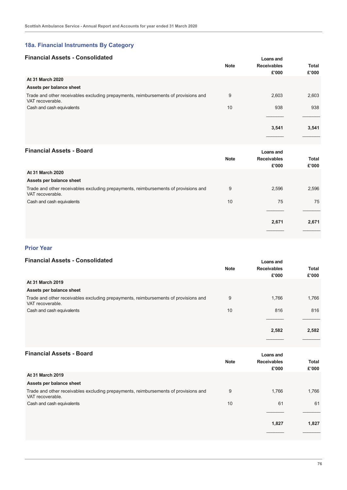## **18a. Financial Instruments By Category**

## **Financial Assets - Consolidated**

| <b>Financial Assets - Consolidated</b>                                                                  |             | Loans and          |       |  |
|---------------------------------------------------------------------------------------------------------|-------------|--------------------|-------|--|
|                                                                                                         | <b>Note</b> | <b>Receivables</b> | Total |  |
|                                                                                                         |             | £'000              | £'000 |  |
| At 31 March 2020                                                                                        |             |                    |       |  |
| Assets per balance sheet                                                                                |             |                    |       |  |
| Trade and other receivables excluding prepayments, reimbursements of provisions and<br>VAT recoverable. | 9           | 2,603              | 2,603 |  |
| Cash and cash equivalents                                                                               | 10          | 938                | 938   |  |
|                                                                                                         |             |                    |       |  |
|                                                                                                         |             | 3,541              | 3,541 |  |
|                                                                                                         |             |                    |       |  |

| <b>Financial Assets - Board</b>                                                                         |             | Loans and          |              |  |
|---------------------------------------------------------------------------------------------------------|-------------|--------------------|--------------|--|
|                                                                                                         | <b>Note</b> | <b>Receivables</b> | <b>Total</b> |  |
|                                                                                                         |             | £'000              | £'000        |  |
| At 31 March 2020                                                                                        |             |                    |              |  |
| Assets per balance sheet                                                                                |             |                    |              |  |
| Trade and other receivables excluding prepayments, reimbursements of provisions and<br>VAT recoverable. | 9           | 2,596              | 2,596        |  |
| Cash and cash equivalents                                                                               | 10          | 75                 | 75           |  |
|                                                                                                         |             |                    |              |  |
|                                                                                                         |             | 2,671              | 2,671        |  |
|                                                                                                         |             |                    |              |  |

## **Prior Year**

#### **Financial Assets - Consolidated**

|                                                                                                         | <b>Note</b> | <b>Receivables</b><br>£'000 | <b>Total</b><br>£'000 |
|---------------------------------------------------------------------------------------------------------|-------------|-----------------------------|-----------------------|
| At 31 March 2019                                                                                        |             |                             |                       |
| Assets per balance sheet                                                                                |             |                             |                       |
| Trade and other receivables excluding prepayments, reimbursements of provisions and<br>VAT recoverable. | 9           | 1,766                       | 1,766                 |
| Cash and cash equivalents                                                                               | 10          | 816                         | 816                   |
|                                                                                                         |             |                             |                       |
|                                                                                                         |             | 2,582                       | 2,582                 |

|             | Loans and                   |                       |  |
|-------------|-----------------------------|-----------------------|--|
| <b>Note</b> | <b>Receivables</b><br>£'000 | <b>Total</b><br>£'000 |  |
|             |                             |                       |  |
|             |                             |                       |  |
| 9           | 1,766                       | 1,766                 |  |
| 10          | 61                          | 61                    |  |
|             |                             |                       |  |
|             | 1,827                       | 1,827                 |  |
|             |                             |                       |  |

**Loans and**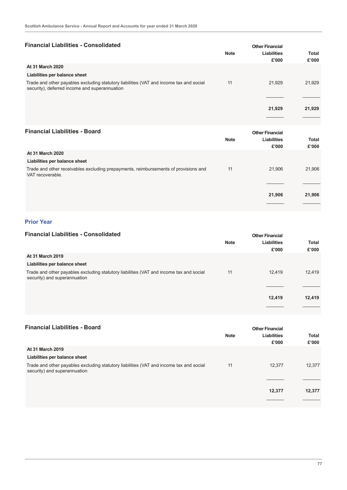| <b>Financial Liabilities - Consolidated</b>                                                                                              | <b>Note</b> | <b>Other Financial</b><br><b>Liabilities</b><br>£'000 | <b>Total</b><br>£'000 |
|------------------------------------------------------------------------------------------------------------------------------------------|-------------|-------------------------------------------------------|-----------------------|
| At 31 March 2020                                                                                                                         |             |                                                       |                       |
| Liabilities per balance sheet                                                                                                            |             |                                                       |                       |
| Trade and other payables excluding statutory liabilities (VAT and income tax and social<br>security), deferred income and superannuation | 11          | 21,929                                                | 21,929                |
|                                                                                                                                          |             | 21,929                                                | 21,929                |
| <b>Financial Liabilities - Board</b>                                                                                                     |             |                                                       |                       |
|                                                                                                                                          | <b>Note</b> | <b>Other Financial</b><br><b>Liabilities</b><br>£'000 | <b>Total</b><br>£'000 |
| At 31 March 2020                                                                                                                         |             |                                                       |                       |
| Liabilities per balance sheet                                                                                                            |             |                                                       |                       |
| Trade and other receivables excluding prepayments, reimbursements of provisions and<br>VAT recoverable.                                  | 11          | 21,906                                                | 21,906                |
|                                                                                                                                          |             | 21,906                                                | 21,906                |

## **Prior Year**

## **Financial Liabilities - Consolidated**

| <b>Financial Liabilities - Consolidated</b>                                                                             | <b>Other Financial</b> |                             |                       |
|-------------------------------------------------------------------------------------------------------------------------|------------------------|-----------------------------|-----------------------|
|                                                                                                                         | <b>Note</b>            | <b>Liabilities</b><br>£'000 | <b>Total</b><br>£'000 |
| At 31 March 2019                                                                                                        |                        |                             |                       |
| Liabilities per balance sheet                                                                                           |                        |                             |                       |
| Trade and other payables excluding statutory liabilities (VAT and income tax and social<br>security) and superannuation | 11                     | 12,419                      | 12.419                |
|                                                                                                                         |                        |                             |                       |
|                                                                                                                         |                        | 12,419                      | 12,419                |
|                                                                                                                         |                        |                             |                       |

|  | <b>Financial Liabilities - Board</b> |  |  |
|--|--------------------------------------|--|--|
|--|--------------------------------------|--|--|

| <b>Financial Liabilities - Board</b>                                                                                    |             | <b>Other Financial</b> |              |  |
|-------------------------------------------------------------------------------------------------------------------------|-------------|------------------------|--------------|--|
|                                                                                                                         | <b>Note</b> | <b>Liabilities</b>     | <b>Total</b> |  |
|                                                                                                                         |             | £'000                  | £'000        |  |
| At 31 March 2019                                                                                                        |             |                        |              |  |
| Liabilities per balance sheet                                                                                           |             |                        |              |  |
| Trade and other payables excluding statutory liabilities (VAT and income tax and social<br>security) and superannuation | 11          | 12.377                 | 12,377       |  |
|                                                                                                                         |             |                        |              |  |
|                                                                                                                         |             | 12,377                 | 12,377       |  |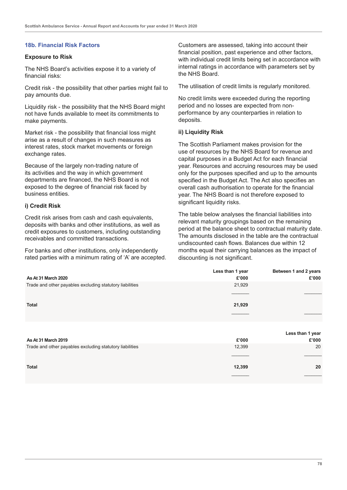## **18b. Financial Risk Factors**

#### **Exposure to Risk**

The NHS Board's activities expose it to a variety of financial risks:

Credit risk - the possibility that other parties might fail to pay amounts due.

Liquidity risk - the possibility that the NHS Board might not have funds available to meet its commitments to make payments.

Market risk - the possibility that financial loss might arise as a result of changes in such measures as interest rates, stock market movements or foreign exchange rates.

Because of the largely non-trading nature of its activities and the way in which government departments are financed, the NHS Board is not exposed to the degree of financial risk faced by business entities.

## **i) Credit Risk**

Credit risk arises from cash and cash equivalents, deposits with banks and other institutions, as well as credit exposures to customers, including outstanding receivables and committed transactions.

For banks and other institutions, only independently rated parties with a minimum rating of 'A' are accepted. Customers are assessed, taking into account their financial position, past experience and other factors, with individual credit limits being set in accordance with internal ratings in accordance with parameters set by the NHS Board.

The utilisation of credit limits is regularly monitored.

No credit limits were exceeded during the reporting period and no losses are expected from nonperformance by any counterparties in relation to deposits.

#### **ii) Liquidity Risk**

The Scottish Parliament makes provision for the use of resources by the NHS Board for revenue and capital purposes in a Budget Act for each financial year. Resources and accruing resources may be used only for the purposes specified and up to the amounts specified in the Budget Act. The Act also specifies an overall cash authorisation to operate for the financial year. The NHS Board is not therefore exposed to significant liquidity risks.

The table below analyses the financial liabilities into relevant maturity groupings based on the remaining period at the balance sheet to contractual maturity date. The amounts disclosed in the table are the contractual undiscounted cash flows. Balances due within 12 months equal their carrying balances as the impact of discounting is not significant.

|                                                          | Less than 1 year | Between 1 and 2 years |
|----------------------------------------------------------|------------------|-----------------------|
| As At 31 March 2020                                      | £'000            | £'000                 |
| Trade and other payables excluding statutory liabilities | 21,929           |                       |
| Total                                                    | 21,929           |                       |
|                                                          |                  |                       |
|                                                          |                  |                       |
|                                                          |                  | Less than 1 year      |
| As At 31 March 2019                                      | £'000            | £'000                 |
| Trade and other payables excluding statutory liabilities | 12,399           | 20                    |
|                                                          |                  |                       |
| <b>Total</b>                                             | 12,399           | 20                    |
|                                                          |                  |                       |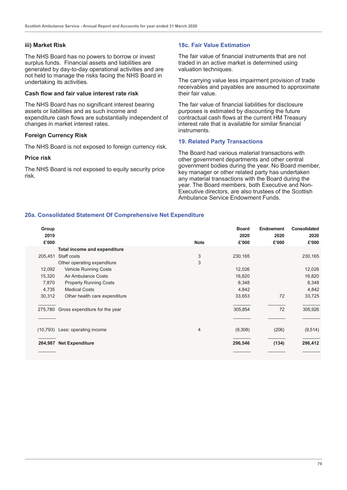#### **iii) Market Risk**

The NHS Board has no powers to borrow or invest surplus funds. Financial assets and liabilities are generated by day-to-day operational activities and are not held to manage the risks facing the NHS Board in undertaking its activities.

#### **Cash flow and fair value interest rate risk**

The NHS Board has no significant interest bearing assets or liabilities and as such income and expenditure cash flows are substantially independent of changes in market interest rates.

#### **Foreign Currency Risk**

The NHS Board is not exposed to foreign currency risk.

#### **Price risk**

The NHS Board is not exposed to equity security price risk.

#### **18c. Fair Value Estimation**

The fair value of financial instruments that are not traded in an active market is determined using valuation techniques.

The carrying value less impairment provision of trade receivables and payables are assumed to approximate their fair value.

The fair value of financial liabilities for disclosure purposes is estimated by discounting the future contractual cash flows at the current HM Treasury interest rate that is available for similar financial instruments.

#### **19. Related Party Transactions**

The Board had various material transactions with other government departments and other central government bodies during the year. No Board member, key manager or other related party has undertaken any material transactions with the Board during the year. The Board members, both Executive and Non-Executive directors, are also trustees of the Scottish Ambulance Service Endowment Funds.

## **20a. Consolidated Statement Of Comprehensive Net Expenditure**

| Group<br>2019<br>£'000 |                                        | <b>Note</b> | <b>Board</b><br>2020<br>£'000 | <b>Endowment</b><br>2020<br>£'000 | <b>Consolidated</b><br>2020<br>£'000 |
|------------------------|----------------------------------------|-------------|-------------------------------|-----------------------------------|--------------------------------------|
|                        | <b>Total income and expenditure</b>    |             |                               |                                   |                                      |
| 205,451                | Staff costs                            | 3           | 230,165                       |                                   | 230,165                              |
|                        | Other operating expenditure            | 3           |                               |                                   |                                      |
| 12,092                 | <b>Vehicle Running Costs</b>           |             | 12,026                        |                                   | 12,026                               |
| 15,320                 | Air Ambulance Costs                    |             | 16,820                        |                                   | 16,820                               |
| 7,870                  | <b>Property Running Costs</b>          |             | 8,348                         |                                   | 8,348                                |
| 4,735                  | <b>Medical Costs</b>                   |             | 4,842                         |                                   | 4,842                                |
| 30,312                 | Other health care expenditure          |             | 33,653                        | 72                                | 33,725                               |
|                        | 275,780 Gross expenditure for the year |             | 305,854                       | 72                                | 305,926                              |
|                        | (10,793) Less: operating income        | 4           | (9,308)                       | (206)                             | (9,514)                              |
| 264,987                | <b>Net Expenditure</b>                 |             | 296,546                       | (134)                             | 296,412                              |
|                        |                                        |             |                               |                                   |                                      |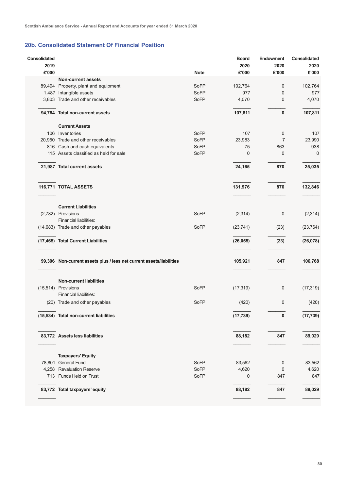## **20b. Consolidated Statement Of Financial Position**

| Consolidated<br>2019 |                                                                      |              | <b>Board</b><br>2020 | Endowment<br>2020 | Consolidated<br>2020 |
|----------------------|----------------------------------------------------------------------|--------------|----------------------|-------------------|----------------------|
| £'000                |                                                                      | <b>Note</b>  | £'000                | £'000             | £'000                |
|                      | <b>Non-current assets</b>                                            |              |                      |                   |                      |
|                      | 89,494 Property, plant and equipment<br>1,487 Intangible assets      | SoFP<br>SoFP | 102,764<br>977       | 0                 | 102,764<br>977       |
|                      |                                                                      |              |                      | 0                 |                      |
|                      | 3,803 Trade and other receivables                                    | SoFP         | 4,070                | 0                 | 4,070                |
|                      | 94,784 Total non-current assets                                      |              | 107,811              | $\mathbf 0$       | 107,811              |
|                      | <b>Current Assets</b>                                                |              |                      |                   |                      |
|                      | 106 Inventories                                                      | SoFP         | 107                  | 0                 | 107                  |
|                      | 20,950 Trade and other receivables                                   | SoFP         | 23,983               | $\overline{7}$    | 23,990               |
|                      | 816 Cash and cash equivalents                                        | SoFP         | 75                   | 863               | 938                  |
|                      | 115 Assets classified as held for sale                               | SoFP         | 0                    | $\mathbf 0$       | 0                    |
|                      | 21,987 Total current assets                                          |              | 24,165               | 870               | 25,035               |
|                      | 116,771 TOTAL ASSETS                                                 |              | 131,976              | 870               | 132,846              |
|                      |                                                                      |              |                      |                   |                      |
|                      | <b>Current Liabilities</b>                                           |              |                      |                   |                      |
|                      | (2,782) Provisions                                                   | SoFP         | (2, 314)             | 0                 | (2, 314)             |
|                      | Financial liabilities:                                               |              |                      |                   |                      |
|                      | (14,683) Trade and other payables                                    | SoFP         | (23, 741)            | (23)              | (23, 764)            |
|                      | (17,465) Total Current Liabilities                                   |              | (26, 055)            | (23)              | (26, 078)            |
|                      | 99,306 Non-current assets plus / less net current assets/liabilities |              | 105,921              | 847               | 106,768              |
|                      | <b>Non-current liabilities</b>                                       |              |                      |                   |                      |
|                      | (15,514) Provisions                                                  | SoFP         | (17, 319)            | 0                 | (17, 319)            |
|                      | Financial liabilities:                                               |              |                      |                   |                      |
|                      | (20) Trade and other payables                                        | SoFP         | (420)                | 0                 | (420)                |
|                      | (15,534) Total non-current liabilities                               |              | (17, 739)            | $\pmb{0}$         | (17, 739)            |
|                      | 83,772 Assets less liabilities                                       |              | 88,182               | 847               | 89,029               |
|                      |                                                                      |              |                      |                   |                      |
|                      | <b>Taxpayers' Equity</b><br>78,801 General Fund                      | SoFP         |                      |                   |                      |
|                      | 4,258 Revaluation Reserve                                            | SoFP         | 83,562<br>4,620      | 0                 | 83,562               |
|                      | 713 Funds Held on Trust                                              | SoFP         | 0                    | 0<br>847          | 4,620<br>847         |
|                      | 83,772 Total taxpayers' equity                                       |              | 88,182               | 847               | 89,029               |
|                      |                                                                      |              |                      |                   |                      |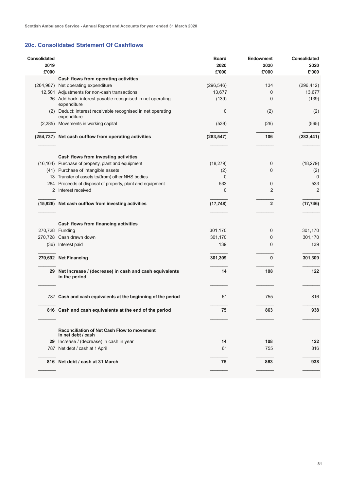## **20c. Consolidated Statement Of Cashflows**

| <b>Consolidated</b><br>2019<br>£'000 |                                                                            | <b>Board</b><br>2020<br>£'000 | Endowment<br>2020<br>£'000 | Consolidated<br>2020<br>£'000 |
|--------------------------------------|----------------------------------------------------------------------------|-------------------------------|----------------------------|-------------------------------|
|                                      | Cash flows from operating activities                                       |                               |                            |                               |
|                                      | (264,987) Net operating expenditure                                        | (296, 546)                    | 134                        | (296, 412)                    |
|                                      | 12,501 Adjustments for non-cash transactions                               | 13,677                        | 0                          | 13,677                        |
|                                      | 36 Add back: interest payable recognised in net operating<br>expenditure   | (139)                         | 0                          | (139)                         |
|                                      | (2) Deduct: interest receivable recognised in net operating<br>expenditure | 0                             | (2)                        | (2)                           |
|                                      | (2,285) Movements in working capital                                       | (539)                         | (26)                       | (565)                         |
|                                      | (254,737) Net cash outflow from operating activities                       | (283, 547)                    | 106                        | (283, 441)                    |
|                                      | Cash flows from investing activities                                       |                               |                            |                               |
|                                      | (16,164) Purchase of property, plant and equipment                         | (18, 279)                     | 0                          | (18, 279)                     |
|                                      | (41) Purchase of intangible assets                                         | (2)                           | 0                          | (2)                           |
|                                      | 13 Transfer of assets to/(from) other NHS bodies                           | 0                             |                            | $\mathbf{0}$                  |
|                                      | 264 Proceeds of disposal of property, plant and equipment                  | 533                           | 0                          | 533                           |
|                                      | 2 Interest received                                                        | 0                             | 2                          | $\overline{2}$                |
|                                      | (15,926) Net cash outflow from investing activities                        | (17, 748)                     | $\overline{\mathbf{2}}$    | (17, 746)                     |
|                                      | Cash flows from financing activities                                       |                               |                            |                               |
|                                      | 270,728 Funding                                                            | 301,170                       | 0                          | 301,170                       |
|                                      | 270,728 Cash drawn down                                                    | 301,170                       | 0                          | 301,170                       |
|                                      | (36) Interest paid                                                         | 139                           | 0                          | 139                           |
|                                      | 270,692 Net Financing                                                      | 301,309                       | 0                          | 301,309                       |
|                                      | 29 Net Increase / (decrease) in cash and cash equivalents<br>in the period | 14                            | 108                        | 122                           |
|                                      | 787 Cash and cash equivalents at the beginning of the period               | 61                            | 755                        | 816                           |
|                                      | 816 Cash and cash equivalents at the end of the period                     | 75                            | 863                        | 938                           |
|                                      | <b>Reconciliation of Net Cash Flow to movement</b>                         |                               |                            |                               |
|                                      | in net debt / cash                                                         |                               |                            |                               |
|                                      | 29 Increase / (decrease) in cash in year                                   | 14                            | 108                        | 122                           |
|                                      | 787 Net debt / cash at 1 April                                             | 61                            | 755                        | 816                           |
|                                      | 816 Net debt / cash at 31 March                                            | 75                            | 863                        | 938                           |
|                                      |                                                                            |                               |                            |                               |